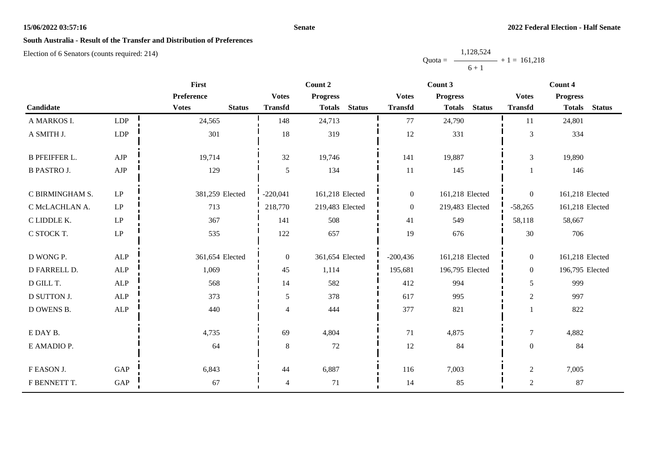#### **Senate**

# **South Australia - Result of the Transfer and Distribution of Preferences**

|           | 1,128,524 |                |
|-----------|-----------|----------------|
| $Quota =$ |           | $+1 = 161.218$ |
|           | $6 + 1$   |                |

|                      |                            | First                         |                  | Count 2                        |                  | Count 3                        | Count 4          |                                |  |  |
|----------------------|----------------------------|-------------------------------|------------------|--------------------------------|------------------|--------------------------------|------------------|--------------------------------|--|--|
|                      |                            | Preference                    | <b>Votes</b>     | <b>Progress</b>                | <b>Votes</b>     | <b>Progress</b>                | <b>Votes</b>     | <b>Progress</b>                |  |  |
| Candidate            |                            | <b>Votes</b><br><b>Status</b> | <b>Transfd</b>   | <b>Status</b><br><b>Totals</b> | <b>Transfd</b>   | <b>Status</b><br><b>Totals</b> | <b>Transfd</b>   | <b>Totals</b><br><b>Status</b> |  |  |
| A MARKOS I.          | LDP                        | 24,565                        | 148              | 24,713                         | 77               | 24,790                         | 11               | 24,801                         |  |  |
| A SMITH J.           | LDP                        | 301                           | 18               | 319                            | 12               | 331                            | 3                | 334                            |  |  |
| <b>B PFEIFFER L.</b> | ${\rm AJP}$                | 19,714                        | 32               | 19,746                         | 141              | 19,887                         | 3                | 19,890                         |  |  |
| <b>B PASTRO J.</b>   | ${\rm AJP}$                | 129                           | 5                | 134                            | 11               | 145                            |                  | 146                            |  |  |
| C BIRMINGHAM S.      | $\operatorname{LP}$        | 381,259 Elected               | $-220,041$       | 161,218 Elected                | $\boldsymbol{0}$ | 161,218 Elected                | $\overline{0}$   | 161,218 Elected                |  |  |
| C McLACHLAN A.       | $\ensuremath{\mathrm{LP}}$ | 713                           | 218,770          | 219,483 Elected                | $\overline{0}$   | 219,483 Elected                | $-58,265$        | 161,218 Elected                |  |  |
| C LIDDLE K.          | LP                         | 367                           | 141              | 508                            | 41               | 549                            | 58,118           | 58,667                         |  |  |
| C STOCK T.           | $\operatorname{LP}$        | 535                           | 122              | 657                            | 19               | 676                            | 30               | 706                            |  |  |
| D WONG P.            | <b>ALP</b>                 | 361,654 Elected               | $\boldsymbol{0}$ | 361,654 Elected                | $-200,436$       | 161,218 Elected                | $\overline{0}$   | 161,218 Elected                |  |  |
| D FARRELL D.         | <b>ALP</b>                 | 1,069                         | 45               | 1,114                          | 195,681          | 196,795 Elected                | $\Omega$         | 196,795 Elected                |  |  |
| D GILL T.            | <b>ALP</b>                 | 568                           | 14               | 582                            | 412              | 994                            | 5                | 999                            |  |  |
| <b>D SUTTON J.</b>   | ALP                        | 373                           | 5                | 378                            | 617              | 995                            | $\overline{2}$   | 997                            |  |  |
| D OWENS B.           | ALP                        | 440                           | $\overline{4}$   | 444                            | 377              | 821                            |                  | 822                            |  |  |
| E DAY B.             |                            | 4,735                         | 69               | 4,804                          | 71               | 4,875                          | $\tau$           | 4,882                          |  |  |
| E AMADIO P.          |                            | 64                            | 8                | 72                             | $12\,$           | 84                             | $\boldsymbol{0}$ | 84                             |  |  |
| F EASON J.           | GAP                        | 6,843                         | 44               | 6,887                          | 116              | 7,003                          | $\overline{2}$   | 7,005                          |  |  |
| F BENNETT T.         | GAP                        | 67                            | 4                | 71                             | 14               | 85                             | $\sqrt{2}$       | 87                             |  |  |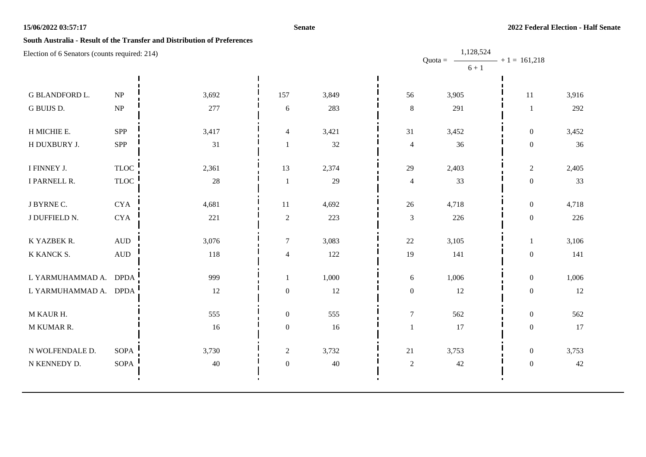#### **Senate**

## **South Australia - Result of the Transfer and Distribution of Preferences**

| Election of 6 Senators (counts required: 214) |                                 |        |                  | 1,128,524<br>$- + 1 = 161,218$<br>Quota = $-$ |                  |         |                  |       |  |
|-----------------------------------------------|---------------------------------|--------|------------------|-----------------------------------------------|------------------|---------|------------------|-------|--|
|                                               |                                 |        |                  |                                               |                  | $6 + 1$ |                  |       |  |
| G BLANDFORD L.                                | $\ensuremath{\text{NP}}\xspace$ | 3,692  | 157              | 3,849                                         | 56               | 3,905   | 11               | 3,916 |  |
| G BUIJS D.                                    | $\ensuremath{\text{NP}}\xspace$ | 277    | $\sqrt{6}$       | 283                                           | $\,8\,$          | 291     | $\mathbf{1}$     | 292   |  |
| H MICHIE E.                                   | SPP                             | 3,417  | $\overline{4}$   | 3,421                                         | 31               | 3,452   | $\overline{0}$   | 3,452 |  |
| H DUXBURY J.                                  | SPP                             | 31     | $\mathbf{1}$     | $32\,$                                        | $\overline{4}$   | 36      | $\mathbf{0}$     | 36    |  |
| I FINNEY J.                                   | <b>TLOC</b>                     | 2,361  | 13               | 2,374                                         | 29               | 2,403   | $\overline{c}$   | 2,405 |  |
| I PARNELL R.                                  | <b>TLOC</b>                     | $28\,$ | $\mathbf{1}$     | 29                                            | $\overline{4}$   | 33      | $\overline{0}$   | 33    |  |
| J BYRNE C.                                    | <b>CYA</b>                      | 4,681  | 11               | 4,692                                         | 26               | 4,718   | $\overline{0}$   | 4,718 |  |
| J DUFFIELD N.                                 | $\rm CYA$                       | 221    | $\mathbf{2}$     | 223                                           | $\mathfrak{Z}$   | 226     | $\overline{0}$   | 226   |  |
| K YAZBEK R.                                   | $\hbox{AUD}$                    | 3,076  | $\tau$           | 3,083                                         | $22\,$           | 3,105   | 1                | 3,106 |  |
| K KANCK S.                                    | $\hbox{A}\mathrm{U}\hbox{D}$    | 118    | $\overline{4}$   | 122                                           | 19               | 141     | $\boldsymbol{0}$ | 141   |  |
| L YARMUHAMMAD A. DPDA                         |                                 | 999    | 1                | 1,000                                         | 6                | 1,006   | $\overline{0}$   | 1,006 |  |
| L YARMUHAMMAD A. DPDA                         |                                 | 12     | $\boldsymbol{0}$ | 12                                            | $\boldsymbol{0}$ | 12      | $\boldsymbol{0}$ | 12    |  |
| M KAUR H.                                     |                                 | 555    | $\boldsymbol{0}$ | 555                                           | $\boldsymbol{7}$ | 562     | $\overline{0}$   | 562   |  |
| M KUMAR R.                                    |                                 | 16     | $\boldsymbol{0}$ | 16                                            |                  | 17      | $\boldsymbol{0}$ | 17    |  |
| N WOLFENDALE D.                               | SOPA                            | 3,730  | $\mathbf{2}$     | 3,732                                         | $21\,$           | 3,753   | $\overline{0}$   | 3,753 |  |
| N KENNEDY D.                                  | SOPA                            | $40\,$ | $\boldsymbol{0}$ | 40                                            | $\sqrt{2}$       | 42      | $\overline{0}$   | 42    |  |
|                                               |                                 |        |                  |                                               |                  |         |                  |       |  |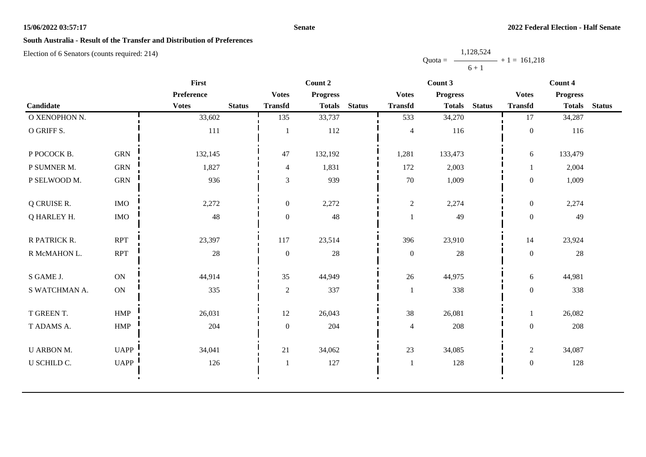#### **Senate**

# **South Australia - Result of the Transfer and Distribution of Preferences**

Election of 6 Senators (counts required: 214)

Quota =  $-$ 1,128,524  $6 + 1$  $+ 1 = 161,218$ 

| First             |               |              |               |                  | Count 2         |               |                  | Count 3         |               | Count 4          |                 |               |
|-------------------|---------------|--------------|---------------|------------------|-----------------|---------------|------------------|-----------------|---------------|------------------|-----------------|---------------|
|                   |               | Preference   |               | <b>Votes</b>     | <b>Progress</b> |               | <b>Votes</b>     | <b>Progress</b> |               | <b>Votes</b>     | <b>Progress</b> |               |
| Candidate         |               | <b>Votes</b> | <b>Status</b> | <b>Transfd</b>   | <b>Totals</b>   | <b>Status</b> | <b>Transfd</b>   | <b>Totals</b>   | <b>Status</b> | <b>Transfd</b>   | <b>Totals</b>   | <b>Status</b> |
| O XENOPHON N.     |               | 33,602       |               | 135              | 33,737          |               | 533              | 34,270          |               | 17               | 34,287          |               |
| O GRIFF S.        |               | $111\,$      |               |                  | 112             |               | $\overline{4}$   | 116             |               | $\boldsymbol{0}$ | 116             |               |
| P POCOCK B.       | <b>GRN</b>    | 132,145      |               | 47               | 132,192         |               | 1,281            | 133,473         |               | 6                | 133,479         |               |
| P SUMNER M.       | <b>GRN</b>    | 1,827        |               | $\overline{4}$   | 1,831           |               | 172              | 2,003           |               |                  | 2,004           |               |
| P SELWOOD M.      | <b>GRN</b>    | 936          |               | $\mathfrak{Z}$   | 939             |               | $70\,$           | 1,009           |               | $\boldsymbol{0}$ | 1,009           |               |
| Q CRUISE R.       | $\rm{IMO}$    | 2,272        |               | $\boldsymbol{0}$ | 2,272           |               | $\mathfrak{2}$   | 2,274           |               | $\boldsymbol{0}$ | 2,274           |               |
| Q HARLEY H.       | <b>IMO</b>    | $48\,$       |               | $\boldsymbol{0}$ | 48              |               |                  | 49              |               | $\overline{0}$   | 49              |               |
| R PATRICK R.      | <b>RPT</b>    | 23,397       |               | 117              | 23,514          |               | 396              | 23,910          |               | 14               | 23,924          |               |
| R McMAHON L.      | <b>RPT</b>    | $28\,$       |               | $\boldsymbol{0}$ | 28              |               | $\boldsymbol{0}$ | 28              |               | $\boldsymbol{0}$ | $28\,$          |               |
| S GAME J.         | $\mathbf{ON}$ | 44,914       |               | 35               | 44,949          |               | 26               | 44,975          |               | 6                | 44,981          |               |
| S WATCHMAN A.     | ON            | 335          |               | $\sqrt{2}$       | 337             |               | 1                | 338             |               | $\overline{0}$   | 338             |               |
| T GREEN T.        | <b>HMP</b>    | 26,031       |               | 12               | 26,043          |               | $38\,$           | 26,081          |               |                  | 26,082          |               |
| T ADAMS A.        | HMP           | 204          |               | $\boldsymbol{0}$ | 204             |               | $\overline{4}$   | 208             |               | $\overline{0}$   | 208             |               |
| <b>U ARBON M.</b> | <b>UAPP</b>   | 34,041       |               | 21               | 34,062          |               | 23               | 34,085          |               | $\overline{c}$   | 34,087          |               |
| U SCHILD C.       | UAPP          | 126          |               | $\overline{1}$   | 127             |               | $\mathbf{1}$     | 128             |               | $\boldsymbol{0}$ | 128             |               |
|                   |               |              |               |                  |                 |               |                  |                 |               |                  |                 |               |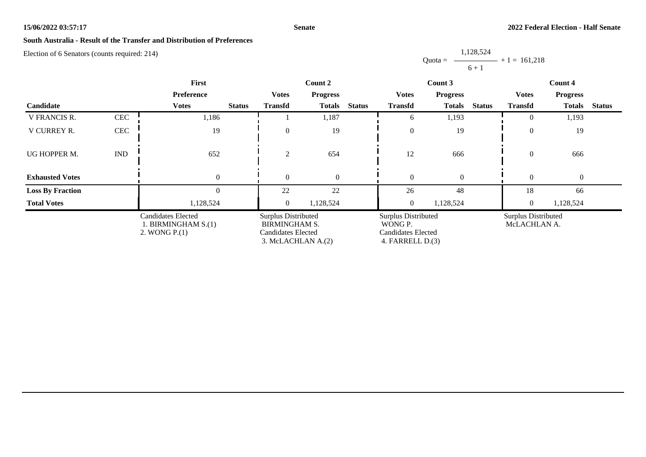#### **Senate**

# **South Australia - Result of the Transfer and Distribution of Preferences**

Election of 6 Senators (counts required: 214)

Quota = 1,128,524  $6 + 1$  $+ 1 = 161,218$ 

|                         |            | First                                                              |               |                                                                                                | Count 2         |               | Count 3                                                                         |                  |               | Count 4                             |                  |               |
|-------------------------|------------|--------------------------------------------------------------------|---------------|------------------------------------------------------------------------------------------------|-----------------|---------------|---------------------------------------------------------------------------------|------------------|---------------|-------------------------------------|------------------|---------------|
|                         |            | Preference                                                         |               | <b>Votes</b>                                                                                   | <b>Progress</b> |               | <b>Votes</b>                                                                    | <b>Progress</b>  |               | <b>Votes</b>                        | <b>Progress</b>  |               |
| Candidate               |            | <b>Votes</b>                                                       | <b>Status</b> | <b>Transfd</b>                                                                                 | <b>Totals</b>   | <b>Status</b> | <b>Transfd</b>                                                                  | <b>Totals</b>    | <b>Status</b> | <b>Transfd</b>                      | <b>Totals</b>    | <b>Status</b> |
| <b>V FRANCIS R.</b>     | <b>CEC</b> | 1,186                                                              |               |                                                                                                | 1,187           |               | 6                                                                               | 1,193            |               | $\Omega$                            | 1,193            |               |
| V CURREY R.             | CEC        | 19                                                                 |               | $\theta$                                                                                       | 19              |               | $\boldsymbol{0}$                                                                | 19               |               | $\overline{0}$                      | 19               |               |
| UG HOPPER M.            | <b>IND</b> | 652                                                                |               | 2                                                                                              | 654             |               | 12                                                                              | 666              |               | $\theta$                            | 666              |               |
| <b>Exhausted Votes</b>  |            | $\boldsymbol{0}$                                                   |               | $\theta$                                                                                       | $\mathbf{0}$    |               | $\boldsymbol{0}$                                                                | $\boldsymbol{0}$ |               | $\theta$                            | $\boldsymbol{0}$ |               |
| <b>Loss By Fraction</b> |            | $\theta$                                                           |               | 22                                                                                             | 22              |               | 26                                                                              | 48               |               | 18                                  | 66               |               |
| <b>Total Votes</b>      |            | 1,128,524                                                          |               | $\overline{0}$                                                                                 | 1,128,524       |               | $\overline{0}$                                                                  | 1,128,524        |               | $\overline{0}$                      | 1,128,524        |               |
|                         |            | <b>Candidates Elected</b><br>1. BIRMINGHAM S.(1)<br>2. WONG $P(1)$ |               | <b>Surplus Distributed</b><br><b>BIRMINGHAM S.</b><br>Candidates Elected<br>3. McLACHLAN A.(2) |                 |               | <b>Surplus Distributed</b><br>WONG P.<br>Candidates Elected<br>4. FARRELL D.(3) |                  |               | Surplus Distributed<br>McLACHLAN A. |                  |               |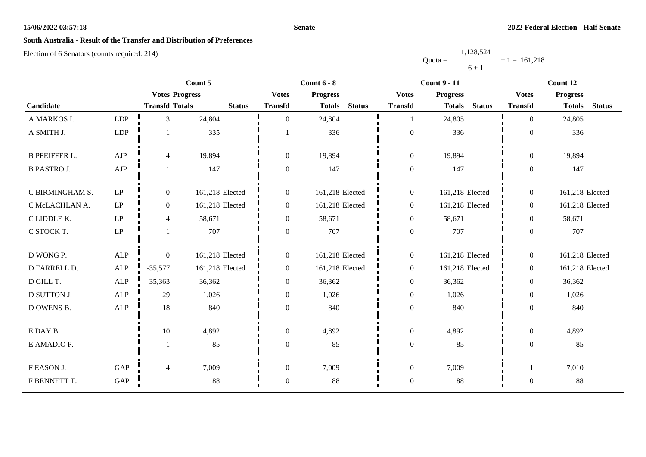#### **Senate**

# **South Australia - Result of the Transfer and Distribution of Preferences**

|           | 1,128,524 |                   |
|-----------|-----------|-------------------|
| $Quota =$ |           | $-$ + 1 = 161,218 |
|           | $6 + 1$   |                   |

|                      |                            |                       | Count 5         |                  | Count $6 - 8$   |               |                  | <b>Count 9 - 11</b> |               |                  | Count 12        |               |
|----------------------|----------------------------|-----------------------|-----------------|------------------|-----------------|---------------|------------------|---------------------|---------------|------------------|-----------------|---------------|
|                      |                            | <b>Votes Progress</b> |                 | <b>Votes</b>     | <b>Progress</b> |               | <b>Votes</b>     | <b>Progress</b>     |               | <b>Votes</b>     | <b>Progress</b> |               |
| Candidate            |                            | <b>Transfd Totals</b> | <b>Status</b>   | <b>Transfd</b>   | <b>Totals</b>   | <b>Status</b> | <b>Transfd</b>   | <b>Totals</b>       | <b>Status</b> | <b>Transfd</b>   | <b>Totals</b>   | <b>Status</b> |
| A MARKOS I.          | LDP                        | $\overline{3}$        | 24,804          | $\Omega$         | 24,804          |               |                  | 24,805              |               | $\Omega$         | 24,805          |               |
| A SMITH J.           | LDP                        |                       | 335             |                  | 336             |               | $\boldsymbol{0}$ | 336                 |               | $\boldsymbol{0}$ | 336             |               |
| <b>B PFEIFFER L.</b> | AJP                        | $\overline{4}$        | 19,894          | $\overline{0}$   | 19,894          |               | $\boldsymbol{0}$ | 19,894              |               | $\overline{0}$   | 19,894          |               |
| <b>B PASTRO J.</b>   | ${\rm AJP}$                | 1                     | 147             | $\boldsymbol{0}$ | 147             |               | $\boldsymbol{0}$ | 147                 |               | $\boldsymbol{0}$ | 147             |               |
| C BIRMINGHAM S.      | $\operatorname{LP}$        | $\boldsymbol{0}$      | 161,218 Elected | $\boldsymbol{0}$ | 161,218 Elected |               | $\boldsymbol{0}$ | 161,218 Elected     |               | $\boldsymbol{0}$ | 161,218 Elected |               |
| C McLACHLAN A.       | $\ensuremath{\mathrm{LP}}$ | $\boldsymbol{0}$      | 161,218 Elected | $\boldsymbol{0}$ | 161,218 Elected |               | $\boldsymbol{0}$ | 161,218 Elected     |               | $\overline{0}$   | 161,218 Elected |               |
| C LIDDLE K.          | $\operatorname{LP}$        | $\overline{4}$        | 58,671          | $\overline{0}$   | 58,671          |               | $\boldsymbol{0}$ | 58,671              |               | $\overline{0}$   | 58,671          |               |
| C STOCK T.           | $\ensuremath{\mathrm{LP}}$ |                       | 707             | $\boldsymbol{0}$ | 707             |               | $\boldsymbol{0}$ | 707                 |               | $\boldsymbol{0}$ | 707             |               |
| D WONG P.            | <b>ALP</b>                 | $\boldsymbol{0}$      | 161,218 Elected | $\boldsymbol{0}$ | 161,218 Elected |               | $\boldsymbol{0}$ | 161,218 Elected     |               | $\overline{0}$   | 161,218 Elected |               |
| D FARRELL D.         | ALP                        | $-35,577$             | 161,218 Elected | $\overline{0}$   | 161,218 Elected |               | $\boldsymbol{0}$ | 161,218 Elected     |               | $\overline{0}$   | 161,218 Elected |               |
| D GILL T.            | ALP                        | 35,363                | 36,362          | $\boldsymbol{0}$ | 36,362          |               | $\boldsymbol{0}$ | 36,362              |               | $\boldsymbol{0}$ | 36,362          |               |
| D SUTTON J.          | <b>ALP</b>                 | 29                    | 1,026           | $\boldsymbol{0}$ | 1,026           |               | $\boldsymbol{0}$ | 1,026               |               | $\overline{0}$   | 1,026           |               |
| D OWENS B.           | ALP                        | 18                    | 840             | $\boldsymbol{0}$ | 840             |               | $\mathbf{0}$     | 840                 |               | $\boldsymbol{0}$ | 840             |               |
| E DAY B.             |                            | $10\,$                | 4,892           | $\boldsymbol{0}$ | 4,892           |               | $\boldsymbol{0}$ | 4,892               |               | $\overline{0}$   | 4,892           |               |
| E AMADIO P.          |                            |                       | 85              | $\mathbf{0}$     | 85              |               | $\boldsymbol{0}$ | 85                  |               | $\boldsymbol{0}$ | 85              |               |
| F EASON J.           | GAP                        | $\overline{4}$        | 7,009           | $\boldsymbol{0}$ | 7,009           |               | $\boldsymbol{0}$ | 7,009               |               | 1                | 7,010           |               |
| F BENNETT T.         | GAP                        | $\mathbf{1}$          | 88              | $\mathbf{0}$     | 88              |               | $\boldsymbol{0}$ | 88                  |               | $\boldsymbol{0}$ | 88              |               |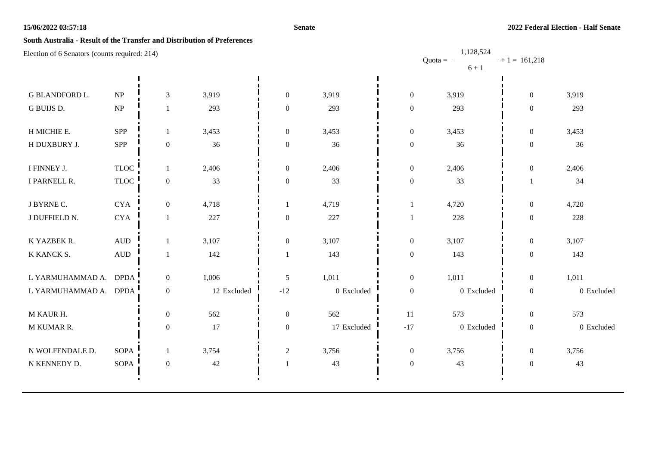#### **Senate**

## **South Australia - Result of the Transfer and Distribution of Preferences**

| Election of 6 Senators (counts required: 214) |                                   |                  |             |                  |             |                  | 1,128,524              |                   |            |
|-----------------------------------------------|-----------------------------------|------------------|-------------|------------------|-------------|------------------|------------------------|-------------------|------------|
|                                               |                                   |                  |             |                  |             |                  | Quota = $-$<br>$6 + 1$ | $- + 1 = 161,218$ |            |
|                                               |                                   |                  |             |                  |             |                  |                        |                   |            |
| <b>G BLANDFORD L.</b>                         | $\ensuremath{\mathbf{NP}}\xspace$ | $\mathfrak{Z}$   | 3,919       | $\boldsymbol{0}$ | 3,919       | $\overline{0}$   | 3,919                  | $\boldsymbol{0}$  | 3,919      |
| G BUIJS D.                                    | $\ensuremath{\mathbf{NP}}\xspace$ | 1                | 293         | $\boldsymbol{0}$ | 293         | $\overline{0}$   | 293                    | $\boldsymbol{0}$  | 293        |
| H MICHIE E.                                   | SPP                               | 1                | 3,453       | $\boldsymbol{0}$ | 3,453       | $\overline{0}$   | 3,453                  | $\boldsymbol{0}$  | 3,453      |
| H DUXBURY J.                                  | SPP                               | $\boldsymbol{0}$ | 36          | $\boldsymbol{0}$ | 36          | $\boldsymbol{0}$ | 36                     | $\boldsymbol{0}$  | 36         |
| I FINNEY J.                                   | <b>TLOC</b>                       | 1                | 2,406       | $\boldsymbol{0}$ | 2,406       | $\boldsymbol{0}$ | 2,406                  | $\boldsymbol{0}$  | 2,406      |
| I PARNELL R.                                  | <b>TLOC</b>                       | $\boldsymbol{0}$ | 33          | $\boldsymbol{0}$ | 33          | $\mathbf{0}$     | 33                     | 1                 | 34         |
| J BYRNE C.                                    | <b>CYA</b>                        | $\boldsymbol{0}$ | 4,718       | $\mathbf{1}$     | 4,719       |                  | 4,720                  | $\boldsymbol{0}$  | 4,720      |
| J DUFFIELD N.                                 | <b>CYA</b>                        | 1                | 227         | $\boldsymbol{0}$ | 227         |                  | 228                    | $\boldsymbol{0}$  | 228        |
| K YAZBEK R.                                   | $\hbox{AUD}$                      |                  | 3,107       | $\boldsymbol{0}$ | 3,107       | $\overline{0}$   | 3,107                  | $\boldsymbol{0}$  | 3,107      |
| K KANCK S.                                    | $\mbox{AUD}$                      | 1                | 142         | -1               | 143         | $\mathbf{0}$     | 143                    | $\boldsymbol{0}$  | 143        |
| L YARMUHAMMAD A.                              | <b>DPDA</b>                       | $\boldsymbol{0}$ | 1,006       | $\sqrt{5}$       | 1,011       | $\overline{0}$   | 1,011                  | $\boldsymbol{0}$  | 1,011      |
| L YARMUHAMMAD A. DPDA                         |                                   | $\boldsymbol{0}$ | 12 Excluded | $-12$            | 0 Excluded  | $\boldsymbol{0}$ | 0 Excluded             | $\boldsymbol{0}$  | 0 Excluded |
| M KAUR H.                                     |                                   | $\boldsymbol{0}$ | 562         | $\mathbf{0}$     | 562         | 11               | 573                    | $\boldsymbol{0}$  | 573        |
| M KUMAR R.                                    |                                   | $\boldsymbol{0}$ | 17          | $\boldsymbol{0}$ | 17 Excluded | $-17$            | $0\,$ Excluded         | $\boldsymbol{0}$  | 0 Excluded |
| N WOLFENDALE D.                               | <b>SOPA</b>                       | 1                | 3,754       | $\boldsymbol{2}$ | 3,756       | $\boldsymbol{0}$ | 3,756                  | $\boldsymbol{0}$  | 3,756      |
| N KENNEDY D.                                  | <b>SOPA</b>                       | $\boldsymbol{0}$ | $42\,$      |                  | 43          | $\overline{0}$   | 43                     | $\boldsymbol{0}$  | 43         |
|                                               |                                   |                  |             |                  |             |                  |                        |                   |            |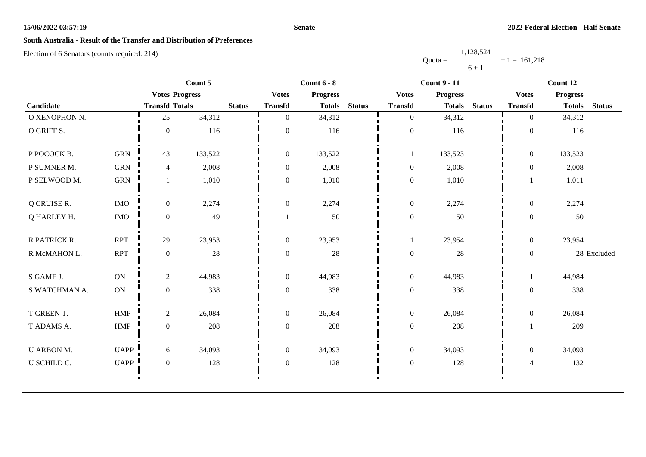#### **Senate**

# **South Australia - Result of the Transfer and Distribution of Preferences**

|           | 1,128,524 |                   |
|-----------|-----------|-------------------|
| $Quota =$ |           | $-$ + 1 = 161.218 |
|           | $6 + 1$   |                   |

|                   |             |                       | Count 5 |               | Count $6 - 8$    |                 |               | <b>Count 9 - 11</b> |                 |               | Count 12         |                 |               |
|-------------------|-------------|-----------------------|---------|---------------|------------------|-----------------|---------------|---------------------|-----------------|---------------|------------------|-----------------|---------------|
|                   |             | <b>Votes Progress</b> |         |               | <b>Votes</b>     | <b>Progress</b> |               | <b>Votes</b>        | <b>Progress</b> |               | <b>Votes</b>     | <b>Progress</b> |               |
| Candidate         |             | <b>Transfd Totals</b> |         | <b>Status</b> | <b>Transfd</b>   | <b>Totals</b>   | <b>Status</b> | <b>Transfd</b>      | <b>Totals</b>   | <b>Status</b> | <b>Transfd</b>   | <b>Totals</b>   | <b>Status</b> |
| O XENOPHON N.     |             | 25                    | 34,312  |               | $\mathbf{0}$     | 34,312          |               | $\overline{0}$      | 34,312          |               | $\overline{0}$   | 34,312          |               |
| O GRIFF S.        |             | $\mathbf{0}$          | 116     |               | $\mathbf{0}$     | 116             |               | $\boldsymbol{0}$    | 116             |               | $\boldsymbol{0}$ | 116             |               |
| P POCOCK B.       | <b>GRN</b>  | 43                    | 133,522 |               | $\mathbf{0}$     | 133,522         |               | $\mathbf{1}$        | 133,523         |               | $\boldsymbol{0}$ | 133,523         |               |
| P SUMNER M.       | <b>GRN</b>  | $\overline{4}$        | 2,008   |               | $\mathbf{0}$     | 2,008           |               | $\boldsymbol{0}$    | 2,008           |               | $\mathbf{0}$     | 2,008           |               |
| P SELWOOD M.      | <b>GRN</b>  | 1                     | 1,010   |               | $\mathbf{0}$     | 1,010           |               | $\boldsymbol{0}$    | 1,010           |               |                  | 1,011           |               |
| Q CRUISE R.       | <b>IMO</b>  | $\overline{0}$        | 2,274   |               | $\mathbf{0}$     | 2,274           |               | $\boldsymbol{0}$    | 2,274           |               | $\mathbf{0}$     | 2,274           |               |
| Q HARLEY H.       | <b>IMO</b>  | $\boldsymbol{0}$      | 49      |               |                  | 50              |               | $\boldsymbol{0}$    | 50              |               | $\boldsymbol{0}$ | 50              |               |
| R PATRICK R.      | <b>RPT</b>  | 29                    | 23,953  |               | $\boldsymbol{0}$ | 23,953          |               | 1                   | 23,954          |               | $\boldsymbol{0}$ | 23,954          |               |
| R McMAHON L.      | <b>RPT</b>  | $\boldsymbol{0}$      | $28\,$  |               | $\overline{0}$   | $28\,$          |               | $\boldsymbol{0}$    | $28\,$          |               | $\boldsymbol{0}$ |                 | 28 Excluded   |
| S GAME J.         | <b>ON</b>   | $\overline{2}$        | 44,983  |               | $\mathbf{0}$     | 44,983          |               | $\boldsymbol{0}$    | 44,983          |               | $\mathbf{1}$     | 44,984          |               |
| S WATCHMAN A.     | ON          | $\boldsymbol{0}$      | 338     |               | $\mathbf{0}$     | 338             |               | $\boldsymbol{0}$    | 338             |               | $\boldsymbol{0}$ | 338             |               |
| T GREEN T.        | <b>HMP</b>  | $\overline{2}$        | 26,084  |               | $\mathbf{0}$     | 26,084          |               | $\boldsymbol{0}$    | 26,084          |               | $\boldsymbol{0}$ | 26,084          |               |
| T ADAMS A.        | HMP         | $\overline{0}$        | 208     |               | $\boldsymbol{0}$ | 208             |               | $\boldsymbol{0}$    | 208             |               |                  | 209             |               |
| <b>U ARBON M.</b> | <b>UAPP</b> | 6                     | 34,093  |               | $\overline{0}$   | 34,093          |               | $\boldsymbol{0}$    | 34,093          |               | $\mathbf{0}$     | 34,093          |               |
| U SCHILD C.       | <b>UAPP</b> | $\boldsymbol{0}$      | 128     |               | $\boldsymbol{0}$ | 128             |               | $\boldsymbol{0}$    | 128             |               | $\overline{4}$   | 132             |               |
|                   |             |                       |         |               |                  |                 |               |                     |                 |               |                  |                 |               |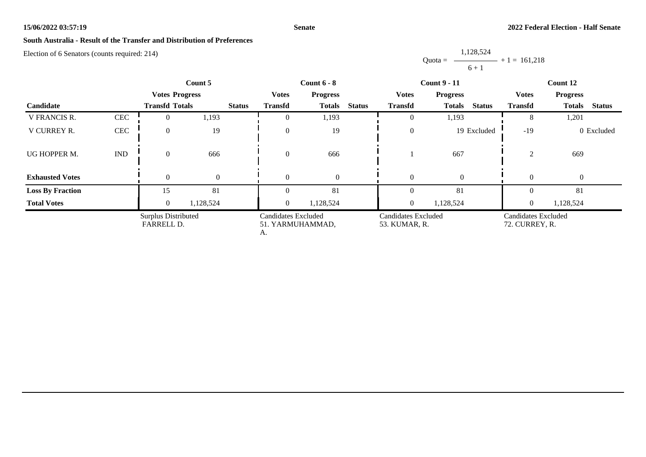#### **Senate**

# **South Australia - Result of the Transfer and Distribution of Preferences**

Election of 6 Senators (counts required: 214)

Quota = 1,128,524  $6 + 1$  $+ 1 = 161,218$ 

| Count 5                 |                             | <b>Count 6 - 8</b>                |           |               |                                                      | <b>Count 9 - 11</b> | Count 12      |                                      |                                |                                       |                                |
|-------------------------|-----------------------------|-----------------------------------|-----------|---------------|------------------------------------------------------|---------------------|---------------|--------------------------------------|--------------------------------|---------------------------------------|--------------------------------|
|                         |                             | <b>Votes Progress</b>             |           |               | <b>Votes</b>                                         | <b>Progress</b>     |               | <b>Votes</b>                         | <b>Progress</b>                | <b>Votes</b>                          | <b>Progress</b>                |
| Candidate               |                             | <b>Transfd Totals</b>             |           | <b>Status</b> | <b>Transfd</b>                                       | <b>Totals</b>       | <b>Status</b> | <b>Transfd</b>                       | <b>Status</b><br><b>Totals</b> | <b>Transfd</b>                        | <b>Status</b><br><b>Totals</b> |
| V FRANCIS R.            | <b>CEC</b>                  |                                   | 1,193     |               | $\theta$                                             | 1,193               |               | $\overline{0}$                       | 1,193                          | δ                                     | 1,201                          |
| V CURREY R.             | $\mbox{CEC}$                |                                   | 19        |               | $\theta$                                             | 19                  |               | $\theta$                             | 19 Excluded                    | $-19$                                 | 0 Excluded                     |
| UG HOPPER M.            | $\mathop{\rm IND}\nolimits$ | $\Omega$                          | 666       |               | $\theta$                                             | 666                 |               |                                      | 667                            | $\mathcal{D}_{\mathcal{L}}$           | 669                            |
| <b>Exhausted Votes</b>  |                             |                                   | $\Omega$  |               | $\theta$                                             | $\Omega$            |               | $\theta$                             | $\overline{0}$                 | $\Omega$                              | $\overline{0}$                 |
| <b>Loss By Fraction</b> |                             | 15                                | 81        |               | $\Omega$                                             | 81                  |               | $\Omega$                             | 81                             |                                       | 81                             |
| <b>Total Votes</b>      |                             | $\theta$                          | 1,128,524 |               | $\overline{0}$                                       | 1,128,524           |               | $\overline{0}$                       | 1,128,524                      | $\overline{0}$                        | 1,128,524                      |
|                         |                             | Surplus Distributed<br>FARRELL D. |           |               | <b>Candidates Excluded</b><br>51. YARMUHAMMAD,<br>А. |                     |               | Candidates Excluded<br>53. KUMAR, R. |                                | Candidates Excluded<br>72. CURREY, R. |                                |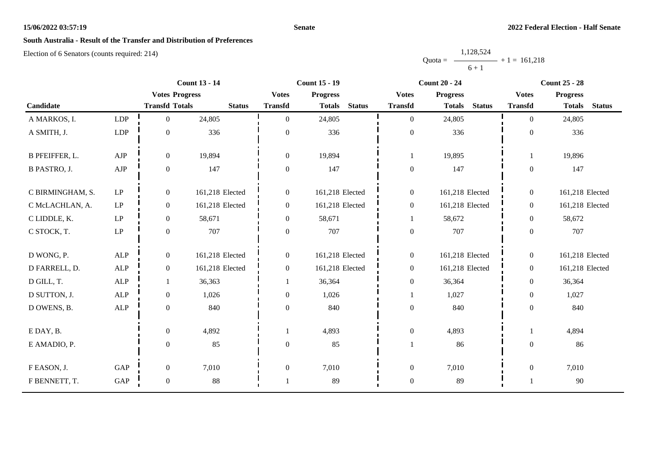#### **Senate**

# **South Australia - Result of the Transfer and Distribution of Preferences**

|           | 1,128,524 |                   |
|-----------|-----------|-------------------|
| $Quota =$ |           | $-$ + 1 = 161.218 |
|           | $6 + 1$   |                   |

|                       |                            |                       | <b>Count 13 - 14</b><br><b>Count 15 - 19</b> |                  |                 | <b>Count 20 - 24</b> |                  | <b>Count 25 - 28</b> |               |                  |                 |               |
|-----------------------|----------------------------|-----------------------|----------------------------------------------|------------------|-----------------|----------------------|------------------|----------------------|---------------|------------------|-----------------|---------------|
|                       |                            | <b>Votes Progress</b> |                                              | <b>Votes</b>     | <b>Progress</b> |                      | <b>Votes</b>     | <b>Progress</b>      |               | <b>Votes</b>     | <b>Progress</b> |               |
| Candidate             |                            | <b>Transfd Totals</b> | <b>Status</b>                                | <b>Transfd</b>   | <b>Totals</b>   | <b>Status</b>        | <b>Transfd</b>   | <b>Totals</b>        | <b>Status</b> | <b>Transfd</b>   | <b>Totals</b>   | <b>Status</b> |
| A MARKOS, I.          | LDP                        | $\overline{0}$        | 24,805                                       | $\Omega$         | 24,805          |                      | $\overline{0}$   | 24,805               |               | $\theta$         | 24,805          |               |
| A SMITH, J.           | ${\rm LDP}$                | $\boldsymbol{0}$      | 336                                          | $\boldsymbol{0}$ | 336             |                      | $\boldsymbol{0}$ | 336                  |               | $\mathbf{0}$     | 336             |               |
| <b>B PFEIFFER, L.</b> | AJP                        | $\boldsymbol{0}$      | 19,894                                       | $\boldsymbol{0}$ | 19,894          |                      | $\mathbf 1$      | 19,895               |               |                  | 19,896          |               |
| <b>B PASTRO, J.</b>   | ${\rm AJP}$                | $\boldsymbol{0}$      | 147                                          | $\overline{0}$   | 147             |                      | $\boldsymbol{0}$ | 147                  |               | $\boldsymbol{0}$ | 147             |               |
| C BIRMINGHAM, S.      | $\operatorname{LP}$        | $\overline{0}$        | 161,218 Elected                              | $\overline{0}$   | 161,218 Elected |                      | $\boldsymbol{0}$ | 161,218 Elected      |               | $\boldsymbol{0}$ | 161,218 Elected |               |
| C McLACHLAN, A.       | $\ensuremath{\mathrm{LP}}$ | $\boldsymbol{0}$      | 161,218 Elected                              | $\overline{0}$   | 161,218 Elected |                      | $\boldsymbol{0}$ | 161,218 Elected      |               | $\overline{0}$   | 161,218 Elected |               |
| C LIDDLE, K.          | $\operatorname{LP}$        | $\boldsymbol{0}$      | 58,671                                       | $\overline{0}$   | 58,671          |                      | 1                | 58,672               |               | $\overline{0}$   | 58,672          |               |
| C STOCK, T.           | $\ensuremath{\mathrm{LP}}$ | $\boldsymbol{0}$      | 707                                          | $\boldsymbol{0}$ | 707             |                      | $\boldsymbol{0}$ | 707                  |               | $\overline{0}$   | 707             |               |
| D WONG, P.            | ALP                        | $\boldsymbol{0}$      | 161,218 Elected                              | $\overline{0}$   | 161,218 Elected |                      | $\boldsymbol{0}$ | 161,218 Elected      |               | $\overline{0}$   | 161,218 Elected |               |
| D FARRELL, D.         | ALP                        | $\boldsymbol{0}$      | 161,218 Elected                              | $\overline{0}$   | 161,218 Elected |                      | $\boldsymbol{0}$ | 161,218 Elected      |               | $\overline{0}$   | 161,218 Elected |               |
| D GILL, T.            | ALP                        | $\mathbf{1}$          | 36,363                                       |                  | 36,364          |                      | $\boldsymbol{0}$ | 36,364               |               | $\overline{0}$   | 36,364          |               |
| D SUTTON, J.          | ALP                        | $\boldsymbol{0}$      | 1,026                                        | $\Omega$         | 1,026           |                      | -1               | 1,027                |               | $\overline{0}$   | 1,027           |               |
| D OWENS, B.           | ALP                        | $\boldsymbol{0}$      | 840                                          | $\boldsymbol{0}$ | 840             |                      | $\boldsymbol{0}$ | 840                  |               | $\overline{0}$   | 840             |               |
| E DAY, B.             |                            | $\boldsymbol{0}$      | 4,892                                        |                  | 4,893           |                      | $\boldsymbol{0}$ | 4,893                |               |                  | 4,894           |               |
| E AMADIO, P.          |                            | $\boldsymbol{0}$      | 85                                           | $\mathbf{0}$     | 85              |                      |                  | 86                   |               | $\boldsymbol{0}$ | 86              |               |
| F EASON, J.           | GAP                        | $\mathbf{0}$          | 7,010                                        | $\boldsymbol{0}$ | 7,010           |                      | $\boldsymbol{0}$ | 7,010                |               | $\boldsymbol{0}$ | 7,010           |               |
| F BENNETT, T.         | GAP                        | $\boldsymbol{0}$      | $88\,$                                       |                  | 89              |                      | $\boldsymbol{0}$ | 89                   |               |                  | 90              |               |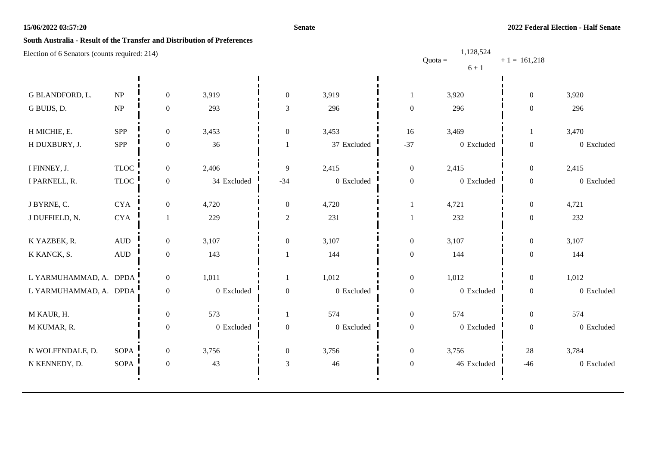#### **Senate**

## **South Australia - Result of the Transfer and Distribution of Preferences**

| Election of 6 Senators (counts required: 214) |                                   |                  |             |                  |             |                  | 1,128,524              |                   |            |
|-----------------------------------------------|-----------------------------------|------------------|-------------|------------------|-------------|------------------|------------------------|-------------------|------------|
|                                               |                                   |                  |             |                  |             |                  | Quota = $-$<br>$6 + 1$ | $- + 1 = 161,218$ |            |
|                                               |                                   |                  |             |                  |             |                  |                        |                   |            |
| G BLANDFORD, L.                               | $\ensuremath{\text{NP}}\xspace$   | $\boldsymbol{0}$ | 3,919       | $\boldsymbol{0}$ | 3,919       |                  | 3,920                  | $\overline{0}$    | 3,920      |
| G BUIJS, D.                                   | $\ensuremath{\mathbf{NP}}\xspace$ | $\boldsymbol{0}$ | 293         | $\overline{3}$   | 296         | $\boldsymbol{0}$ | 296                    | $\boldsymbol{0}$  | 296        |
| H MICHIE, E.                                  | SPP                               | $\boldsymbol{0}$ | 3,453       | $\boldsymbol{0}$ | 3,453       | 16               | 3,469                  |                   | 3,470      |
| H DUXBURY, J.                                 | SPP                               | $\boldsymbol{0}$ | 36          |                  | 37 Excluded | $-37$            | 0 Excluded             | $\boldsymbol{0}$  | 0 Excluded |
| I FINNEY, J.                                  | <b>TLOC</b>                       | $\boldsymbol{0}$ | 2,406       | 9                | 2,415       | $\boldsymbol{0}$ | 2,415                  | $\boldsymbol{0}$  | 2,415      |
| I PARNELL, R.                                 | $\ensuremath{\mathsf{TLOC}}$      | $\boldsymbol{0}$ | 34 Excluded | $-34$            | 0 Excluded  | $\boldsymbol{0}$ | 0 Excluded             | $\boldsymbol{0}$  | 0 Excluded |
| J BYRNE, C.                                   | <b>CYA</b>                        | $\boldsymbol{0}$ | 4,720       | $\boldsymbol{0}$ | 4,720       | -1               | 4,721                  | $\boldsymbol{0}$  | 4,721      |
| J DUFFIELD, N.                                | <b>CYA</b>                        | 1                | 229         | $\overline{2}$   | 231         |                  | 232                    | $\boldsymbol{0}$  | 232        |
| K YAZBEK, R.                                  | $\hbox{AUD}$                      | $\boldsymbol{0}$ | 3,107       | $\boldsymbol{0}$ | 3,107       | $\boldsymbol{0}$ | 3,107                  | $\boldsymbol{0}$  | 3,107      |
| K KANCK, S.                                   | $\hbox{AUD}$                      | $\boldsymbol{0}$ | 143         |                  | 144         | $\boldsymbol{0}$ | 144                    | $\boldsymbol{0}$  | 144        |
| L YARMUHAMMAD, A. DPDA                        |                                   | $\mathbf{0}$     | 1,011       | $\mathbf{1}$     | 1,012       | $\boldsymbol{0}$ | 1,012                  | $\boldsymbol{0}$  | 1,012      |
| L YARMUHAMMAD, A. DPDA                        |                                   | $\boldsymbol{0}$ | 0 Excluded  | $\boldsymbol{0}$ | 0 Excluded  | $\boldsymbol{0}$ | 0 Excluded             | $\boldsymbol{0}$  | 0 Excluded |
| M KAUR, H.                                    |                                   | $\boldsymbol{0}$ | 573         |                  | 574         | $\boldsymbol{0}$ | 574                    | $\boldsymbol{0}$  | 574        |
| M KUMAR, R.                                   |                                   | $\boldsymbol{0}$ | 0 Excluded  | $\boldsymbol{0}$ | 0 Excluded  | $\boldsymbol{0}$ | 0 Excluded             | $\boldsymbol{0}$  | 0 Excluded |
| N WOLFENDALE, D.                              | <b>SOPA</b>                       | $\overline{0}$   | 3,756       | $\boldsymbol{0}$ | 3,756       | $\boldsymbol{0}$ | 3,756                  | 28                | 3,784      |
| N KENNEDY, D.                                 | SOPA                              | $\boldsymbol{0}$ | 43          | $\overline{3}$   | 46          | $\boldsymbol{0}$ | 46 Excluded            | $-46$             | 0 Excluded |
|                                               |                                   |                  |             |                  |             |                  |                        |                   |            |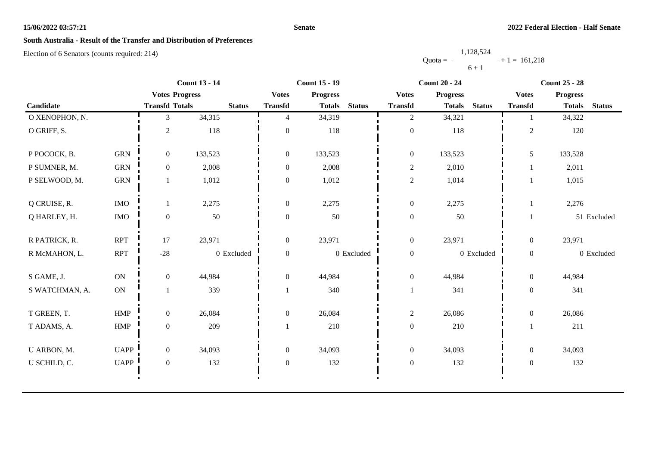#### **Senate**

# **South Australia - Result of the Transfer and Distribution of Preferences**

|           | 1,128,524      |  |
|-----------|----------------|--|
| $Quota =$ | $+1 = 161.218$ |  |
|           | $6 + 1$        |  |

|                |               |                       | <b>Count 13 - 14</b> | <b>Count 15 - 19</b><br><b>Count 20 - 24</b> |                 |               |                  |                                | <b>Count 25 - 28</b> |                 |               |
|----------------|---------------|-----------------------|----------------------|----------------------------------------------|-----------------|---------------|------------------|--------------------------------|----------------------|-----------------|---------------|
|                |               | <b>Votes Progress</b> |                      | <b>Votes</b>                                 | <b>Progress</b> |               | <b>Votes</b>     | <b>Progress</b>                | <b>Votes</b>         | <b>Progress</b> |               |
| Candidate      |               | <b>Transfd Totals</b> | <b>Status</b>        | <b>Transfd</b>                               | <b>Totals</b>   | <b>Status</b> | <b>Transfd</b>   | <b>Status</b><br><b>Totals</b> | <b>Transfd</b>       | <b>Totals</b>   | <b>Status</b> |
| O XENOPHON, N. |               | 3                     | 34,315               | $\overline{4}$                               | 34,319          |               | $\overline{2}$   | 34,321                         | 1                    | 34,322          |               |
| O GRIFF, S.    |               | $\overline{c}$        | 118                  | $\Omega$                                     | 118             |               | $\boldsymbol{0}$ | 118                            | $\overline{2}$       | 120             |               |
| P POCOCK, B.   | <b>GRN</b>    | $\overline{0}$        | 133,523              | $\overline{0}$                               | 133,523         |               | $\boldsymbol{0}$ | 133,523                        | 5                    | 133,528         |               |
| P SUMNER, M.   | <b>GRN</b>    | $\overline{0}$        | 2,008                | $\boldsymbol{0}$                             | 2,008           |               | $\overline{c}$   | 2,010                          | 1                    | 2,011           |               |
| P SELWOOD, M.  | <b>GRN</b>    |                       | 1,012                | $\boldsymbol{0}$                             | 1,012           |               | $\overline{c}$   | 1,014                          |                      | 1,015           |               |
| Q CRUISE, R.   | <b>IMO</b>    |                       | 2,275                | $\mathbf{0}$                                 | 2,275           |               | $\boldsymbol{0}$ | 2,275                          | 1                    | 2,276           |               |
| Q HARLEY, H.   | $\rm{IMO}$    | $\boldsymbol{0}$      | 50                   | $\boldsymbol{0}$                             | 50              |               | $\boldsymbol{0}$ | 50                             |                      |                 | 51 Excluded   |
| R PATRICK, R.  | <b>RPT</b>    | 17                    | 23,971               | $\mathbf{0}$                                 | 23,971          |               | $\boldsymbol{0}$ | 23,971                         | $\overline{0}$       | 23,971          |               |
| R McMAHON, L.  | <b>RPT</b>    | $-28$                 | 0 Excluded           | $\boldsymbol{0}$                             |                 | 0 Excluded    | $\boldsymbol{0}$ | 0 Excluded                     | $\boldsymbol{0}$     |                 | 0 Excluded    |
| S GAME, J.     | ON            | $\overline{0}$        | 44,984               | $\overline{0}$                               | 44,984          |               | $\boldsymbol{0}$ | 44,984                         | $\overline{0}$       | 44,984          |               |
| S WATCHMAN, A. | $\mathbf{ON}$ |                       | 339                  |                                              | 340             |               |                  | 341                            | $\boldsymbol{0}$     | 341             |               |
| T GREEN, T.    | HMP           | $\overline{0}$        | 26,084               | $\overline{0}$                               | 26,084          |               | $\overline{c}$   | 26,086                         | $\boldsymbol{0}$     | 26,086          |               |
| T ADAMS, A.    | ${\rm HMP}$   | $\overline{0}$        | 209                  |                                              | 210             |               | $\boldsymbol{0}$ | 210                            |                      | 211             |               |
| U ARBON, M.    | <b>UAPP</b>   | $\overline{0}$        | 34,093               | $\overline{0}$                               | 34,093          |               | $\boldsymbol{0}$ | 34,093                         | $\mathbf{0}$         | 34,093          |               |
| U SCHILD, C.   | <b>UAPP</b>   | $\overline{0}$        | 132                  | $\boldsymbol{0}$                             | 132             |               | $\boldsymbol{0}$ | 132                            | $\boldsymbol{0}$     | 132             |               |
|                |               |                       |                      |                                              |                 |               |                  |                                |                      |                 |               |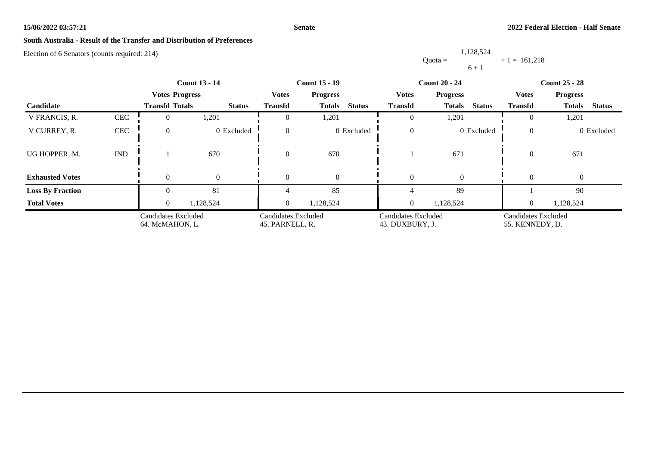#### **Senate**

# **South Australia - Result of the Transfer and Distribution of Preferences**

Election of 6 Senators (counts required: 214)

Quota = 1,128,524  $6 + 1$  $+ 1 = 161,218$ 

|                         | <b>Count 13 - 14</b>                          |                       |               | <b>Count 15 - 19</b>                          |                                | <b>Count 20 - 24</b>                          | <b>Count 25 - 28</b>           |                                        |                                |
|-------------------------|-----------------------------------------------|-----------------------|---------------|-----------------------------------------------|--------------------------------|-----------------------------------------------|--------------------------------|----------------------------------------|--------------------------------|
|                         |                                               | <b>Votes Progress</b> |               | <b>Votes</b>                                  | <b>Progress</b>                | <b>Votes</b>                                  | <b>Progress</b>                | <b>Votes</b>                           | <b>Progress</b>                |
| Candidate               |                                               | <b>Transfd Totals</b> | <b>Status</b> | <b>Transfd</b>                                | <b>Status</b><br><b>Totals</b> | <b>Transfd</b>                                | <b>Status</b><br><b>Totals</b> | <b>Transfd</b>                         | <b>Totals</b><br><b>Status</b> |
| V FRANCIS, R.           | CEC                                           |                       | 1,201         | $\theta$                                      | 1,201                          | $\overline{0}$                                | 1,201                          | $\left($                               | 1,201                          |
| V CURREY, R.            | CEC                                           | $\Omega$              | 0 Excluded    | $\Omega$                                      | 0 Excluded                     | $\boldsymbol{0}$                              | 0 Excluded                     | $\overline{0}$                         | 0 Excluded                     |
| UG HOPPER, M.           | $\mathop{\rm IND}\nolimits$                   |                       | 670           | $\theta$                                      | 670                            |                                               | 671                            | $\theta$                               | 671                            |
| <b>Exhausted Votes</b>  |                                               | $\Omega$              |               | $\theta$                                      | $\Omega$                       | $\overline{0}$                                | $\theta$                       | $\Omega$                               | $\overline{0}$                 |
| <b>Loss By Fraction</b> |                                               |                       | 81            |                                               | 85                             |                                               | 89                             |                                        | 90                             |
| <b>Total Votes</b>      |                                               | $\theta$              | 1,128,524     | $\overline{0}$                                | 1,128,524                      | $\overline{0}$                                | 1,128,524                      | $\overline{0}$                         | 1,128,524                      |
|                         | <b>Candidates Excluded</b><br>64. McMAHON, L. |                       |               | <b>Candidates Excluded</b><br>45. PARNELL, R. |                                | <b>Candidates Excluded</b><br>43. DUXBURY, J. |                                | Candidates Excluded<br>55. KENNEDY, D. |                                |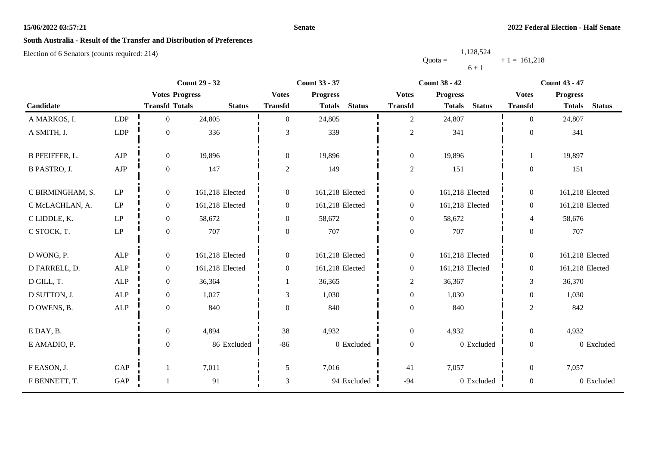#### **Senate**

# **South Australia - Result of the Transfer and Distribution of Preferences**

|           | 1,128,524 |                |
|-----------|-----------|----------------|
| $Quota =$ |           | $+1 = 161,218$ |
|           | $6 + 1$   |                |

| <b>Count 29 - 32</b>  |                            |                       | <b>Count 33 - 37</b> |                  |                 |               | <b>Count 38 - 42</b> |                 | <b>Count 43 - 47</b> |                  |                 |               |
|-----------------------|----------------------------|-----------------------|----------------------|------------------|-----------------|---------------|----------------------|-----------------|----------------------|------------------|-----------------|---------------|
|                       |                            | <b>Votes Progress</b> |                      | <b>Votes</b>     | <b>Progress</b> |               | <b>Votes</b>         | <b>Progress</b> |                      | <b>Votes</b>     | <b>Progress</b> |               |
| Candidate             |                            | <b>Transfd Totals</b> | <b>Status</b>        | <b>Transfd</b>   | <b>Totals</b>   | <b>Status</b> | <b>Transfd</b>       | <b>Totals</b>   | <b>Status</b>        | <b>Transfd</b>   | <b>Totals</b>   | <b>Status</b> |
| A MARKOS, I.          | LDP                        | $\overline{0}$        | 24,805               | $\theta$         | 24,805          |               | $\overline{2}$       | 24,807          |                      | $\Omega$         | 24,807          |               |
| A SMITH, J.           | LDP                        | $\boldsymbol{0}$      | 336                  | 3                | 339             |               | $\overline{c}$       | 341             |                      | $\theta$         | 341             |               |
| <b>B PFEIFFER, L.</b> | ${\rm AJP}$                | $\boldsymbol{0}$      | 19,896               | $\boldsymbol{0}$ | 19,896          |               | $\boldsymbol{0}$     | 19,896          |                      |                  | 19,897          |               |
| <b>B PASTRO, J.</b>   | ${\rm AJP}$                | $\mathbf{0}$          | 147                  | $\overline{c}$   | 149             |               | $\overline{2}$       | 151             |                      | $\overline{0}$   | 151             |               |
| C BIRMINGHAM, S.      | $\mathrm{LP}$              | $\boldsymbol{0}$      | 161,218 Elected      | $\boldsymbol{0}$ | 161,218 Elected |               | $\boldsymbol{0}$     | 161,218 Elected |                      | $\overline{0}$   | 161,218 Elected |               |
| C McLACHLAN, A.       | $\ensuremath{\mathrm{LP}}$ | $\boldsymbol{0}$      | 161,218 Elected      | $\boldsymbol{0}$ | 161,218 Elected |               | $\boldsymbol{0}$     | 161,218 Elected |                      | $\overline{0}$   | 161,218 Elected |               |
| C LIDDLE, K.          | $\ensuremath{\mathrm{LP}}$ | $\mathbf{0}$          | 58,672               | $\mathbf{0}$     | 58,672          |               | $\boldsymbol{0}$     | 58,672          |                      | $\overline{4}$   | 58,676          |               |
| C STOCK, T.           | $\ensuremath{\mathrm{LP}}$ | $\boldsymbol{0}$      | 707                  | $\mathbf{0}$     | 707             |               | $\boldsymbol{0}$     | 707             |                      | $\overline{0}$   | 707             |               |
| D WONG, P.            | ALP                        | $\boldsymbol{0}$      | 161,218 Elected      | $\boldsymbol{0}$ | 161,218 Elected |               | $\boldsymbol{0}$     | 161,218 Elected |                      | $\overline{0}$   | 161,218 Elected |               |
| D FARRELL, D.         | <b>ALP</b>                 | $\mathbf{0}$          | 161,218 Elected      | $\mathbf{0}$     | 161,218 Elected |               | $\boldsymbol{0}$     | 161,218 Elected |                      | $\overline{0}$   | 161,218 Elected |               |
| D GILL, T.            | ${\sf ALP}$                | $\mathbf{0}$          | 36,364               |                  | 36,365          |               | $\overline{c}$       | 36,367          |                      | 3                | 36,370          |               |
| D SUTTON, J.          | ALP                        | $\mathbf{0}$          | 1,027                | 3                | 1,030           |               | $\boldsymbol{0}$     | 1,030           |                      | $\overline{0}$   | 1,030           |               |
| D OWENS, B.           | $\mbox{ALP}$               | $\boldsymbol{0}$      | 840                  | $\mathbf{0}$     | 840             |               | $\boldsymbol{0}$     | 840             |                      | $\overline{c}$   | 842             |               |
| E DAY, B.             |                            | $\boldsymbol{0}$      | 4,894                | 38               | 4,932           |               | $\boldsymbol{0}$     | 4,932           |                      | $\overline{0}$   | 4,932           |               |
| E AMADIO, P.          |                            | $\boldsymbol{0}$      | 86 Excluded          | $-86$            |                 | 0 Excluded    | $\boldsymbol{0}$     |                 | 0 Excluded           | $\overline{0}$   |                 | 0 Excluded    |
| F EASON, J.           | $\operatorname{GAP}$       |                       | 7,011                | 5                | 7,016           |               | 41                   | 7,057           |                      | $\overline{0}$   | 7,057           |               |
| F BENNETT, T.         | GAP                        |                       | 91                   | 3                |                 | 94 Excluded   | $-94$                |                 | 0 Excluded           | $\boldsymbol{0}$ |                 | 0 Excluded    |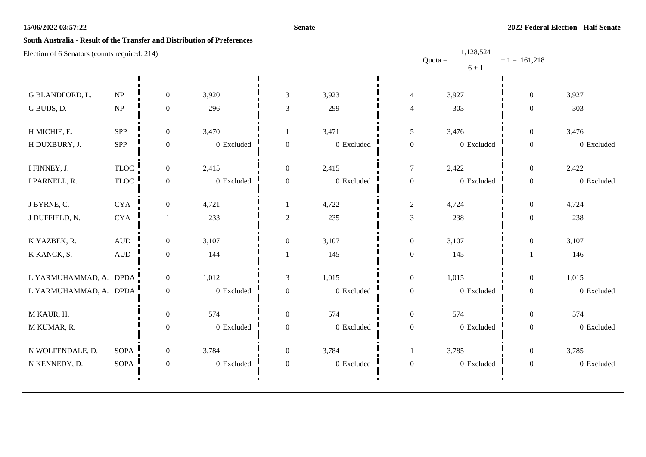#### **Senate**

# **South Australia - Result of the Transfer and Distribution of Preferences**

| Election of 6 Senators (counts required: 214) |                              |                  |            |                  | 1,128,524<br>$- + 1 = 161,218$<br>Quota = $-$ |                  |            |                  |            |  |
|-----------------------------------------------|------------------------------|------------------|------------|------------------|-----------------------------------------------|------------------|------------|------------------|------------|--|
|                                               |                              |                  |            |                  |                                               |                  | $6 + 1$    |                  |            |  |
|                                               |                              |                  |            |                  |                                               |                  |            |                  |            |  |
| G BLANDFORD, L.                               | NP                           | $\overline{0}$   | 3,920      | $\mathfrak{Z}$   | 3,923                                         | $\overline{4}$   | 3,927      | $\boldsymbol{0}$ | 3,927      |  |
| G BUIJS, D.                                   | NP                           | $\boldsymbol{0}$ | 296        | 3                | 299                                           | $\overline{4}$   | 303        | $\mathbf{0}$     | 303        |  |
| H MICHIE, E.                                  | <b>SPP</b>                   | $\boldsymbol{0}$ | 3,470      |                  | 3,471                                         | $\mathfrak s$    | 3,476      | $\boldsymbol{0}$ | 3,476      |  |
| H DUXBURY, J.                                 | SPP                          | 0                | 0 Excluded | $\boldsymbol{0}$ | $0\,$ Excluded                                | $\boldsymbol{0}$ | 0 Excluded | $\boldsymbol{0}$ | 0 Excluded |  |
| I FINNEY, J.                                  | <b>TLOC</b>                  | $\boldsymbol{0}$ | 2,415      | $\boldsymbol{0}$ | 2,415                                         | $\boldsymbol{7}$ | 2,422      | $\boldsymbol{0}$ | 2,422      |  |
| I PARNELL, R.                                 | $\ensuremath{\mathsf{TLOC}}$ | $\boldsymbol{0}$ | 0 Excluded | $\boldsymbol{0}$ | $0\,$ Excluded                                | $\boldsymbol{0}$ | 0 Excluded | $\boldsymbol{0}$ | 0 Excluded |  |
| J BYRNE, C.                                   | $\rm CYA$                    | $\boldsymbol{0}$ | 4,721      | 1                | 4,722                                         | $\overline{c}$   | 4,724      | $\boldsymbol{0}$ | 4,724      |  |
| J DUFFIELD, N.                                | $\rm CYA$                    | 1                | 233        | $\sqrt{2}$       | 235                                           | 3                | 238        | $\boldsymbol{0}$ | 238        |  |
| K YAZBEK, R.                                  | <b>AUD</b>                   | $\overline{0}$   | 3,107      | $\boldsymbol{0}$ | 3,107                                         | $\boldsymbol{0}$ | 3,107      | $\boldsymbol{0}$ | 3,107      |  |
| K KANCK, S.                                   | $\hbox{AUD}$                 | $\boldsymbol{0}$ | 144        |                  | 145                                           | $\boldsymbol{0}$ | 145        |                  | 146        |  |
| L YARMUHAMMAD, A. DPDA                        |                              | $\overline{0}$   | 1,012      | 3                | 1,015                                         | $\boldsymbol{0}$ | 1,015      | $\boldsymbol{0}$ | 1,015      |  |
| L YARMUHAMMAD, A. DPDA                        |                              | $\boldsymbol{0}$ | 0 Excluded | $\boldsymbol{0}$ | 0 Excluded                                    | $\boldsymbol{0}$ | 0 Excluded | $\boldsymbol{0}$ | 0 Excluded |  |
| M KAUR, H.                                    |                              | $\overline{0}$   | 574        | $\boldsymbol{0}$ | 574                                           | $\boldsymbol{0}$ | 574        | $\overline{0}$   | 574        |  |
| M KUMAR, R.                                   |                              | $\boldsymbol{0}$ | 0 Excluded | $\boldsymbol{0}$ | $0\,$ Excluded                                | $\boldsymbol{0}$ | 0 Excluded | $\boldsymbol{0}$ | 0 Excluded |  |
| N WOLFENDALE, D.                              | <b>SOPA</b>                  | $\overline{0}$   | 3,784      | $\overline{0}$   | 3,784                                         | -1               | 3,785      | $\boldsymbol{0}$ | 3,785      |  |
| N KENNEDY, D.                                 | <b>SOPA</b>                  | $\boldsymbol{0}$ | 0 Excluded | $\boldsymbol{0}$ | 0 Excluded                                    | $\boldsymbol{0}$ | 0 Excluded | $\boldsymbol{0}$ | 0 Excluded |  |
|                                               |                              |                  |            |                  |                                               |                  |            |                  |            |  |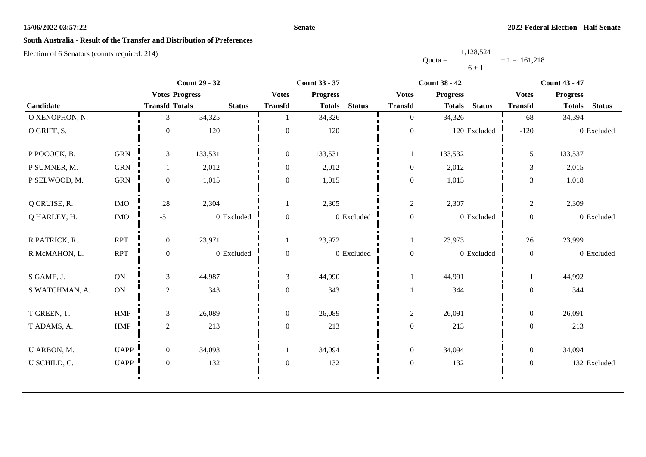#### **Senate**

# **South Australia - Result of the Transfer and Distribution of Preferences**

|           | 1,128,524      |  |
|-----------|----------------|--|
| $Quota =$ | $+1 = 161.218$ |  |
|           | $6 + 1$        |  |

|                |             |                       | <b>Count 29 - 32</b> |                  | <b>Count 33 - 37</b>           |                  | <b>Count 38 - 42</b>           | <b>Count 43 - 47</b> |                                |  |
|----------------|-------------|-----------------------|----------------------|------------------|--------------------------------|------------------|--------------------------------|----------------------|--------------------------------|--|
|                |             | <b>Votes Progress</b> |                      | <b>Votes</b>     | <b>Progress</b>                | <b>Votes</b>     | <b>Progress</b>                | <b>Votes</b>         | <b>Progress</b>                |  |
| Candidate      |             | <b>Transfd Totals</b> | <b>Status</b>        | <b>Transfd</b>   | <b>Status</b><br><b>Totals</b> | <b>Transfd</b>   | <b>Status</b><br><b>Totals</b> | <b>Transfd</b>       | <b>Status</b><br><b>Totals</b> |  |
| O XENOPHON, N. |             | 3                     | 34,325               |                  | 34,326                         | $\overline{0}$   | 34,326                         | 68                   | 34,394                         |  |
| O GRIFF, S.    |             | $\Omega$              | 120                  | $\Omega$         | 120                            | $\boldsymbol{0}$ | 120 Excluded                   | $-120$               | 0 Excluded                     |  |
| P POCOCK, B.   | <b>GRN</b>  | $\mathfrak{Z}$        | 133,531              | $\boldsymbol{0}$ | 133,531                        | 1                | 133,532                        | 5                    | 133,537                        |  |
| P SUMNER, M.   | <b>GRN</b>  |                       | 2,012                | $\theta$         | 2,012                          | $\mathbf{0}$     | 2,012                          | 3                    | 2,015                          |  |
| P SELWOOD, M.  | <b>GRN</b>  | $\overline{0}$        | 1,015                | $\overline{0}$   | 1,015                          | $\boldsymbol{0}$ | 1,015                          | 3                    | 1,018                          |  |
| Q CRUISE, R.   | <b>IMO</b>  | 28                    | 2,304                | 1                | 2,305                          | $\overline{c}$   | 2,307                          | $\overline{c}$       | 2,309                          |  |
| Q HARLEY, H.   | <b>IMO</b>  | $-51$                 | 0 Excluded           | $\boldsymbol{0}$ | 0 Excluded                     | $\boldsymbol{0}$ | 0 Excluded                     | $\boldsymbol{0}$     | 0 Excluded                     |  |
| R PATRICK, R.  | <b>RPT</b>  | $\overline{0}$        | 23,971               |                  | 23,972                         | 1                | 23,973                         | 26                   | 23,999                         |  |
| R McMAHON, L.  | <b>RPT</b>  | $\boldsymbol{0}$      | 0 Excluded           | $\boldsymbol{0}$ | 0 Excluded                     | $\boldsymbol{0}$ | 0 Excluded                     | $\boldsymbol{0}$     | 0 Excluded                     |  |
| S GAME, J.     | <b>ON</b>   | $\mathfrak{Z}$        | 44,987               | 3                | 44,990                         |                  | 44,991                         |                      | 44,992                         |  |
| S WATCHMAN, A. | ON          | $\overline{c}$        | 343                  | $\mathbf{0}$     | 343                            |                  | 344                            | $\boldsymbol{0}$     | 344                            |  |
| T GREEN, T.    | HMP         | $\mathfrak{Z}$        | 26,089               | $\boldsymbol{0}$ | 26,089                         | $\overline{c}$   | 26,091                         | $\overline{0}$       | 26,091                         |  |
| T ADAMS, A.    | <b>HMP</b>  | $\overline{c}$        | 213                  | $\mathbf{0}$     | 213                            | $\boldsymbol{0}$ | 213                            | $\mathbf{0}$         | 213                            |  |
| U ARBON, M.    | <b>UAPP</b> | $\overline{0}$        | 34,093               | 1                | 34,094                         | $\mathbf{0}$     | 34,094                         | $\overline{0}$       | 34,094                         |  |
| U SCHILD, C.   | <b>UAPP</b> | $\overline{0}$        | 132                  | $\boldsymbol{0}$ | 132                            | $\boldsymbol{0}$ | 132                            | $\boldsymbol{0}$     | 132 Excluded                   |  |
|                |             |                       |                      |                  |                                |                  |                                |                      |                                |  |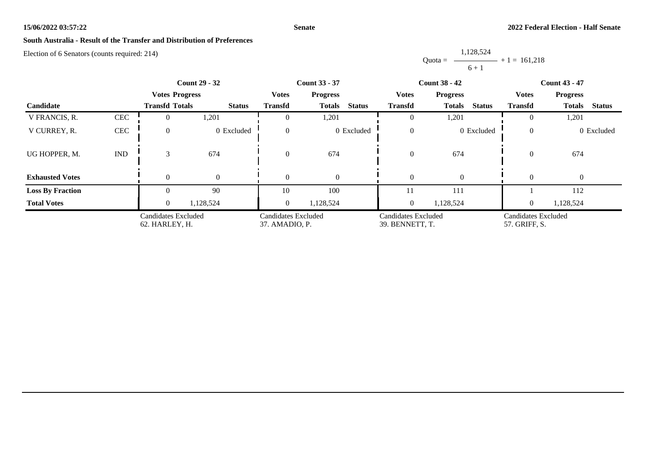#### **Senate**

# **South Australia - Result of the Transfer and Distribution of Preferences**

|           | 1,128,524      |
|-----------|----------------|
| $Quota =$ | $+1 = 161.218$ |
|           | $6 + 1$        |

|                         |                             | <b>Count 29 - 32</b><br><b>Votes Progress</b> |                | <b>Count 33 - 37</b>                  |                                |  |                                        | <b>Count 38 - 42</b>           | <b>Count 43 - 47</b>                 |                                |  |
|-------------------------|-----------------------------|-----------------------------------------------|----------------|---------------------------------------|--------------------------------|--|----------------------------------------|--------------------------------|--------------------------------------|--------------------------------|--|
|                         |                             |                                               |                | <b>Votes</b>                          | <b>Progress</b>                |  | <b>Votes</b>                           | <b>Progress</b>                | <b>Votes</b><br><b>Progress</b>      |                                |  |
| Candidate               |                             | <b>Transfd Totals</b>                         | <b>Status</b>  | <b>Transfd</b>                        | <b>Status</b><br><b>Totals</b> |  | <b>Transfd</b>                         | <b>Status</b><br><b>Totals</b> | <b>Transfd</b>                       | <b>Status</b><br><b>Totals</b> |  |
| V FRANCIS, R.           | CEC                         | 0                                             | 1,201          |                                       | 1,201                          |  |                                        | 1,201                          | $\Omega$                             | 1,201                          |  |
| V CURREY, R.            | CEC                         | $\Omega$                                      | 0 Excluded     | $\Omega$                              | 0 Excluded                     |  | $\Omega$                               | 0 Excluded                     | $\overline{0}$                       | 0 Excluded                     |  |
| UG HOPPER, M.           | $\mathop{\rm IND}\nolimits$ | 3                                             | 674            | $\Omega$                              | 674                            |  | $\overline{0}$                         | 674                            | $\theta$                             | 674                            |  |
| <b>Exhausted Votes</b>  |                             | $\Omega$                                      | $\overline{0}$ |                                       | $\Omega$                       |  |                                        | $\theta$                       | $\Omega$                             | $\overline{0}$                 |  |
| <b>Loss By Fraction</b> |                             |                                               | 90             | 10                                    | 100                            |  | 11                                     | 111                            |                                      | 112                            |  |
| <b>Total Votes</b>      |                             | $\Omega$                                      | 1,128,524      | $\overline{0}$                        | 1,128,524                      |  | $\overline{0}$                         | 1,128,524                      | $\overline{0}$                       | 1,128,524                      |  |
|                         |                             | Candidates Excluded<br>62. HARLEY, H.         |                | Candidates Excluded<br>37. AMADIO, P. |                                |  | Candidates Excluded<br>39. BENNETT, T. |                                | Candidates Excluded<br>57. GRIFF, S. |                                |  |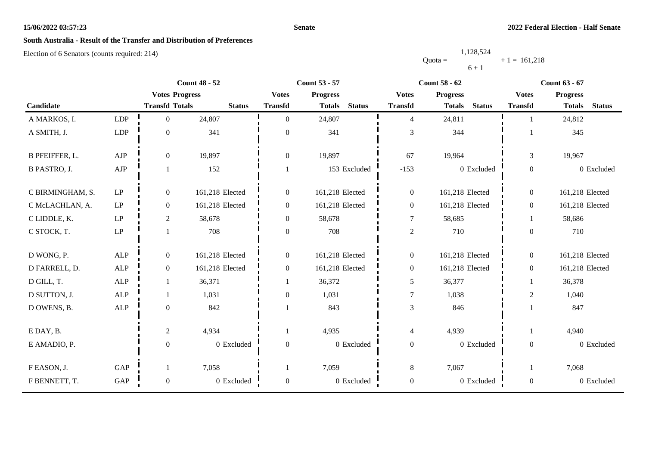#### **Senate**

# **South Australia - Result of the Transfer and Distribution of Preferences**

|           | 1,128,524 |                |  |
|-----------|-----------|----------------|--|
| $Quota =$ |           | $+1 = 161,218$ |  |
|           | $6 + 1$   |                |  |

|                       |                            |                       | <b>Count 48 - 52</b> |                  | <b>Count 53 - 57</b> |               | <b>Count 58 - 62</b> |                 |               | <b>Count 63 - 67</b> |                 |               |
|-----------------------|----------------------------|-----------------------|----------------------|------------------|----------------------|---------------|----------------------|-----------------|---------------|----------------------|-----------------|---------------|
|                       |                            | <b>Votes Progress</b> |                      | <b>Votes</b>     | <b>Progress</b>      |               | <b>Votes</b>         | <b>Progress</b> |               | <b>Votes</b>         | <b>Progress</b> |               |
| Candidate             |                            | <b>Transfd Totals</b> | <b>Status</b>        | <b>Transfd</b>   | <b>Totals</b>        | <b>Status</b> | <b>Transfd</b>       | <b>Totals</b>   | <b>Status</b> | <b>Transfd</b>       | <b>Totals</b>   | <b>Status</b> |
| A MARKOS, I.          | LDP                        | $\boldsymbol{0}$      | 24,807               | $\theta$         | 24,807               |               | $\overline{4}$       | 24,811          |               |                      | 24,812          |               |
| A SMITH, J.           | LDP                        | $\mathbf{0}$          | 341                  | $\mathbf{0}$     | 341                  |               | 3                    | 344             |               |                      | 345             |               |
| <b>B PFEIFFER, L.</b> | ${\rm AJP}$                | $\boldsymbol{0}$      | 19,897               | $\boldsymbol{0}$ | 19,897               |               | 67                   | 19,964          |               | $\overline{3}$       | 19,967          |               |
| <b>B PASTRO, J.</b>   | ${\rm AJP}$                | 1                     | 152                  |                  |                      | 153 Excluded  | $-153$               |                 | 0 Excluded    | $\boldsymbol{0}$     |                 | 0 Excluded    |
| C BIRMINGHAM, S.      | LP                         | $\boldsymbol{0}$      | 161,218 Elected      | $\boldsymbol{0}$ | 161,218 Elected      |               | $\boldsymbol{0}$     | 161,218 Elected |               | $\overline{0}$       | 161,218 Elected |               |
| C McLACHLAN, A.       | $\ensuremath{\mathrm{LP}}$ | $\boldsymbol{0}$      | 161,218 Elected      | $\boldsymbol{0}$ | 161,218 Elected      |               | $\boldsymbol{0}$     | 161,218 Elected |               | $\overline{0}$       | 161,218 Elected |               |
| C LIDDLE, K.          | $\operatorname{LP}$        | $\overline{2}$        | 58,678               | $\boldsymbol{0}$ | 58,678               |               | 7                    | 58,685          |               | 1                    | 58,686          |               |
| C STOCK, T.           | $\operatorname{LP}$        |                       | 708                  | $\mathbf{0}$     | 708                  |               | $\overline{c}$       | 710             |               | $\overline{0}$       | 710             |               |
| D WONG, P.            | <b>ALP</b>                 | $\boldsymbol{0}$      | 161,218 Elected      | $\boldsymbol{0}$ | 161,218 Elected      |               | $\boldsymbol{0}$     | 161,218 Elected |               | $\overline{0}$       | 161,218 Elected |               |
| D FARRELL, D.         | $\mbox{ALP}$               | $\boldsymbol{0}$      | 161,218 Elected      | $\overline{0}$   | 161,218 Elected      |               | $\boldsymbol{0}$     | 161,218 Elected |               | $\overline{0}$       | 161,218 Elected |               |
| D GILL, T.            | <b>ALP</b>                 | 1                     | 36,371               |                  | 36,372               |               | 5                    | 36,377          |               |                      | 36,378          |               |
| D SUTTON, J.          | <b>ALP</b>                 | 1                     | 1,031                | $\theta$         | 1,031                |               | $\tau$               | 1,038           |               | $\overline{c}$       | 1,040           |               |
| D OWENS, B.           | ALP                        | $\mathbf{0}$          | 842                  |                  | 843                  |               | 3                    | 846             |               |                      | 847             |               |
| E DAY, B.             |                            | $\sqrt{2}$            | 4,934                |                  | 4,935                |               | 4                    | 4,939           |               |                      | 4,940           |               |
| E AMADIO, P.          |                            | $\boldsymbol{0}$      | 0 Excluded           | $\mathbf{0}$     |                      | 0 Excluded    | $\boldsymbol{0}$     |                 | 0 Excluded    | $\overline{0}$       |                 | 0 Excluded    |
| F EASON, J.           | GAP                        |                       | 7,058                |                  | 7,059                |               | $8\,$                | 7,067           |               |                      | 7,068           |               |
| F BENNETT, T.         | GAP                        | $\boldsymbol{0}$      | 0 Excluded           | $\boldsymbol{0}$ |                      | 0 Excluded    | $\boldsymbol{0}$     |                 | 0 Excluded    | $\overline{0}$       |                 | 0 Excluded    |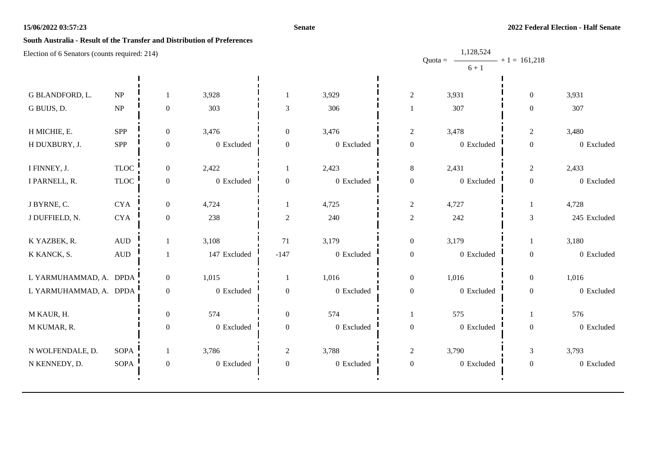#### **Senate**

# **South Australia - Result of the Transfer and Distribution of Preferences**

| Election of 6 Senators (counts required: 214) |                                 |                  |              |                  |                |                  | 1,128,524              |                   |              |
|-----------------------------------------------|---------------------------------|------------------|--------------|------------------|----------------|------------------|------------------------|-------------------|--------------|
|                                               |                                 |                  |              |                  |                |                  | Quota = $-$<br>$6 + 1$ | $- + 1 = 161,218$ |              |
|                                               |                                 |                  |              |                  |                |                  |                        |                   |              |
| G BLANDFORD, L.                               | NP                              | 1                | 3,928        |                  | 3,929          | $\sqrt{2}$       | 3,931                  | $\boldsymbol{0}$  | 3,931        |
| G BUIJS, D.                                   | $\ensuremath{\text{NP}}\xspace$ | $\boldsymbol{0}$ | 303          | 3                | 306            |                  | 307                    | $\mathbf{0}$      | 307          |
| H MICHIE, E.                                  | <b>SPP</b>                      | $\boldsymbol{0}$ | 3,476        | $\boldsymbol{0}$ | 3,476          | $\sqrt{2}$       | 3,478                  | $\overline{c}$    | 3,480        |
| H DUXBURY, J.                                 | <b>SPP</b>                      | 0                | 0 Excluded   | $\overline{0}$   | $0\,$ Excluded | $\boldsymbol{0}$ | 0 Excluded             | $\boldsymbol{0}$  | 0 Excluded   |
| I FINNEY, J.                                  | $\ensuremath{\mathsf{TLOC}}$    | $\boldsymbol{0}$ | 2,422        | 1                | 2,423          | $\,8\,$          | 2,431                  | $\overline{c}$    | 2,433        |
| I PARNELL, R.                                 | $\ensuremath{\mathsf{TLOC}}$    | $\boldsymbol{0}$ | 0 Excluded   | $\boldsymbol{0}$ | $0\,$ Excluded | $\boldsymbol{0}$ | 0 Excluded             | $\boldsymbol{0}$  | 0 Excluded   |
| J BYRNE, C.                                   | <b>CYA</b>                      | $\boldsymbol{0}$ | 4,724        |                  | 4,725          | $\overline{c}$   | 4,727                  | -1                | 4,728        |
| J DUFFIELD, N.                                | <b>CYA</b>                      | $\boldsymbol{0}$ | 238          | $\overline{c}$   | 240            | $\sqrt{2}$       | 242                    | 3                 | 245 Excluded |
| K YAZBEK, R.                                  | <b>AUD</b>                      | $\mathbf{1}$     | 3,108        | 71               | 3,179          | $\boldsymbol{0}$ | 3,179                  |                   | 3,180        |
| K KANCK, S.                                   | $\hbox{AUD}$                    |                  | 147 Excluded | $-147$           | 0 Excluded     | $\boldsymbol{0}$ | 0 Excluded             | $\boldsymbol{0}$  | 0 Excluded   |
| L YARMUHAMMAD, A. DPDA                        |                                 | $\overline{0}$   | 1,015        | 1                | 1,016          | $\boldsymbol{0}$ | 1,016                  | $\boldsymbol{0}$  | 1,016        |
| L YARMUHAMMAD, A. DPDA                        |                                 | $\boldsymbol{0}$ | 0 Excluded   | $\boldsymbol{0}$ | 0 Excluded     | $\boldsymbol{0}$ | 0 Excluded             | $\boldsymbol{0}$  | 0 Excluded   |
| M KAUR, H.                                    |                                 | $\boldsymbol{0}$ | 574          | $\boldsymbol{0}$ | 574            | 1                | 575                    |                   | 576          |
| M KUMAR, R.                                   |                                 | $\boldsymbol{0}$ | 0 Excluded   | $\boldsymbol{0}$ | 0 Excluded     | $\boldsymbol{0}$ | 0 Excluded             | $\boldsymbol{0}$  | 0 Excluded   |
| N WOLFENDALE, D.                              | <b>SOPA</b>                     | 1                | 3,786        | $\mathfrak{2}$   | 3,788          | $\overline{c}$   | 3,790                  | 3                 | 3,793        |
| N KENNEDY, D.                                 | <b>SOPA</b>                     | $\boldsymbol{0}$ | 0 Excluded   | $\boldsymbol{0}$ | 0 Excluded     | $\boldsymbol{0}$ | 0 Excluded             | $\boldsymbol{0}$  | 0 Excluded   |
|                                               |                                 |                  |              |                  |                |                  |                        |                   |              |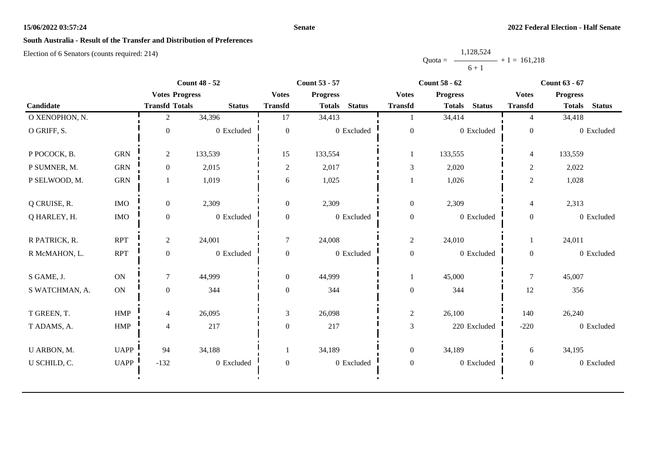#### **Senate**

# **South Australia - Result of the Transfer and Distribution of Preferences**

|           | 1,128,524      |  |
|-----------|----------------|--|
| $Quota =$ | $+1 = 161.218$ |  |
|           | $6 + 1$        |  |

|                |               |                       | <b>Count 48 - 52</b> |                  | <b>Count 53 - 57</b> |                |                  | <b>Count 58 - 62</b> |               | <b>Count 63 - 67</b> |                 |               |
|----------------|---------------|-----------------------|----------------------|------------------|----------------------|----------------|------------------|----------------------|---------------|----------------------|-----------------|---------------|
|                |               | <b>Votes Progress</b> |                      | <b>Votes</b>     | <b>Progress</b>      |                | <b>Votes</b>     | <b>Progress</b>      |               | <b>Votes</b>         | <b>Progress</b> |               |
| Candidate      |               | <b>Transfd Totals</b> | <b>Status</b>        | <b>Transfd</b>   | <b>Totals</b>        | <b>Status</b>  | <b>Transfd</b>   | <b>Totals</b>        | <b>Status</b> | <b>Transfd</b>       | <b>Totals</b>   | <b>Status</b> |
| O XENOPHON, N. |               | 2                     | 34,396               | 17               | 34,413               |                |                  | 34,414               |               | $\overline{4}$       | 34,418          |               |
| O GRIFF, S.    |               | $\Omega$              | 0 Excluded           | $\theta$         |                      | 0 Excluded     | $\boldsymbol{0}$ |                      | 0 Excluded    | $\overline{0}$       |                 | 0 Excluded    |
| P POCOCK, B.   | <b>GRN</b>    | $\overline{2}$        | 133,539              | 15               | 133,554              |                | $\bf{1}$         | 133,555              |               | $\overline{4}$       | 133,559         |               |
| P SUMNER, M.   | <b>GRN</b>    | $\overline{0}$        | 2,015                | $\overline{2}$   | 2,017                |                | 3                | 2,020                |               | $\overline{c}$       | 2,022           |               |
| P SELWOOD, M.  | <b>GRN</b>    |                       | 1,019                | 6                | 1,025                |                |                  | 1,026                |               | $\overline{2}$       | 1,028           |               |
| Q CRUISE, R.   | <b>IMO</b>    | $\overline{0}$        | 2,309                | $\overline{0}$   | 2,309                |                | $\boldsymbol{0}$ | 2,309                |               | $\overline{4}$       | 2,313           |               |
| Q HARLEY, H.   | <b>IMO</b>    | $\overline{0}$        | 0 Excluded           | $\boldsymbol{0}$ |                      | $0\,$ Excluded | $\boldsymbol{0}$ |                      | 0 Excluded    | $\boldsymbol{0}$     |                 | 0 Excluded    |
| R PATRICK, R.  | <b>RPT</b>    | $\overline{c}$        | 24,001               | $\overline{7}$   | 24,008               |                | $\overline{c}$   | 24,010               |               |                      | 24,011          |               |
| R McMAHON, L.  | <b>RPT</b>    | $\mathbf{0}$          | 0 Excluded           | $\mathbf{0}$     |                      | 0 Excluded     | $\boldsymbol{0}$ |                      | 0 Excluded    | $\overline{0}$       |                 | 0 Excluded    |
| S GAME, J.     | <b>ON</b>     | 7                     | 44,999               | $\overline{0}$   | 44,999               |                |                  | 45,000               |               | $\tau$               | 45,007          |               |
| S WATCHMAN, A. | $\mathbf{ON}$ | $\mathbf{0}$          | 344                  | $\boldsymbol{0}$ | 344                  |                | $\boldsymbol{0}$ | 344                  |               | 12                   | 356             |               |
| T GREEN, T.    | HMP           | 4                     | 26,095               | 3                | 26,098               |                | $\mathbf{2}$     | 26,100               |               | 140                  | 26,240          |               |
| T ADAMS, A.    | <b>HMP</b>    | $\overline{4}$        | 217                  | $\overline{0}$   | 217                  |                | $\mathfrak{Z}$   |                      | 220 Excluded  | $-220$               |                 | 0 Excluded    |
| U ARBON, M.    | UAPP          | 94                    | 34,188               |                  | 34,189               |                | $\overline{0}$   | 34,189               |               | 6                    | 34,195          |               |
| U SCHILD, C.   | <b>UAPP</b>   | $-132$                | 0 Excluded           | $\boldsymbol{0}$ |                      | $0\,$ Excluded | $\boldsymbol{0}$ |                      | 0 Excluded    | $\overline{0}$       |                 | 0 Excluded    |
|                |               |                       |                      |                  |                      |                |                  |                      |               |                      |                 |               |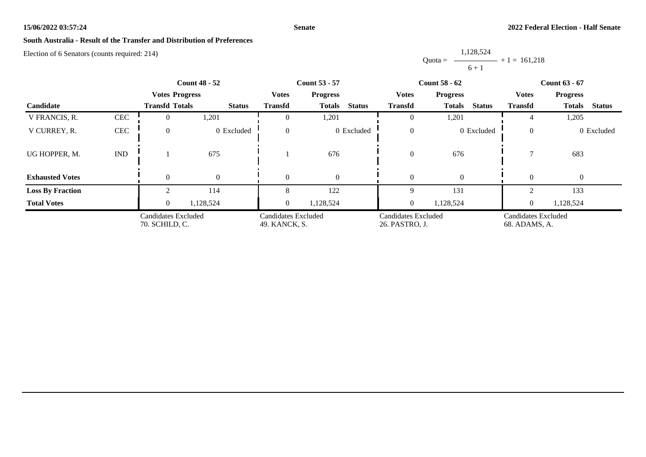#### **Senate**

# **South Australia - Result of the Transfer and Distribution of Preferences**

|           | 1,128,524      |
|-----------|----------------|
| $Quota =$ | $+1 = 161.218$ |
|           | $6 + 1$        |

|                         |                                       |                       | <b>Count 48 - 52</b>                 |                                 | <b>Count 53 - 57</b>                  |                | <b>Count 58 - 62</b>                 | <b>Count 63 - 67</b>            |                                |  |
|-------------------------|---------------------------------------|-----------------------|--------------------------------------|---------------------------------|---------------------------------------|----------------|--------------------------------------|---------------------------------|--------------------------------|--|
|                         |                                       | <b>Votes Progress</b> |                                      | <b>Votes</b><br><b>Progress</b> |                                       | <b>Votes</b>   | <b>Progress</b>                      | <b>Votes</b><br><b>Progress</b> |                                |  |
| <b>Candidate</b>        |                                       | <b>Transfd Totals</b> | <b>Status</b>                        | <b>Transfd</b>                  | <b>Status</b><br><b>Totals</b>        | <b>Transfd</b> | <b>Status</b><br><b>Totals</b>       | <b>Transfd</b>                  | <b>Status</b><br><b>Totals</b> |  |
| V FRANCIS, R.           | <b>CEC</b>                            | 0                     | 1,201                                |                                 | 1,201                                 |                | 1,201                                |                                 | 1,205                          |  |
| V CURREY, R.            | CEC                                   | $\overline{0}$        | 0 Excluded                           | $\Omega$                        | 0 Excluded                            | $\theta$       | 0 Excluded                           | $\overline{0}$                  | 0 Excluded                     |  |
| UG HOPPER, M.           | <b>IND</b>                            |                       | 675                                  |                                 | 676                                   | $\theta$       | 676                                  |                                 | 683                            |  |
| <b>Exhausted Votes</b>  |                                       | $\Omega$              | $\overline{0}$                       | $\Omega$                        | $\Omega$                              |                | $\Omega$                             | $\Omega$                        | $\overline{0}$                 |  |
| <b>Loss By Fraction</b> |                                       |                       | 114                                  |                                 | 122                                   |                | 131                                  |                                 | 133                            |  |
| <b>Total Votes</b>      |                                       | $\overline{0}$        | 1,128,524                            | $\overline{0}$                  | 1,128,524                             | $\overline{0}$ | 1,128,524                            | $\overline{0}$                  | 1,128,524                      |  |
|                         | Candidates Excluded<br>70. SCHILD, C. |                       | Candidates Excluded<br>49. KANCK, S. |                                 | Candidates Excluded<br>26. PASTRO, J. |                | Candidates Excluded<br>68. ADAMS, A. |                                 |                                |  |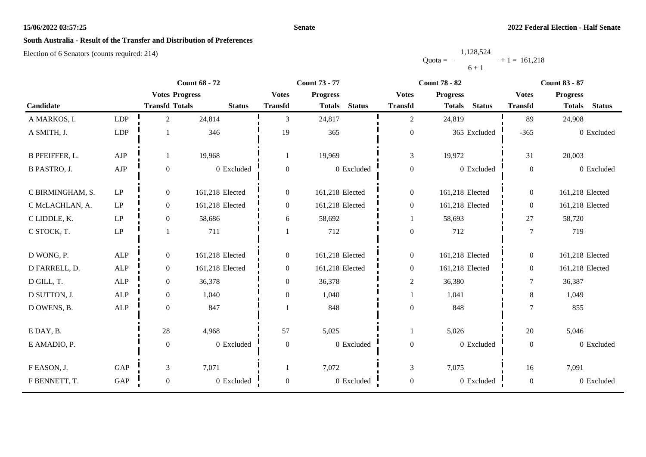#### **Senate**

# **South Australia - Result of the Transfer and Distribution of Preferences**

|           | 1,128,524 |                   |
|-----------|-----------|-------------------|
| $Quota =$ |           | $-$ + 1 = 161.218 |
|           | $6 + 1$   |                   |

|                       |                            | <b>Count 68 - 72</b>  |                 |                  | <b>Count 73 - 77</b>           |                  | <b>Count 78 - 82</b>           | <b>Count 83 - 87</b> |                                |  |
|-----------------------|----------------------------|-----------------------|-----------------|------------------|--------------------------------|------------------|--------------------------------|----------------------|--------------------------------|--|
|                       |                            | <b>Votes Progress</b> |                 | <b>Votes</b>     | <b>Progress</b>                | <b>Votes</b>     | <b>Progress</b>                | <b>Votes</b>         | <b>Progress</b>                |  |
| Candidate             |                            | <b>Transfd Totals</b> | <b>Status</b>   | <b>Transfd</b>   | <b>Status</b><br><b>Totals</b> | <b>Transfd</b>   | <b>Status</b><br><b>Totals</b> | <b>Transfd</b>       | <b>Status</b><br><b>Totals</b> |  |
| A MARKOS, I.          | LDP                        | $\overline{2}$        | 24,814          | 3                | 24,817                         | $\overline{2}$   | 24,819                         | 89                   | 24,908                         |  |
| A SMITH, J.           | LDP                        |                       | 346             | 19               | 365                            | $\boldsymbol{0}$ | 365 Excluded                   | $-365$               | 0 Excluded                     |  |
| <b>B PFEIFFER, L.</b> | ${\rm AJP}$                | 1                     | 19,968          |                  | 19,969                         | 3                | 19,972                         | 31                   | 20,003                         |  |
| <b>B PASTRO, J.</b>   | ${\rm AJP}$                | $\mathbf{0}$          | 0 Excluded      | $\boldsymbol{0}$ | 0 Excluded                     | $\boldsymbol{0}$ | 0 Excluded                     | $\mathbf{0}$         | 0 Excluded                     |  |
| C BIRMINGHAM, S.      | $\mathrm{LP}$              | $\overline{0}$        | 161,218 Elected | $\overline{0}$   | 161,218 Elected                | $\boldsymbol{0}$ | 161,218 Elected                | $\overline{0}$       | 161,218 Elected                |  |
| C McLACHLAN, A.       | $\ensuremath{\mathrm{LP}}$ | $\boldsymbol{0}$      | 161,218 Elected | $\boldsymbol{0}$ | 161,218 Elected                | $\boldsymbol{0}$ | 161,218 Elected                | $\mathbf{0}$         | 161,218 Elected                |  |
| C LIDDLE, K.          | $\ensuremath{\mathrm{LP}}$ | $\boldsymbol{0}$      | 58,686          | 6                | 58,692                         | 1                | 58,693                         | 27                   | 58,720                         |  |
| C STOCK, T.           | $\ensuremath{\mathrm{LP}}$ |                       | 711             |                  | 712                            | $\boldsymbol{0}$ | 712                            | $\tau$               | 719                            |  |
| D WONG, P.            | ALP                        | $\boldsymbol{0}$      | 161,218 Elected | $\boldsymbol{0}$ | 161,218 Elected                | $\boldsymbol{0}$ | 161,218 Elected                | $\overline{0}$       | 161,218 Elected                |  |
| D FARRELL, D.         | <b>ALP</b>                 | $\boldsymbol{0}$      | 161,218 Elected | $\mathbf{0}$     | 161,218 Elected                | $\boldsymbol{0}$ | 161,218 Elected                | $\overline{0}$       | 161,218 Elected                |  |
| D GILL, T.            | $\mbox{ALP}$               | $\boldsymbol{0}$      | 36,378          | $\overline{0}$   | 36,378                         | $\overline{c}$   | 36,380                         | $\tau$               | 36,387                         |  |
| D SUTTON, J.          | ALP                        | $\boldsymbol{0}$      | 1,040           | $\theta$         | 1,040                          |                  | 1,041                          | 8                    | 1,049                          |  |
| D OWENS, B.           | $\mbox{ALP}$               | $\boldsymbol{0}$      | 847             |                  | 848                            | $\boldsymbol{0}$ | 848                            | $\tau$               | 855                            |  |
| E DAY, B.             |                            | $28\,$                | 4,968           | 57               | 5,025                          | 1                | 5,026                          | 20                   | 5,046                          |  |
| E AMADIO, P.          |                            | $\boldsymbol{0}$      | 0 Excluded      | $\boldsymbol{0}$ | 0 Excluded                     | $\boldsymbol{0}$ | 0 Excluded                     | $\boldsymbol{0}$     | 0 Excluded                     |  |
| F EASON, J.           | $\operatorname{GAP}$       | $\mathfrak{Z}$        | 7,071           |                  | 7,072                          | 3                | 7,075                          | 16                   | 7,091                          |  |
| F BENNETT, T.         | GAP                        | $\boldsymbol{0}$      | 0 Excluded      | $\boldsymbol{0}$ | 0 Excluded                     | $\boldsymbol{0}$ | 0 Excluded                     | $\boldsymbol{0}$     | 0 Excluded                     |  |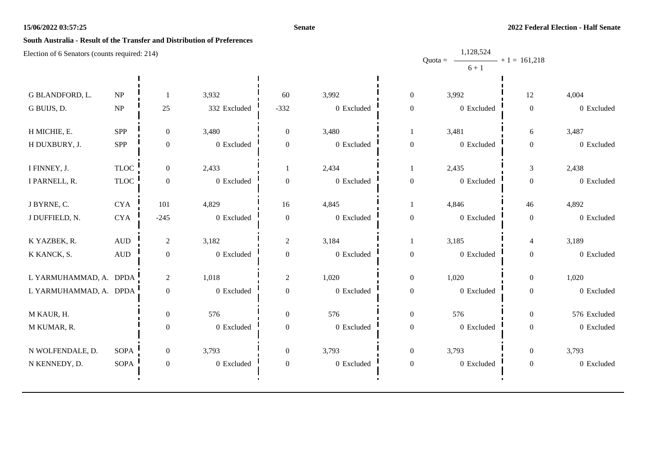#### **Senate**

1,128,524

# **South Australia - Result of the Transfer and Distribution of Preferences**

|                        |                                 |                  |              |                  |                |                  | Quota = $\longrightarrow$ + 1 = 161,218 |                  |              |
|------------------------|---------------------------------|------------------|--------------|------------------|----------------|------------------|-----------------------------------------|------------------|--------------|
|                        |                                 |                  |              |                  |                |                  | $6 + 1$                                 |                  |              |
| G BLANDFORD, L.        | $\ensuremath{\text{NP}}\xspace$ |                  | 3,932        | 60               | 3,992          | $\boldsymbol{0}$ | 3,992                                   | $12\,$           | 4,004        |
| G BUIJS, D.            | NP                              | 25               | 332 Excluded | $-332$           | 0 Excluded     | $\boldsymbol{0}$ | 0 Excluded                              | $\boldsymbol{0}$ | 0 Excluded   |
| H MICHIE, E.           | <b>SPP</b>                      | $\boldsymbol{0}$ | 3,480        | $\boldsymbol{0}$ | 3,480          |                  | 3,481                                   | 6                | 3,487        |
| H DUXBURY, J.          | SPP                             | $\boldsymbol{0}$ | $0$ Excluded | $\boldsymbol{0}$ | 0 Excluded     | $\boldsymbol{0}$ | 0 Excluded                              | $\boldsymbol{0}$ | 0 Excluded   |
| I FINNEY, J.           | <b>TLOC</b>                     | $\overline{0}$   | 2,433        |                  | 2,434          | $\overline{1}$   | 2,435                                   | 3                | 2,438        |
| I PARNELL, R.          | $TLOC$                          | $\boldsymbol{0}$ | 0 Excluded   | $\boldsymbol{0}$ | 0 Excluded     | $\boldsymbol{0}$ | 0 Excluded                              | $\boldsymbol{0}$ | 0 Excluded   |
| J BYRNE, C.            | ${\rm CYA}$                     | 101              | 4,829        | 16               | 4,845          |                  | 4,846                                   | 46               | 4,892        |
| J DUFFIELD, N.         | ${\rm CYA}$                     | $-245$           | 0 Excluded   | $\boldsymbol{0}$ | 0 Excluded     | $\boldsymbol{0}$ | 0 Excluded                              | $\boldsymbol{0}$ | 0 Excluded   |
| K YAZBEK, R.           | $\mbox{\rm AUD}$                | $\overline{2}$   | 3,182        | $\overline{2}$   | 3,184          | $\overline{1}$   | 3,185                                   | $\overline{4}$   | 3,189        |
| K KANCK, S.            | $\hbox{AUD}$                    | $\boldsymbol{0}$ | $0$ Excluded | $\boldsymbol{0}$ | 0 Excluded     | $\boldsymbol{0}$ | 0 Excluded                              | $\boldsymbol{0}$ | 0 Excluded   |
| L YARMUHAMMAD, A. DPDA |                                 | $\overline{c}$   | 1,018        | $\boldsymbol{2}$ | 1,020          | $\boldsymbol{0}$ | 1,020                                   | $\boldsymbol{0}$ | 1,020        |
| L YARMUHAMMAD, A. DPDA |                                 | $\boldsymbol{0}$ | 0 Excluded   | $\boldsymbol{0}$ | 0 Excluded     | $\boldsymbol{0}$ | 0 Excluded                              | $\boldsymbol{0}$ | 0 Excluded   |
| M KAUR, H.             |                                 | $\overline{0}$   | 576          | $\boldsymbol{0}$ | 576            | $\boldsymbol{0}$ | 576                                     | $\boldsymbol{0}$ | 576 Excluded |
| M KUMAR, R.            |                                 | $\boldsymbol{0}$ | 0 Excluded   | $\boldsymbol{0}$ | $0\,$ Excluded | $\boldsymbol{0}$ | 0 Excluded                              | $\boldsymbol{0}$ | 0 Excluded   |
| N WOLFENDALE, D.       | <b>SOPA</b>                     | $\boldsymbol{0}$ | 3,793        | $\boldsymbol{0}$ | 3,793          | $\boldsymbol{0}$ | 3,793                                   | $\boldsymbol{0}$ | 3,793        |
| N KENNEDY, D.          | <b>SOPA</b>                     | $\boldsymbol{0}$ | 0 Excluded   | $\boldsymbol{0}$ | 0 Excluded     | $\boldsymbol{0}$ | 0 Excluded                              | $\boldsymbol{0}$ | 0 Excluded   |
|                        |                                 |                  |              |                  |                |                  |                                         |                  |              |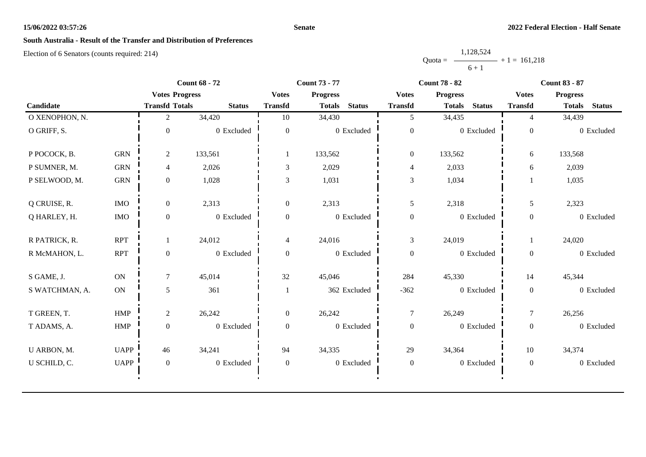#### **Senate**

# **South Australia - Result of the Transfer and Distribution of Preferences**

|           | 1,128,524 |                |
|-----------|-----------|----------------|
| $Quota =$ |           | $+1 = 161.218$ |
|           | $6 + 1$   |                |

|                |             | <b>Count 68 - 72</b>  |               |                | <b>Count 73 - 77</b>           |                  | <b>Count 78 - 82</b>           | <b>Count 83 - 87</b> |                                |  |
|----------------|-------------|-----------------------|---------------|----------------|--------------------------------|------------------|--------------------------------|----------------------|--------------------------------|--|
|                |             | <b>Votes Progress</b> |               | <b>Votes</b>   | <b>Progress</b>                | <b>Votes</b>     | <b>Progress</b>                | <b>Votes</b>         | <b>Progress</b>                |  |
| Candidate      |             | <b>Transfd Totals</b> | <b>Status</b> | <b>Transfd</b> | <b>Status</b><br><b>Totals</b> | <b>Transfd</b>   | <b>Status</b><br><b>Totals</b> | <b>Transfd</b>       | <b>Status</b><br><b>Totals</b> |  |
| O XENOPHON, N. |             | 2                     | 34,420        | 10             | 34,430                         | 5                | 34,435                         | 4                    | 34,439                         |  |
| O GRIFF, S.    |             | $\Omega$              | 0 Excluded    | $\overline{0}$ | 0 Excluded                     | $\boldsymbol{0}$ | 0 Excluded                     | $\boldsymbol{0}$     | 0 Excluded                     |  |
| P POCOCK, B.   | <b>GRN</b>  | $\overline{2}$        | 133,561       |                | 133,562                        | $\boldsymbol{0}$ | 133,562                        | 6                    | 133,568                        |  |
| P SUMNER, M.   | <b>GRN</b>  | 4                     | 2,026         | 3              | 2,029                          | $\overline{4}$   | 2,033                          | 6                    | 2,039                          |  |
| P SELWOOD, M.  | ${\rm GRN}$ | $\overline{0}$        | 1,028         | 3              | 1,031                          | 3                | 1,034                          |                      | 1,035                          |  |
| Q CRUISE, R.   | <b>IMO</b>  | $\overline{0}$        | 2,313         | $\overline{0}$ | 2,313                          | 5                | 2,318                          | 5                    | 2,323                          |  |
| Q HARLEY, H.   | $\rm{IMO}$  | $\boldsymbol{0}$      | 0 Excluded    | $\overline{0}$ | 0 Excluded                     | $\boldsymbol{0}$ | 0 Excluded                     | $\boldsymbol{0}$     | 0 Excluded                     |  |
| R PATRICK, R.  | <b>RPT</b>  |                       | 24,012        | $\overline{4}$ | 24,016                         | 3                | 24,019                         | 1                    | 24,020                         |  |
| R McMAHON, L.  | <b>RPT</b>  | $\mathbf{0}$          | 0 Excluded    | $\overline{0}$ | 0 Excluded                     | $\boldsymbol{0}$ | 0 Excluded                     | $\overline{0}$       | 0 Excluded                     |  |
| S GAME, J.     | <b>ON</b>   | $\tau$                | 45,014        | 32             | 45,046                         | 284              | 45,330                         | 14                   | 45,344                         |  |
| S WATCHMAN, A. | <b>ON</b>   | 5                     | 361           |                | 362 Excluded                   | $-362$           | 0 Excluded                     | $\boldsymbol{0}$     | 0 Excluded                     |  |
| T GREEN, T.    | <b>HMP</b>  | $\overline{2}$        | 26,242        | $\overline{0}$ | 26,242                         | $\tau$           | 26,249                         | $\tau$               | 26,256                         |  |
| T ADAMS, A.    | HMP         | $\boldsymbol{0}$      | 0 Excluded    | $\overline{0}$ | 0 Excluded                     | $\boldsymbol{0}$ | 0 Excluded                     | $\boldsymbol{0}$     | 0 Excluded                     |  |
| U ARBON, M.    | <b>UAPP</b> | 46                    | 34,241        | 94             | 34,335                         | 29               | 34,364                         | 10                   | 34,374                         |  |
| U SCHILD, C.   | <b>UAPP</b> | $\boldsymbol{0}$      | 0 Excluded    | $\overline{0}$ | 0 Excluded                     | $\boldsymbol{0}$ | 0 Excluded                     | $\mathbf{0}$         | 0 Excluded                     |  |
|                |             |                       |               |                |                                |                  |                                |                      |                                |  |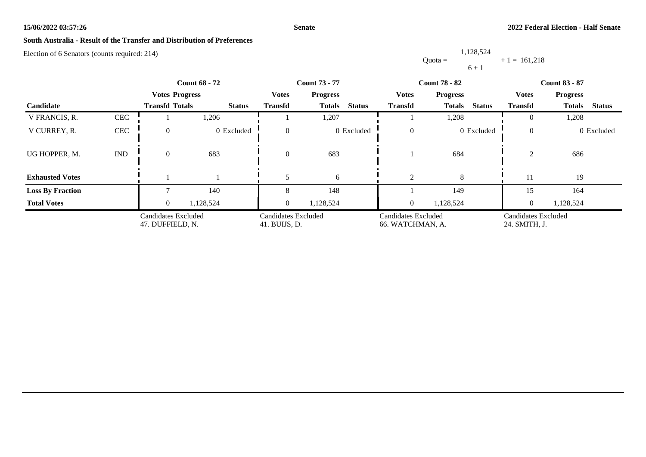#### **Senate**

# **South Australia - Result of the Transfer and Distribution of Preferences**

|           | 1,128,524      |  |
|-----------|----------------|--|
| $Quota =$ | $+1 = 161,218$ |  |
|           | $6 + 1$        |  |

|                         |              | <b>Count 68 - 72</b>                    |               |                                      | <b>Count 73 - 77</b>           |                                         | <b>Count 78 - 82</b>           | <b>Count 83 - 87</b>                 |                                |  |
|-------------------------|--------------|-----------------------------------------|---------------|--------------------------------------|--------------------------------|-----------------------------------------|--------------------------------|--------------------------------------|--------------------------------|--|
|                         |              | <b>Votes Progress</b>                   |               | <b>Votes</b>                         | <b>Progress</b>                | <b>Votes</b>                            | <b>Progress</b>                | <b>Votes</b>                         | <b>Progress</b>                |  |
| Candidate               |              | <b>Transfd Totals</b>                   | <b>Status</b> | <b>Transfd</b>                       | <b>Status</b><br><b>Totals</b> | <b>Transfd</b>                          | <b>Status</b><br><b>Totals</b> | <b>Transfd</b>                       | <b>Status</b><br><b>Totals</b> |  |
| V FRANCIS, R.           | <b>CEC</b>   |                                         | 1,206         |                                      | 1,207                          |                                         | 1,208                          | $\Omega$                             | 1,208                          |  |
| V CURREY, R.            | $\mbox{CEC}$ | $\overline{0}$                          | 0 Excluded    | $\Omega$                             | 0 Excluded                     | $\Omega$                                | 0 Excluded                     | $\overline{0}$                       | 0 Excluded                     |  |
| UG HOPPER, M.           | <b>IND</b>   | $\overline{0}$                          | 683           | $\Omega$                             | 683                            |                                         | 684                            | $\mathfrak{D}$                       | 686                            |  |
| <b>Exhausted Votes</b>  |              |                                         |               |                                      | 6                              | 2                                       | 8                              | 11                                   | 19                             |  |
| <b>Loss By Fraction</b> |              |                                         | 140           |                                      | 148                            |                                         | 149                            | 15                                   | 164                            |  |
| <b>Total Votes</b>      |              | $\overline{0}$                          | 1,128,524     | $\overline{0}$                       | 1,128,524                      | $\overline{0}$                          | 1,128,524                      | $\overline{0}$                       | 1,128,524                      |  |
|                         |              | Candidates Excluded<br>47. DUFFIELD, N. |               | Candidates Excluded<br>41. BUIJS, D. |                                | Candidates Excluded<br>66. WATCHMAN, A. |                                | Candidates Excluded<br>24. SMITH, J. |                                |  |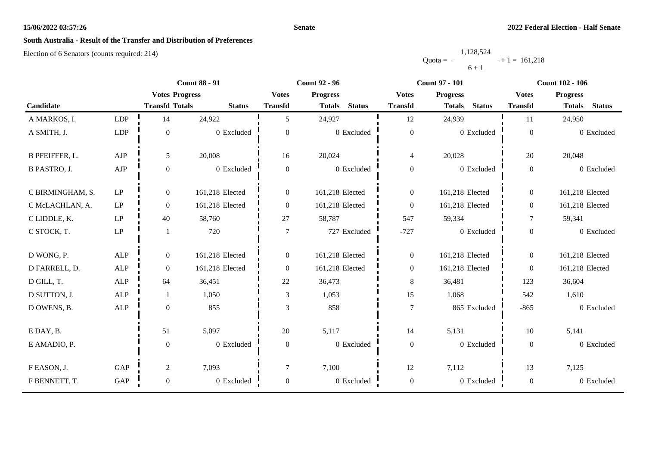#### **Senate**

# **South Australia - Result of the Transfer and Distribution of Preferences**

|           | 1,128,524      |  |
|-----------|----------------|--|
| $Quota =$ | $+1 = 161.218$ |  |
|           | $6 + 1$        |  |

|                       |                            | <b>Count 88 - 91</b>  |                 |                  | <b>Count 92 - 96</b>           |                  | <b>Count 97 - 101</b>          | <b>Count 102 - 106</b> |                                |  |
|-----------------------|----------------------------|-----------------------|-----------------|------------------|--------------------------------|------------------|--------------------------------|------------------------|--------------------------------|--|
|                       |                            | <b>Votes Progress</b> |                 | <b>Votes</b>     | <b>Progress</b>                | <b>Votes</b>     | <b>Progress</b>                | <b>Votes</b>           | <b>Progress</b>                |  |
| Candidate             |                            | <b>Transfd Totals</b> | <b>Status</b>   | <b>Transfd</b>   | <b>Status</b><br><b>Totals</b> | <b>Transfd</b>   | <b>Status</b><br><b>Totals</b> | <b>Transfd</b>         | <b>Status</b><br><b>Totals</b> |  |
| A MARKOS, I.          | LDP                        | 14                    | 24,922          | 5                | 24,927                         | 12               | 24,939                         | 11                     | 24,950                         |  |
| A SMITH, J.           | LDP                        | $\boldsymbol{0}$      | 0 Excluded      | $\mathbf{0}$     | 0 Excluded                     | $\boldsymbol{0}$ | 0 Excluded                     | $\boldsymbol{0}$       | 0 Excluded                     |  |
| <b>B PFEIFFER, L.</b> | ${\rm AJP}$                | $\mathfrak{S}$        | 20,008          | 16               | 20,024                         | $\overline{4}$   | 20,028                         | 20                     | 20,048                         |  |
| <b>B PASTRO, J.</b>   | ${\rm AJP}$                | $\boldsymbol{0}$      | 0 Excluded      | $\boldsymbol{0}$ | $0\,$ Excluded                 | $\boldsymbol{0}$ | 0 Excluded                     | $\overline{0}$         | 0 Excluded                     |  |
| C BIRMINGHAM, S.      | LP                         | $\boldsymbol{0}$      | 161,218 Elected | $\overline{0}$   | 161,218 Elected                | $\boldsymbol{0}$ | 161,218 Elected                | $\overline{0}$         | 161,218 Elected                |  |
| C McLACHLAN, A.       | $\operatorname{LP}$        | $\boldsymbol{0}$      | 161,218 Elected | $\boldsymbol{0}$ | 161,218 Elected                | $\boldsymbol{0}$ | 161,218 Elected                | $\overline{0}$         | 161,218 Elected                |  |
| C LIDDLE, K.          | $\operatorname{LP}$        | 40                    | 58,760          | 27               | 58,787                         | 547              | 59,334                         | $\tau$                 | 59,341                         |  |
| C STOCK, T.           | $\ensuremath{\mathrm{LP}}$ | -1                    | 720             | 7                | 727 Excluded                   | $-727$           | 0 Excluded                     | $\boldsymbol{0}$       | 0 Excluded                     |  |
| D WONG, P.            | <b>ALP</b>                 | $\boldsymbol{0}$      | 161,218 Elected | $\overline{0}$   | 161,218 Elected                | $\boldsymbol{0}$ | 161,218 Elected                | $\overline{0}$         | 161,218 Elected                |  |
| D FARRELL, D.         | ALP                        | $\boldsymbol{0}$      | 161,218 Elected | $\boldsymbol{0}$ | 161,218 Elected                | $\boldsymbol{0}$ | 161,218 Elected                | $\overline{0}$         | 161,218 Elected                |  |
| D GILL, T.            | $\mbox{ALP}$               | 64                    | 36,451          | $22\,$           | 36,473                         | $8\,$            | 36,481                         | 123                    | 36,604                         |  |
| D SUTTON, J.          | <b>ALP</b>                 | -1                    | 1,050           | 3                | 1,053                          | 15               | 1,068                          | 542                    | 1,610                          |  |
| D OWENS, B.           | ALP                        | $\boldsymbol{0}$      | 855             | 3                | 858                            | $\boldsymbol{7}$ | 865 Excluded                   | $-865$                 | 0 Excluded                     |  |
| E DAY, B.             |                            | 51                    | 5,097           | 20               | 5,117                          | 14               | 5,131                          | 10                     | 5,141                          |  |
| E AMADIO, P.          |                            | $\boldsymbol{0}$      | 0 Excluded      | $\boldsymbol{0}$ | 0 Excluded                     | $\boldsymbol{0}$ | 0 Excluded                     | $\boldsymbol{0}$       | 0 Excluded                     |  |
| F EASON, J.           | GAP                        | $\sqrt{2}$            | 7,093           | 7                | 7,100                          | 12               | 7,112                          | 13                     | 7,125                          |  |
| F BENNETT, T.         | GAP                        | $\boldsymbol{0}$      | 0 Excluded      | $\boldsymbol{0}$ | 0 Excluded                     | $\boldsymbol{0}$ | 0 Excluded                     | $\boldsymbol{0}$       | 0 Excluded                     |  |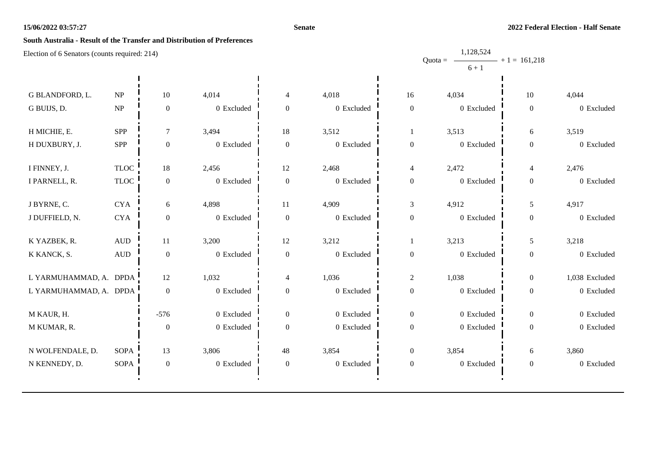#### **Senate**

1,128,524

# **South Australia - Result of the Transfer and Distribution of Preferences**

|                        |                                 |                  |              |                          |            |                  | Quota = $\longrightarrow$ + 1 = 161,218 |                  |                |
|------------------------|---------------------------------|------------------|--------------|--------------------------|------------|------------------|-----------------------------------------|------------------|----------------|
|                        |                                 |                  |              |                          |            |                  | $6 + 1$                                 |                  |                |
| G BLANDFORD, L.        | $\ensuremath{\text{NP}}\xspace$ | $10\,$           | 4,014        | 4                        | 4,018      | 16               | 4,034                                   | $10\,$           | 4,044          |
| G BUIJS, D.            | $\ensuremath{\text{NP}}\xspace$ | $\boldsymbol{0}$ | 0 Excluded   | $\boldsymbol{0}$         | 0 Excluded | $\boldsymbol{0}$ | 0 Excluded                              | $\boldsymbol{0}$ | 0 Excluded     |
| H MICHIE, E.           | <b>SPP</b>                      | $\tau$           | 3,494        | 18                       | 3,512      | -1               | 3,513                                   | 6                | 3,519          |
| H DUXBURY, J.          | <b>SPP</b>                      | $\boldsymbol{0}$ | 0 Excluded   | $\boldsymbol{0}$         | 0 Excluded | $\boldsymbol{0}$ | 0 Excluded                              | $\boldsymbol{0}$ | 0 Excluded     |
| I FINNEY, J.           | <b>TLOC</b>                     | 18               | 2,456        | 12                       | 2,468      | $\overline{4}$   | 2,472                                   | $\overline{4}$   | 2,476          |
| I PARNELL, R.          | $TLOC$                          | $\boldsymbol{0}$ | 0 Excluded   | $\boldsymbol{0}$         | 0 Excluded | $\boldsymbol{0}$ | 0 Excluded                              | $\boldsymbol{0}$ | 0 Excluded     |
| J BYRNE, C.            | <b>CYA</b>                      | 6                | 4,898        | 11                       | 4,909      | 3                | 4,912                                   | 5                | 4,917          |
| J DUFFIELD, N.         | ${\rm CYA}$                     | $\boldsymbol{0}$ | 0 Excluded   | $\boldsymbol{0}$         | 0 Excluded | $\boldsymbol{0}$ | 0 Excluded                              | $\boldsymbol{0}$ | 0 Excluded     |
| K YAZBEK, R.           | $\mbox{\rm AUD}$                | 11               | 3,200        | 12                       | 3,212      |                  | 3,213                                   | 5                | 3,218          |
| K KANCK, S.            | $\hbox{AUD}$                    | $\boldsymbol{0}$ | 0 Excluded   | $\boldsymbol{0}$         | 0 Excluded | $\boldsymbol{0}$ | 0 Excluded                              | $\boldsymbol{0}$ | 0 Excluded     |
| L YARMUHAMMAD, A. DPDA |                                 | 12               | 1,032        | $\overline{\mathcal{L}}$ | 1,036      | $\sqrt{2}$       | 1,038                                   | $\boldsymbol{0}$ | 1,038 Excluded |
| L YARMUHAMMAD, A. DPDA |                                 | $\boldsymbol{0}$ | 0 Excluded   | $\boldsymbol{0}$         | 0 Excluded | $\boldsymbol{0}$ | 0 Excluded                              | $\boldsymbol{0}$ | 0 Excluded     |
| M KAUR, H.             |                                 | $-576$           | 0 Excluded   | $\boldsymbol{0}$         | 0 Excluded | $\mathbf{0}$     | 0 Excluded                              | $\boldsymbol{0}$ | 0 Excluded     |
| M KUMAR, R.            |                                 | $\boldsymbol{0}$ | $0$ Excluded | $\overline{0}$           | 0 Excluded | $\boldsymbol{0}$ | 0 Excluded                              | $\boldsymbol{0}$ | 0 Excluded     |
| N WOLFENDALE, D.       | SOPA                            | 13               | 3,806        | 48                       | 3,854      | $\boldsymbol{0}$ | 3,854                                   | 6                | 3,860          |
| N KENNEDY, D.          | <b>SOPA</b>                     | $\boldsymbol{0}$ | 0 Excluded   | $\boldsymbol{0}$         | 0 Excluded | $\boldsymbol{0}$ | 0 Excluded                              | $\boldsymbol{0}$ | 0 Excluded     |
|                        |                                 |                  |              |                          |            |                  |                                         |                  |                |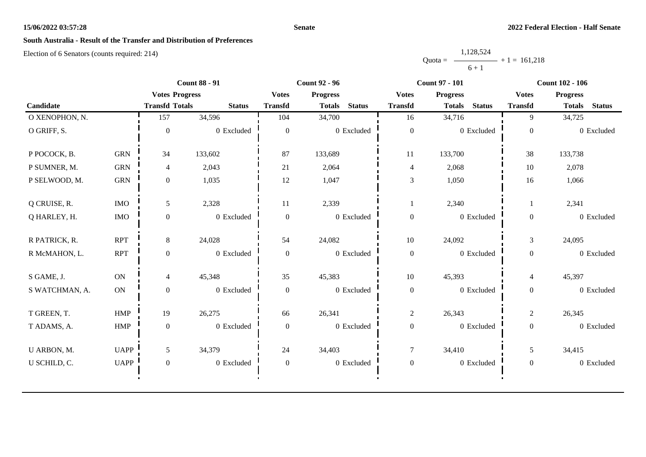#### **Senate**

# **South Australia - Result of the Transfer and Distribution of Preferences**

|           | 1,128,524      |  |
|-----------|----------------|--|
| $Quota =$ | $+1 = 161.218$ |  |
|           | $6 + 1$        |  |

|                |               |                       | <b>Count 88 - 91</b> |                  | <b>Count 92 - 96</b> |               | <b>Count 97 - 101</b> |                 |               | <b>Count 102 - 106</b> |                 |               |
|----------------|---------------|-----------------------|----------------------|------------------|----------------------|---------------|-----------------------|-----------------|---------------|------------------------|-----------------|---------------|
|                |               | <b>Votes Progress</b> |                      | <b>Votes</b>     | <b>Progress</b>      |               | <b>Votes</b>          | <b>Progress</b> |               | <b>Votes</b>           | <b>Progress</b> |               |
| Candidate      |               | <b>Transfd Totals</b> | <b>Status</b>        | <b>Transfd</b>   | <b>Totals</b>        | <b>Status</b> | <b>Transfd</b>        | <b>Totals</b>   | <b>Status</b> | <b>Transfd</b>         | <b>Totals</b>   | <b>Status</b> |
| O XENOPHON, N. |               | 157                   | 34,596               | 104              | 34,700               |               | 16                    | 34,716          |               | 9                      | 34,725          |               |
| O GRIFF, S.    |               | $\Omega$              | 0 Excluded           | $\theta$         |                      | 0 Excluded    | $\mathbf{0}$          |                 | 0 Excluded    | $\mathbf{0}$           |                 | 0 Excluded    |
| P POCOCK, B.   | <b>GRN</b>    | 34                    | 133,602              | 87               | 133,689              |               | 11                    | 133,700         |               | 38                     | 133,738         |               |
| P SUMNER, M.   | <b>GRN</b>    | $\overline{4}$        | 2,043                | 21               | 2,064                |               | $\overline{4}$        | 2,068           |               | 10                     | 2,078           |               |
| P SELWOOD, M.  | ${\rm GRN}$   | $\mathbf{0}$          | 1,035                | 12               | 1,047                |               | $\mathfrak{Z}$        | 1,050           |               | 16                     | 1,066           |               |
| Q CRUISE, R.   | <b>IMO</b>    | 5                     | 2,328                | 11               | 2,339                |               |                       | 2,340           |               |                        | 2,341           |               |
| Q HARLEY, H.   | $\rm{IMO}$    | $\mathbf{0}$          | 0 Excluded           | $\mathbf{0}$     |                      | 0 Excluded    | $\boldsymbol{0}$      |                 | 0 Excluded    | $\mathbf{0}$           |                 | 0 Excluded    |
| R PATRICK, R.  | <b>RPT</b>    | 8                     | 24,028               | 54               | 24,082               |               | 10                    | 24,092          |               | $\mathfrak{Z}$         | 24,095          |               |
| R McMAHON, L.  | <b>RPT</b>    | $\overline{0}$        | 0 Excluded           | $\mathbf{0}$     |                      | 0 Excluded    | $\boldsymbol{0}$      |                 | 0 Excluded    | $\mathbf{0}$           |                 | 0 Excluded    |
| S GAME, J.     | ON            | $\overline{4}$        | 45,348               | 35               | 45,383               |               | $10\,$                | 45,393          |               | $\overline{4}$         | 45,397          |               |
| S WATCHMAN, A. | $\mathbf{ON}$ | $\mathbf{0}$          | 0 Excluded           | $\boldsymbol{0}$ |                      | 0 Excluded    | $\boldsymbol{0}$      |                 | 0 Excluded    | $\mathbf{0}$           |                 | 0 Excluded    |
| T GREEN, T.    | ${\rm HMP}$   | 19                    | 26,275               | 66               | 26,341               |               | $\overline{c}$        | 26,343          |               | $\overline{c}$         | 26,345          |               |
| T ADAMS, A.    | ${\rm HMP}$   | $\overline{0}$        | 0 Excluded           | $\mathbf{0}$     |                      | 0 Excluded    | $\boldsymbol{0}$      |                 | 0 Excluded    | $\mathbf{0}$           |                 | 0 Excluded    |
| U ARBON, M.    | <b>UAPP</b>   | 5                     | 34,379               | 24               | 34,403               |               | $\tau$                | 34,410          |               | 5                      | 34,415          |               |
| U SCHILD, C.   | <b>UAPP</b>   | $\mathbf{0}$          | 0 Excluded           | $\boldsymbol{0}$ |                      | 0 Excluded    | $\boldsymbol{0}$      |                 | 0 Excluded    | $\boldsymbol{0}$       |                 | 0 Excluded    |
|                |               |                       |                      |                  |                      |               |                       |                 |               |                        |                 |               |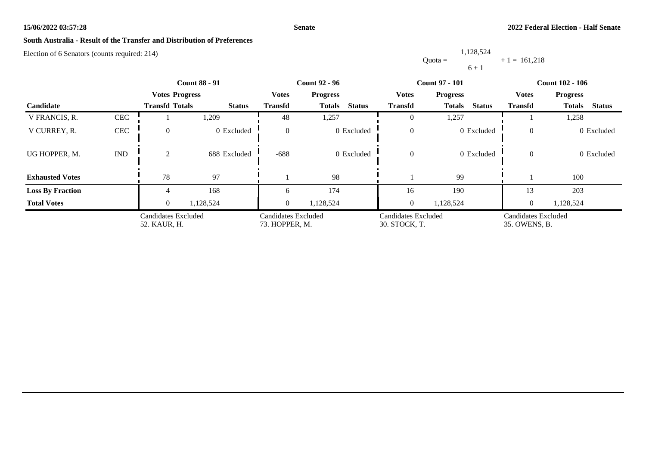#### **Senate**

# **South Australia - Result of the Transfer and Distribution of Preferences**

Election of 6 Senators (counts required: 214)

Quota = 1,128,524  $6 + 1$  $+ 1 = 161,218$ 

|                         |                             | <b>Count 88 - 91</b>                | <b>Count 92 - 96</b> |                                       |                                | <b>Count 97 - 101</b>                       | <b>Count 102 - 106</b>         |                                      |                                |
|-------------------------|-----------------------------|-------------------------------------|----------------------|---------------------------------------|--------------------------------|---------------------------------------------|--------------------------------|--------------------------------------|--------------------------------|
|                         |                             | <b>Votes Progress</b>               |                      | <b>Votes</b>                          | <b>Progress</b>                | <b>Votes</b>                                | <b>Progress</b>                | Votes                                | <b>Progress</b>                |
| Candidate               |                             | <b>Transfd Totals</b>               | <b>Status</b>        | <b>Transfd</b>                        | <b>Status</b><br><b>Totals</b> | <b>Transfd</b>                              | <b>Status</b><br><b>Totals</b> | <b>Transfd</b>                       | <b>Status</b><br><b>Totals</b> |
| V FRANCIS, R.           | $\mbox{CEC}$                |                                     | 1,209                | 48                                    | 1,257                          | $\theta$                                    | 1,257                          |                                      | 1,258                          |
| V CURREY, R.            | $\mbox{CEC}$                | $\Omega$                            | 0 Excluded           | $\overline{0}$                        | 0 Excluded                     | $\theta$                                    | 0 Excluded                     | $\overline{0}$                       | 0 Excluded                     |
| UG HOPPER, M.           | $\mathop{\rm IND}\nolimits$ | 2                                   | 688 Excluded         | $-688$                                | 0 Excluded                     | $\overline{0}$                              | 0 Excluded                     | $\theta$                             | 0 Excluded                     |
| <b>Exhausted Votes</b>  |                             | 78                                  | 97                   |                                       | 98                             |                                             | 99                             |                                      | 100                            |
| <b>Loss By Fraction</b> |                             |                                     | 168                  | 6                                     | 174                            | 16                                          | 190                            | 13                                   | 203                            |
| <b>Total Votes</b>      |                             | $\theta$                            | 1,128,524            | $\overline{0}$                        | 1,128,524                      | $\overline{0}$                              | 1,128,524                      | $\overline{0}$                       | 1,128,524                      |
|                         |                             | Candidates Excluded<br>52. KAUR, H. |                      | Candidates Excluded<br>73. HOPPER, M. |                                | <b>Candidates Excluded</b><br>30. STOCK, T. |                                | Candidates Excluded<br>35. OWENS, B. |                                |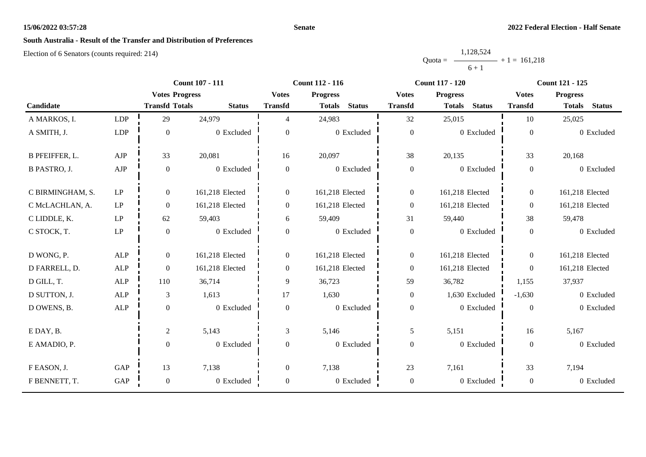#### **Senate**

# **South Australia - Result of the Transfer and Distribution of Preferences**

|           | 1,128,524      |  |
|-----------|----------------|--|
| $Quota =$ | $+1 = 161.218$ |  |
|           | $6 + 1$        |  |

|                       |                     |                       | <b>Count 107 - 111</b> |                  | <b>Count 112 - 116</b>         | <b>Count 117 - 120</b> |                                | <b>Count 121 - 125</b> |                                |
|-----------------------|---------------------|-----------------------|------------------------|------------------|--------------------------------|------------------------|--------------------------------|------------------------|--------------------------------|
|                       |                     | <b>Votes Progress</b> |                        | <b>Votes</b>     | <b>Progress</b>                | <b>Votes</b>           | <b>Progress</b>                | <b>Votes</b>           | <b>Progress</b>                |
| Candidate             |                     | <b>Transfd Totals</b> | <b>Status</b>          | <b>Transfd</b>   | <b>Status</b><br><b>Totals</b> | <b>Transfd</b>         | <b>Status</b><br><b>Totals</b> | <b>Transfd</b>         | <b>Status</b><br><b>Totals</b> |
| A MARKOS, I.          | LDP                 | 29                    | 24,979                 | 4                | 24,983                         | 32                     | 25,015                         | 10                     | 25,025                         |
| A SMITH, J.           | <b>LDP</b>          | $\boldsymbol{0}$      | 0 Excluded             | $\overline{0}$   | 0 Excluded                     | $\boldsymbol{0}$       | 0 Excluded                     | $\boldsymbol{0}$       | 0 Excluded                     |
| <b>B PFEIFFER, L.</b> | AJP                 | 33                    | 20,081                 | 16               | 20,097                         | 38                     | 20,135                         | 33                     | 20,168                         |
| <b>B PASTRO, J.</b>   | ${\rm AJP}$         | $\boldsymbol{0}$      | 0 Excluded             | $\overline{0}$   | 0 Excluded                     | $\boldsymbol{0}$       | 0 Excluded                     | $\overline{0}$         | 0 Excluded                     |
| C BIRMINGHAM, S.      | LP                  | $\boldsymbol{0}$      | 161,218 Elected        | $\overline{0}$   | 161,218 Elected                | $\boldsymbol{0}$       | 161,218 Elected                | $\overline{0}$         | 161,218 Elected                |
| C McLACHLAN, A.       | $\operatorname{LP}$ | $\boldsymbol{0}$      | 161,218 Elected        | $\overline{0}$   | 161,218 Elected                | $\boldsymbol{0}$       | 161,218 Elected                | $\overline{0}$         | 161,218 Elected                |
| C LIDDLE, K.          | $\operatorname{LP}$ | 62                    | 59,403                 | 6                | 59,409                         | 31                     | 59,440                         | 38                     | 59,478                         |
| C STOCK, T.           | $\operatorname{LP}$ | $\boldsymbol{0}$      | 0 Excluded             | $\overline{0}$   | 0 Excluded                     | $\boldsymbol{0}$       | 0 Excluded                     | $\overline{0}$         | 0 Excluded                     |
| D WONG, P.            | <b>ALP</b>          | $\overline{0}$        | 161,218 Elected        | $\overline{0}$   | 161,218 Elected                | $\boldsymbol{0}$       | 161,218 Elected                | $\overline{0}$         | 161,218 Elected                |
| D FARRELL, D.         | ALP                 | $\boldsymbol{0}$      | 161,218 Elected        | $\overline{0}$   | 161,218 Elected                | $\boldsymbol{0}$       | 161,218 Elected                | $\boldsymbol{0}$       | 161,218 Elected                |
| D GILL, T.            | <b>ALP</b>          | 110                   | 36,714                 | 9                | 36,723                         | 59                     | 36,782                         | 1,155                  | 37,937                         |
| D SUTTON, J.          | ALP                 | $\mathfrak{Z}$        | 1,613                  | 17               | 1,630                          | $\boldsymbol{0}$       | 1,630 Excluded                 | $-1,630$               | 0 Excluded                     |
| D OWENS, B.           | ALP                 | $\boldsymbol{0}$      | 0 Excluded             | $\overline{0}$   | 0 Excluded                     | $\boldsymbol{0}$       | 0 Excluded                     | $\theta$               | 0 Excluded                     |
| E DAY, B.             |                     | $\sqrt{2}$            | 5,143                  | 3                | 5,146                          | 5                      | 5,151                          | 16                     | 5,167                          |
| E AMADIO, P.          |                     | $\boldsymbol{0}$      | 0 Excluded             | $\boldsymbol{0}$ | 0 Excluded                     | $\boldsymbol{0}$       | 0 Excluded                     | $\mathbf{0}$           | 0 Excluded                     |
| F EASON, J.           | GAP                 | 13                    | 7,138                  | $\boldsymbol{0}$ | 7,138                          | 23                     | 7,161                          | 33                     | 7,194                          |
| F BENNETT, T.         | GAP                 | $\boldsymbol{0}$      | 0 Excluded             | $\boldsymbol{0}$ | 0 Excluded                     | $\boldsymbol{0}$       | 0 Excluded                     | $\boldsymbol{0}$       | 0 Excluded                     |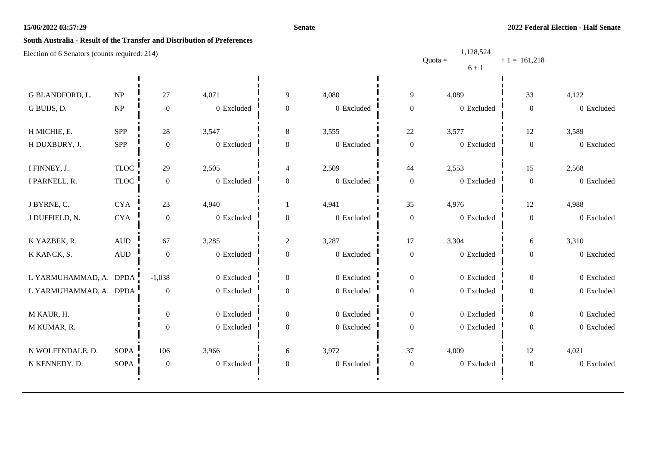#### **Senate**

1,128,524

# **South Australia - Result of the Transfer and Distribution of Preferences**

|                        |                                 |                  |              |                  |            |                  | Quota = $\longrightarrow$ + 1 = 161,218 |                  |            |
|------------------------|---------------------------------|------------------|--------------|------------------|------------|------------------|-----------------------------------------|------------------|------------|
|                        |                                 |                  |              |                  |            |                  | $6 + 1$                                 |                  |            |
| G BLANDFORD, L.        | $\ensuremath{\text{NP}}\xspace$ | 27               | 4,071        | 9                | 4,080      | 9                | 4,089                                   | 33               | 4,122      |
| G BUIJS, D.            | NP                              | $\boldsymbol{0}$ | 0 Excluded   | $\boldsymbol{0}$ | 0 Excluded | $\boldsymbol{0}$ | 0 Excluded                              | $\boldsymbol{0}$ | 0 Excluded |
|                        |                                 |                  |              |                  |            |                  |                                         |                  |            |
| H MICHIE, E.           | <b>SPP</b>                      | $28\,$           | 3,547        | 8                | 3,555      | $22\,$           | 3,577                                   | $12\,$           | 3,589      |
| H DUXBURY, J.          | SPP                             | $\boldsymbol{0}$ | $0$ Excluded | $\boldsymbol{0}$ | 0 Excluded | $\boldsymbol{0}$ | 0 Excluded                              | $\boldsymbol{0}$ | 0 Excluded |
| I FINNEY, J.           | <b>TLOC</b>                     | 29               | 2,505        | 4                | 2,509      | 44               | 2,553                                   | 15               | 2,568      |
|                        |                                 |                  |              |                  |            |                  |                                         |                  |            |
| I PARNELL, R.          | $TLOC$                          | $\boldsymbol{0}$ | 0 Excluded   | $\boldsymbol{0}$ | 0 Excluded | $\boldsymbol{0}$ | 0 Excluded                              | $\boldsymbol{0}$ | 0 Excluded |
| J BYRNE, C.            | ${\rm CYA}$                     | 23               | 4,940        |                  | 4,941      | 35               | 4,976                                   | $12\,$           | 4,988      |
| J DUFFIELD, N.         | ${\rm CYA}$                     | $\boldsymbol{0}$ | 0 Excluded   | $\boldsymbol{0}$ | 0 Excluded | $\boldsymbol{0}$ | 0 Excluded                              | $\boldsymbol{0}$ | 0 Excluded |
|                        |                                 |                  |              |                  |            |                  |                                         |                  |            |
| K YAZBEK, R.           | $\mbox{\rm AUD}$                | 67               | 3,285        | $\overline{c}$   | 3,287      | 17               | 3,304                                   | 6                | 3,310      |
| K KANCK, S.            | $\hbox{AUD}$                    | $\boldsymbol{0}$ | 0 Excluded   | $\boldsymbol{0}$ | 0 Excluded | $\boldsymbol{0}$ | 0 Excluded                              | $\boldsymbol{0}$ | 0 Excluded |
|                        |                                 |                  |              |                  |            |                  |                                         |                  |            |
| L YARMUHAMMAD, A. DPDA |                                 | $-1,038$         | 0 Excluded   | $\boldsymbol{0}$ | 0 Excluded | $\boldsymbol{0}$ | 0 Excluded                              | $\boldsymbol{0}$ | 0 Excluded |
| L YARMUHAMMAD, A. DPDA |                                 | $\boldsymbol{0}$ | $0$ Excluded | $\boldsymbol{0}$ | 0 Excluded | $\boldsymbol{0}$ | 0 Excluded                              | $\boldsymbol{0}$ | 0 Excluded |
|                        |                                 |                  |              |                  |            |                  |                                         |                  |            |
| M KAUR, H.             |                                 | $\overline{0}$   | 0 Excluded   | $\boldsymbol{0}$ | 0 Excluded | $\boldsymbol{0}$ | 0 Excluded                              | $\boldsymbol{0}$ | 0 Excluded |
| M KUMAR, R.            |                                 | $\boldsymbol{0}$ | 0 Excluded   | $\boldsymbol{0}$ | 0 Excluded | $\boldsymbol{0}$ | 0 Excluded                              | $\boldsymbol{0}$ | 0 Excluded |
| N WOLFENDALE, D.       | <b>SOPA</b>                     | 106              | 3,966        | 6                | 3,972      | 37               | 4,009                                   | 12               | 4,021      |
| N KENNEDY, D.          | <b>SOPA</b>                     | $\boldsymbol{0}$ | 0 Excluded   | $\boldsymbol{0}$ | 0 Excluded | $\boldsymbol{0}$ | 0 Excluded                              | $\boldsymbol{0}$ | 0 Excluded |
|                        |                                 |                  |              |                  |            |                  |                                         |                  |            |
|                        |                                 |                  |              |                  |            |                  |                                         |                  |            |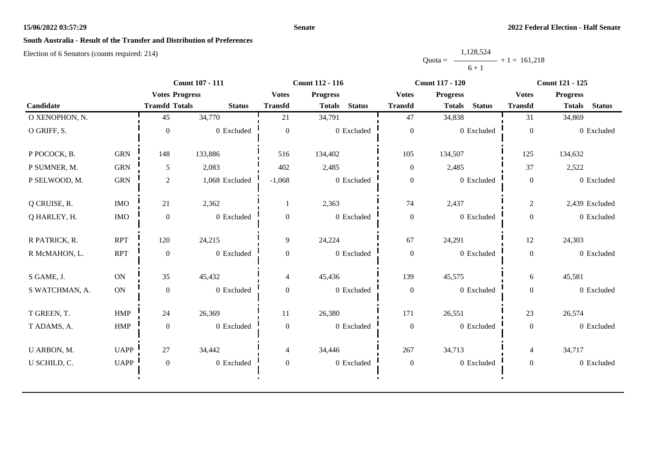#### **Senate**

# **South Australia - Result of the Transfer and Distribution of Preferences**

|           | 1,128,524 |                |
|-----------|-----------|----------------|
| $Quota =$ |           | $+1 = 161.218$ |
|           | $6 + 1$   |                |

|                |             |                       | <b>Count 107 - 111</b> |                  | <b>Count 112 - 116</b>         | <b>Count 117 - 120</b> |                                | <b>Count 121 - 125</b> |                                |
|----------------|-------------|-----------------------|------------------------|------------------|--------------------------------|------------------------|--------------------------------|------------------------|--------------------------------|
|                |             | <b>Votes Progress</b> |                        | <b>Votes</b>     | <b>Progress</b>                | <b>Votes</b>           | <b>Progress</b>                | <b>Votes</b>           | <b>Progress</b>                |
| Candidate      |             | <b>Transfd Totals</b> | <b>Status</b>          | <b>Transfd</b>   | <b>Status</b><br><b>Totals</b> | <b>Transfd</b>         | <b>Status</b><br><b>Totals</b> | <b>Transfd</b>         | <b>Status</b><br><b>Totals</b> |
| O XENOPHON, N. |             | 45                    | 34,770                 | 21               | 34,791                         | 47                     | 34,838                         | 31                     | 34,869                         |
| O GRIFF, S.    |             | $\Omega$              | 0 Excluded             | $\theta$         | 0 Excluded                     | $\boldsymbol{0}$       | 0 Excluded                     | $\overline{0}$         | 0 Excluded                     |
| P POCOCK, B.   | <b>GRN</b>  | 148                   | 133,886                | 516              | 134,402                        | 105                    | 134,507                        | 125                    | 134,632                        |
| P SUMNER, M.   | <b>GRN</b>  | 5                     | 2,083                  | 402              | 2,485                          | $\mathbf{0}$           | 2,485                          | 37                     | 2,522                          |
| P SELWOOD, M.  | <b>GRN</b>  | $\mathbf{2}$          | 1,068 Excluded         | $-1,068$         | 0 Excluded                     | $\boldsymbol{0}$       | 0 Excluded                     | $\overline{0}$         | 0 Excluded                     |
| Q CRUISE, R.   | <b>IMO</b>  | 21                    | 2,362                  |                  | 2,363                          | 74                     | 2,437                          | $\overline{2}$         | 2,439 Excluded                 |
| Q HARLEY, H.   | <b>IMO</b>  | $\boldsymbol{0}$      | 0 Excluded             | $\boldsymbol{0}$ | 0 Excluded                     | $\boldsymbol{0}$       | 0 Excluded                     | $\mathbf{0}$           | 0 Excluded                     |
| R PATRICK, R.  | <b>RPT</b>  | 120                   | 24,215                 | 9                | 24,224                         | 67                     | 24,291                         | 12                     | 24,303                         |
| R McMAHON, L.  | <b>RPT</b>  | $\boldsymbol{0}$      | 0 Excluded             | $\overline{0}$   | 0 Excluded                     | $\boldsymbol{0}$       | 0 Excluded                     | $\overline{0}$         | 0 Excluded                     |
| S GAME, J.     | ON          | 35                    | 45,432                 | $\overline{4}$   | 45,436                         | 139                    | 45,575                         | 6                      | 45,581                         |
| S WATCHMAN, A. | ON          | $\boldsymbol{0}$      | 0 Excluded             | $\theta$         | 0 Excluded                     | $\boldsymbol{0}$       | 0 Excluded                     | $\overline{0}$         | 0 Excluded                     |
| T GREEN, T.    | <b>HMP</b>  | 24                    | 26,369                 | 11               | 26,380                         | 171                    | 26,551                         | 23                     | 26,574                         |
| T ADAMS, A.    | <b>HMP</b>  | $\mathbf{0}$          | 0 Excluded             | $\overline{0}$   | 0 Excluded                     | $\boldsymbol{0}$       | 0 Excluded                     | $\overline{0}$         | 0 Excluded                     |
| U ARBON, M.    | <b>UAPP</b> | 27                    | 34,442                 | $\overline{4}$   | 34,446                         | 267                    | 34,713                         | $\overline{4}$         | 34,717                         |
| U SCHILD, C.   | <b>UAPP</b> | $\boldsymbol{0}$      | 0 Excluded             | $\overline{0}$   | 0 Excluded                     | $\boldsymbol{0}$       | 0 Excluded                     | $\mathbf{0}$           | 0 Excluded                     |
|                |             |                       |                        |                  |                                |                        |                                |                        |                                |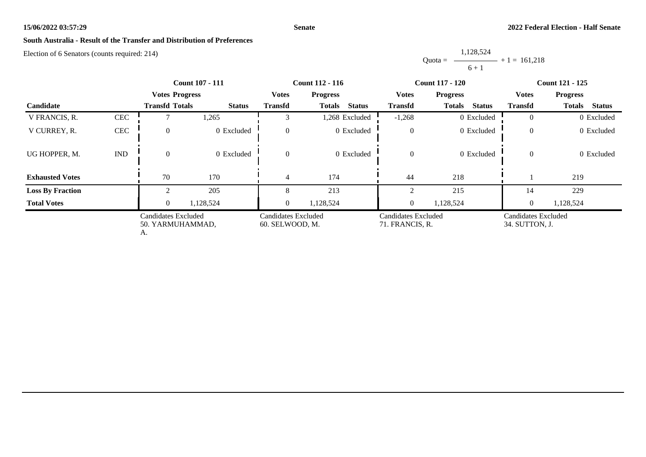#### **Senate**

# **South Australia - Result of the Transfer and Distribution of Preferences**

Election of 6 Senators (counts required: 214)

Quota = 1,128,524  $6 + 1$  $+ 1 = 161,218$ 

|                         | <b>Count 107 - 111</b>                        |                       |                                        | <b>Count 112 - 116</b> |                                        | <b>Count 117 - 120</b> | <b>Count 121 - 125</b>                |                |                                |
|-------------------------|-----------------------------------------------|-----------------------|----------------------------------------|------------------------|----------------------------------------|------------------------|---------------------------------------|----------------|--------------------------------|
|                         |                                               | <b>Votes Progress</b> |                                        | <b>Votes</b>           | <b>Progress</b>                        | <b>Votes</b>           | <b>Progress</b>                       | Votes          | <b>Progress</b>                |
| Candidate               |                                               | <b>Transfd Totals</b> | <b>Status</b>                          | <b>Transfd</b>         | <b>Status</b><br><b>Totals</b>         | <b>Transfd</b>         | <b>Totals</b><br><b>Status</b>        | <b>Transfd</b> | <b>Status</b><br><b>Totals</b> |
| V FRANCIS, R.           | <b>CEC</b>                                    |                       | 1,265                                  |                        | 1,268 Excluded                         | $-1,268$               | 0 Excluded                            | $\theta$       | 0 Excluded                     |
| V CURREY, R.            | <b>CEC</b>                                    | $\Omega$              | 0 Excluded                             | $\overline{0}$         | 0 Excluded                             | $\mathbf{0}$           | 0 Excluded                            | $\theta$       | 0 Excluded                     |
| UG HOPPER, M.           | <b>IND</b>                                    | $\Omega$              | 0 Excluded                             | $\overline{0}$         | 0 Excluded                             | $\boldsymbol{0}$       | 0 Excluded                            | $\overline{0}$ | 0 Excluded                     |
| <b>Exhausted Votes</b>  |                                               | 70                    | 170                                    | 4                      | 174                                    | 44                     | 218                                   |                | 219                            |
| <b>Loss By Fraction</b> |                                               |                       | 205                                    | 8                      | 213                                    |                        | 215                                   | 14             | 229                            |
| <b>Total Votes</b>      |                                               | $\Omega$              | 1,128,524                              | $\overline{0}$         | 1,128,524                              | $\overline{0}$         | 1,128,524                             | $\theta$       | 1,128,524                      |
|                         | Candidates Excluded<br>50. YARMUHAMMAD,<br>А. |                       | Candidates Excluded<br>60. SELWOOD, M. |                        | Candidates Excluded<br>71. FRANCIS, R. |                        | Candidates Excluded<br>34. SUTTON, J. |                |                                |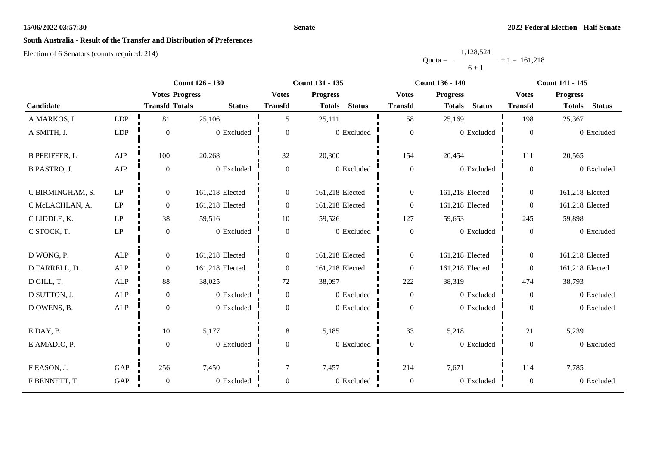#### **Senate**

# **South Australia - Result of the Transfer and Distribution of Preferences**

|           | 1,128,524      |  |
|-----------|----------------|--|
| $Quota =$ | $+1 = 161,218$ |  |
|           | $6 + 1$        |  |

|                       | <b>Count 126 - 130</b><br><b>Count 131 - 135</b> |                       |                 | <b>Count 136 - 140</b> | <b>Count 141 - 145</b>         |                  |                                |                  |                                |
|-----------------------|--------------------------------------------------|-----------------------|-----------------|------------------------|--------------------------------|------------------|--------------------------------|------------------|--------------------------------|
|                       |                                                  | <b>Votes Progress</b> |                 | <b>Votes</b>           | <b>Progress</b>                | <b>Votes</b>     | <b>Progress</b>                | <b>Votes</b>     | <b>Progress</b>                |
| Candidate             |                                                  | <b>Transfd Totals</b> | <b>Status</b>   | <b>Transfd</b>         | <b>Status</b><br><b>Totals</b> | <b>Transfd</b>   | <b>Status</b><br><b>Totals</b> | <b>Transfd</b>   | <b>Status</b><br><b>Totals</b> |
| A MARKOS, I.          | LDP                                              | 81                    | 25,106          | 5.                     | 25,111                         | 58               | 25,169                         | 198              | 25,367                         |
| A SMITH, J.           | <b>LDP</b>                                       | $\boldsymbol{0}$      | 0 Excluded      | $\overline{0}$         | 0 Excluded                     | $\boldsymbol{0}$ | 0 Excluded                     | $\boldsymbol{0}$ | 0 Excluded                     |
| <b>B PFEIFFER, L.</b> | AJP                                              | 100                   | 20,268          | 32                     | 20,300                         | 154              | 20,454                         | 111              | 20,565                         |
| <b>B PASTRO, J.</b>   | ${\rm AJP}$                                      | $\boldsymbol{0}$      | 0 Excluded      | $\overline{0}$         | 0 Excluded                     | $\boldsymbol{0}$ | 0 Excluded                     | $\overline{0}$   | 0 Excluded                     |
| C BIRMINGHAM, S.      | LP                                               | $\boldsymbol{0}$      | 161,218 Elected | $\overline{0}$         | 161,218 Elected                | $\boldsymbol{0}$ | 161,218 Elected                | $\overline{0}$   | 161,218 Elected                |
| C McLACHLAN, A.       | $\operatorname{LP}$                              | $\boldsymbol{0}$      | 161,218 Elected | $\boldsymbol{0}$       | 161,218 Elected                | $\boldsymbol{0}$ | 161,218 Elected                | $\overline{0}$   | 161,218 Elected                |
| C LIDDLE, K.          | $\operatorname{LP}$                              | 38                    | 59,516          | 10                     | 59,526                         | 127              | 59,653                         | 245              | 59,898                         |
| C STOCK, T.           | $\operatorname{LP}$                              | $\boldsymbol{0}$      | 0 Excluded      | $\overline{0}$         | 0 Excluded                     | $\boldsymbol{0}$ | 0 Excluded                     | $\overline{0}$   | 0 Excluded                     |
| D WONG, P.            | <b>ALP</b>                                       | $\boldsymbol{0}$      | 161,218 Elected | $\overline{0}$         | 161,218 Elected                | $\boldsymbol{0}$ | 161,218 Elected                | $\overline{0}$   | 161,218 Elected                |
| D FARRELL, D.         | ALP                                              | $\boldsymbol{0}$      | 161,218 Elected | $\boldsymbol{0}$       | 161,218 Elected                | $\boldsymbol{0}$ | 161,218 Elected                | $\overline{0}$   | 161,218 Elected                |
| D GILL, T.            | <b>ALP</b>                                       | $88\,$                | 38,025          | $72\,$                 | 38,097                         | 222              | 38,319                         | 474              | 38,793                         |
| D SUTTON, J.          | ALP                                              | $\boldsymbol{0}$      | 0 Excluded      | $\overline{0}$         | 0 Excluded                     | $\boldsymbol{0}$ | 0 Excluded                     | $\overline{0}$   | 0 Excluded                     |
| D OWENS, B.           | ALP                                              | $\boldsymbol{0}$      | 0 Excluded      | $\overline{0}$         | 0 Excluded                     | $\boldsymbol{0}$ | 0 Excluded                     | $\overline{0}$   | 0 Excluded                     |
| E DAY, B.             |                                                  | $10\,$                | 5,177           | 8                      | 5,185                          | 33               | 5,218                          | 21               | 5,239                          |
| E AMADIO, P.          |                                                  | $\boldsymbol{0}$      | 0 Excluded      | $\boldsymbol{0}$       | 0 Excluded                     | $\boldsymbol{0}$ | 0 Excluded                     | $\mathbf{0}$     | 0 Excluded                     |
| F EASON, J.           | GAP                                              | 256                   | 7,450           | 7                      | 7,457                          | 214              | 7,671                          | 114              | 7,785                          |
| F BENNETT, T.         | GAP                                              | $\boldsymbol{0}$      | 0 Excluded      | $\boldsymbol{0}$       | 0 Excluded                     | $\boldsymbol{0}$ | 0 Excluded                     | $\boldsymbol{0}$ | 0 Excluded                     |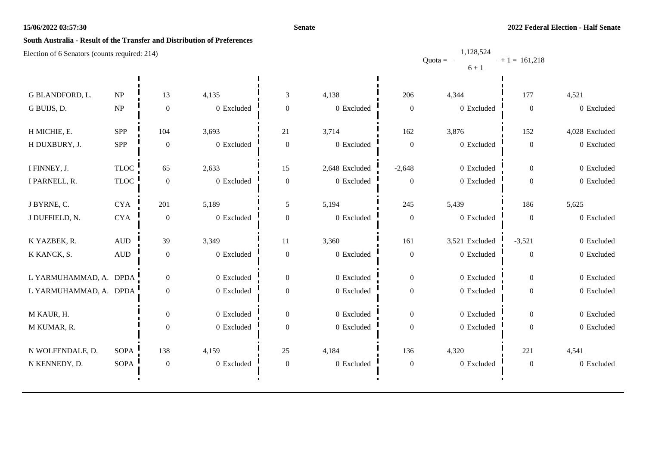#### **Senate**

1,128,524

# **South Australia - Result of the Transfer and Distribution of Preferences**

|                        |                                 |                  |              |                  |                |                  | Quota = $\longrightarrow$ + 1 = 161,218 |                  |                |
|------------------------|---------------------------------|------------------|--------------|------------------|----------------|------------------|-----------------------------------------|------------------|----------------|
|                        |                                 |                  |              |                  |                |                  | $6 + 1$                                 |                  |                |
|                        |                                 |                  |              |                  |                |                  |                                         |                  |                |
| G BLANDFORD, L.        | $\ensuremath{\text{NP}}\xspace$ | 13               | 4,135        | $\mathfrak{Z}$   | 4,138          | 206              | 4,344                                   | 177              | 4,521          |
| G BUIJS, D.            | $\ensuremath{\text{NP}}\xspace$ | $\boldsymbol{0}$ | 0 Excluded   | $\boldsymbol{0}$ | 0 Excluded     | $\boldsymbol{0}$ | $0\,$ Excluded                          | $\boldsymbol{0}$ | 0 Excluded     |
|                        |                                 |                  |              |                  |                |                  |                                         |                  |                |
| H MICHIE, E.           | <b>SPP</b>                      | 104              | 3,693        | 21               | 3,714          | 162              | 3,876                                   | 152              | 4,028 Excluded |
| H DUXBURY, J.          | SPP                             | $\boldsymbol{0}$ | 0 Excluded   | $\boldsymbol{0}$ | 0 Excluded     | $\boldsymbol{0}$ | 0 Excluded                              | $\boldsymbol{0}$ | 0 Excluded     |
|                        |                                 |                  |              |                  |                |                  |                                         |                  |                |
| I FINNEY, J.           | <b>TLOC</b>                     | 65               | 2,633        | 15               | 2,648 Excluded | $-2,648$         | 0 Excluded                              | $\overline{0}$   | 0 Excluded     |
| I PARNELL, R.          | <b>TLOC</b>                     | $\boldsymbol{0}$ | 0 Excluded   | $\boldsymbol{0}$ | 0 Excluded     | $\overline{0}$   | 0 Excluded                              | $\boldsymbol{0}$ | 0 Excluded     |
|                        |                                 |                  |              |                  |                |                  |                                         |                  |                |
| J BYRNE, C.            | <b>CYA</b>                      | 201              | 5,189        | 5                | 5,194          | 245              | 5,439                                   | 186              | 5,625          |
| J DUFFIELD, N.         | ${\rm CYA}$                     | $\boldsymbol{0}$ | 0 Excluded   | $\boldsymbol{0}$ | 0 Excluded     | $\boldsymbol{0}$ | 0 Excluded                              | $\boldsymbol{0}$ | 0 Excluded     |
|                        |                                 |                  |              |                  |                |                  |                                         |                  |                |
| K YAZBEK, R.           | $\hbox{AUD}$                    | 39               | 3,349        | 11               | 3,360          | 161              | 3,521 Excluded                          | $-3,521$         | 0 Excluded     |
| K KANCK, S.            | $\hbox{AUD}$                    | $\boldsymbol{0}$ | 0 Excluded   | $\boldsymbol{0}$ | $0\,$ Excluded | $\boldsymbol{0}$ | 0 Excluded                              | $\boldsymbol{0}$ | 0 Excluded     |
|                        |                                 |                  |              |                  |                |                  |                                         |                  |                |
| L YARMUHAMMAD, A. DPDA |                                 | $\boldsymbol{0}$ | 0 Excluded   | $\boldsymbol{0}$ | 0 Excluded     | $\boldsymbol{0}$ | 0 Excluded                              | $\overline{0}$   | 0 Excluded     |
| L YARMUHAMMAD, A. DPDA |                                 | $\boldsymbol{0}$ | $0$ Excluded | $\boldsymbol{0}$ | 0 Excluded     | $\overline{0}$   | 0 Excluded                              | $\boldsymbol{0}$ | 0 Excluded     |
|                        |                                 |                  |              |                  |                |                  |                                         |                  |                |
| M KAUR, H.             |                                 | $\boldsymbol{0}$ | $0$ Excluded | $\boldsymbol{0}$ | 0 Excluded     | $\overline{0}$   | $0$ Excluded                            | $\overline{0}$   | 0 Excluded     |
| M KUMAR, R.            |                                 | $\boldsymbol{0}$ | 0 Excluded   | $\boldsymbol{0}$ | 0 Excluded     | $\overline{0}$   | 0 Excluded                              | $\boldsymbol{0}$ | 0 Excluded     |
|                        |                                 |                  |              |                  |                |                  |                                         |                  |                |
| N WOLFENDALE, D.       | <b>SOPA</b>                     | 138              | 4,159        | 25               | 4,184          | 136              | 4,320                                   | 221              | 4,541          |
| N KENNEDY, D.          | <b>SOPA</b>                     | $\boldsymbol{0}$ | $0$ Excluded | $\boldsymbol{0}$ | 0 Excluded     | $\boldsymbol{0}$ | 0 Excluded                              | $\boldsymbol{0}$ | 0 Excluded     |
|                        |                                 |                  |              |                  |                |                  |                                         |                  |                |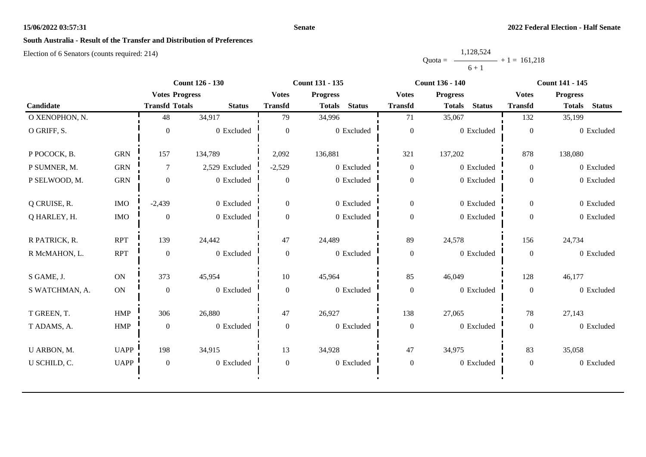#### **Senate**

# **South Australia - Result of the Transfer and Distribution of Preferences**

|           | 1,128,524 |                |
|-----------|-----------|----------------|
| $Quota =$ |           | $+1 = 161,218$ |
|           | $6 + 1$   |                |

|                |             |                       | <b>Count 126 - 130</b> |                  | Count 131 - 135                |                  | <b>Count 136 - 140</b>         | <b>Count 141 - 145</b> |                                |
|----------------|-------------|-----------------------|------------------------|------------------|--------------------------------|------------------|--------------------------------|------------------------|--------------------------------|
|                |             | <b>Votes Progress</b> |                        | <b>Votes</b>     | <b>Progress</b>                | <b>Votes</b>     | <b>Progress</b>                | <b>Votes</b>           | <b>Progress</b>                |
| Candidate      |             | <b>Transfd Totals</b> | <b>Status</b>          | <b>Transfd</b>   | <b>Status</b><br><b>Totals</b> | <b>Transfd</b>   | <b>Totals</b><br><b>Status</b> | <b>Transfd</b>         | <b>Status</b><br><b>Totals</b> |
| O XENOPHON, N. |             | 48                    | 34,917                 | 79               | 34,996                         | 71               | 35,067                         | 132                    | 35,199                         |
| O GRIFF, S.    |             | $\Omega$              | 0 Excluded             | $\theta$         | 0 Excluded                     | $\boldsymbol{0}$ | 0 Excluded                     | $\mathbf{0}$           | 0 Excluded                     |
| P POCOCK, B.   | <b>GRN</b>  | 157                   | 134,789                | 2,092            | 136,881                        | 321              | 137,202                        | 878                    | 138,080                        |
| P SUMNER, M.   | ${\rm GRN}$ | 7                     | 2,529 Excluded         | $-2,529$         | 0 Excluded                     | $\boldsymbol{0}$ | 0 Excluded                     | $\overline{0}$         | 0 Excluded                     |
| P SELWOOD, M.  | <b>GRN</b>  | $\mathbf{0}$          | 0 Excluded             | $\overline{0}$   | 0 Excluded                     | $\mathbf{0}$     | 0 Excluded                     | $\mathbf{0}$           | 0 Excluded                     |
| Q CRUISE, R.   | $\rm{IMO}$  | $-2,439$              | 0 Excluded             | $\overline{0}$   | 0 Excluded                     | $\mathbf{0}$     | 0 Excluded                     | $\overline{0}$         | 0 Excluded                     |
| Q HARLEY, H.   | $\rm{IMO}$  | $\boldsymbol{0}$      | 0 Excluded             | $\mathbf{0}$     | $0$ Excluded                   | $\boldsymbol{0}$ | 0 Excluded                     | $\overline{0}$         | 0 Excluded                     |
| R PATRICK, R.  | <b>RPT</b>  | 139                   | 24,442                 | 47               | 24,489                         | 89               | 24,578                         | 156                    | 24,734                         |
| R McMAHON, L.  | <b>RPT</b>  | $\boldsymbol{0}$      | 0 Excluded             | $\overline{0}$   | 0 Excluded                     | $\boldsymbol{0}$ | 0 Excluded                     | $\mathbf{0}$           | 0 Excluded                     |
| S GAME, J.     | ON          | 373                   | 45,954                 | 10               | 45,964                         | 85               | 46,049                         | 128                    | 46,177                         |
| S WATCHMAN, A. | <b>ON</b>   | $\boldsymbol{0}$      | 0 Excluded             | $\mathbf{0}$     | 0 Excluded                     | $\boldsymbol{0}$ | 0 Excluded                     | $\overline{0}$         | 0 Excluded                     |
| T GREEN, T.    | <b>HMP</b>  | 306                   | 26,880                 | 47               | 26,927                         | 138              | 27,065                         | 78                     | 27,143                         |
| T ADAMS, A.    | ${\rm HMP}$ | $\mathbf{0}$          | 0 Excluded             | $\mathbf{0}$     | 0 Excluded                     | $\boldsymbol{0}$ | 0 Excluded                     | $\overline{0}$         | 0 Excluded                     |
| U ARBON, M.    | <b>UAPP</b> | 198                   | 34,915                 | 13               | 34,928                         | 47               | 34,975                         | 83                     | 35,058                         |
| U SCHILD, C.   | <b>UAPP</b> | $\mathbf{0}$          | 0 Excluded             | $\boldsymbol{0}$ | 0 Excluded                     | $\boldsymbol{0}$ | 0 Excluded                     | $\boldsymbol{0}$       | 0 Excluded                     |
|                |             |                       |                        |                  |                                |                  |                                |                        |                                |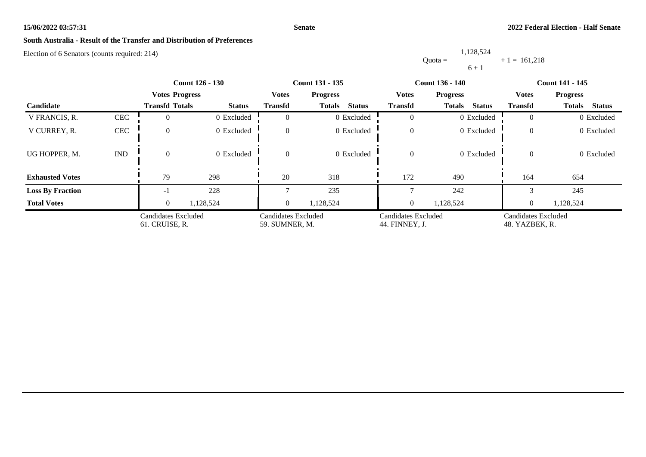#### **Senate**

# **South Australia - Result of the Transfer and Distribution of Preferences**

Election of 6 Senators (counts required: 214)

Quota = 1,128,524  $6 + 1$  $+ 1 = 161,218$ 

|                         | <b>Count 126 - 130</b>      |                                       |               | <b>Count 131 - 135</b>                |                                | <b>Count 136 - 140</b>                | <b>Count 141 - 145</b>         |                                       |                                |
|-------------------------|-----------------------------|---------------------------------------|---------------|---------------------------------------|--------------------------------|---------------------------------------|--------------------------------|---------------------------------------|--------------------------------|
|                         |                             | <b>Votes Progress</b>                 |               | <b>Votes</b>                          | <b>Progress</b>                | <b>Votes</b>                          | <b>Progress</b>                | <b>Votes</b>                          | <b>Progress</b>                |
| Candidate               |                             | <b>Transfd Totals</b>                 | <b>Status</b> | <b>Transfd</b>                        | <b>Status</b><br><b>Totals</b> | Transfd                               | <b>Status</b><br><b>Totals</b> | <b>Transfd</b>                        | <b>Status</b><br><b>Totals</b> |
| V FRANCIS, R.           | <b>CEC</b>                  |                                       | 0 Excluded    | $\Omega$                              | 0 Excluded                     | $\overline{0}$                        | 0 Excluded                     | $\Omega$                              | 0 Excluded                     |
| V CURREY, R.            | CEC                         | $\theta$                              | 0 Excluded    | $\overline{0}$                        | 0 Excluded                     | $\boldsymbol{0}$                      | 0 Excluded                     | $\overline{0}$                        | 0 Excluded                     |
| UG HOPPER, M.           | $\mathop{\rm IND}\nolimits$ | $\Omega$                              | 0 Excluded    | $\overline{0}$                        | 0 Excluded                     | $\overline{0}$                        | 0 Excluded                     | $\overline{0}$                        | 0 Excluded                     |
| <b>Exhausted Votes</b>  |                             | 79                                    | 298           | 20                                    | 318                            | 172                                   | 490                            | 164                                   | 654                            |
| <b>Loss By Fraction</b> |                             | - 1                                   | 228           |                                       | 235                            |                                       | 242                            |                                       | 245                            |
| <b>Total Votes</b>      |                             | $\Omega$                              | 1,128,524     | $\overline{0}$                        | 1,128,524                      | $\overline{0}$                        | 1,128,524                      | $\theta$                              | 1,128,524                      |
|                         |                             | Candidates Excluded<br>61. CRUISE, R. |               | Candidates Excluded<br>59. SUMNER, M. |                                | Candidates Excluded<br>44. FINNEY, J. |                                | Candidates Excluded<br>48. YAZBEK, R. |                                |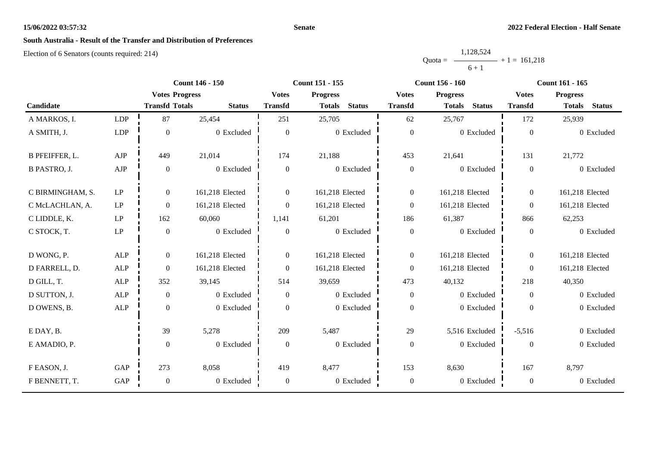#### **Senate**

# **South Australia - Result of the Transfer and Distribution of Preferences**

|           | 1,128,524      |  |
|-----------|----------------|--|
| $Quota =$ | $+1 = 161,218$ |  |
|           | $6 + 1$        |  |

|                       |                     |                       | <b>Count 146 - 150</b> |                  | Count 151 - 155                | <b>Count 156 - 160</b> |                                | Count 161 - 165  |                                |
|-----------------------|---------------------|-----------------------|------------------------|------------------|--------------------------------|------------------------|--------------------------------|------------------|--------------------------------|
|                       |                     | <b>Votes Progress</b> |                        | <b>Votes</b>     | <b>Progress</b>                | <b>Votes</b>           | <b>Progress</b>                | <b>Votes</b>     | <b>Progress</b>                |
| Candidate             |                     | <b>Transfd Totals</b> | <b>Status</b>          | <b>Transfd</b>   | <b>Status</b><br><b>Totals</b> | <b>Transfd</b>         | <b>Status</b><br><b>Totals</b> | <b>Transfd</b>   | <b>Status</b><br><b>Totals</b> |
| A MARKOS, I.          | LDP                 | 87                    | 25,454                 | 251              | 25,705                         | 62                     | 25,767                         | 172              | 25,939                         |
| A SMITH, J.           | <b>LDP</b>          | $\boldsymbol{0}$      | 0 Excluded             | $\boldsymbol{0}$ | 0 Excluded                     | $\boldsymbol{0}$       | 0 Excluded                     | $\boldsymbol{0}$ | 0 Excluded                     |
| <b>B PFEIFFER, L.</b> | AJP                 | 449                   | 21,014                 | 174              | 21,188                         | 453                    | 21,641                         | 131              | 21,772                         |
| <b>B PASTRO, J.</b>   | ${\rm AJP}$         | $\boldsymbol{0}$      | 0 Excluded             | $\overline{0}$   | 0 Excluded                     | $\boldsymbol{0}$       | 0 Excluded                     | $\overline{0}$   | 0 Excluded                     |
| C BIRMINGHAM, S.      | LP                  | $\boldsymbol{0}$      | 161,218 Elected        | $\overline{0}$   | 161,218 Elected                | $\boldsymbol{0}$       | 161,218 Elected                | $\overline{0}$   | 161,218 Elected                |
| C McLACHLAN, A.       | $\operatorname{LP}$ | $\boldsymbol{0}$      | 161,218 Elected        | $\boldsymbol{0}$ | 161,218 Elected                | $\boldsymbol{0}$       | 161,218 Elected                | $\overline{0}$   | 161,218 Elected                |
| C LIDDLE, K.          | $\operatorname{LP}$ | 162                   | 60,060                 | 1,141            | 61,201                         | 186                    | 61,387                         | 866              | 62,253                         |
| C STOCK, T.           | $\operatorname{LP}$ | $\boldsymbol{0}$      | 0 Excluded             | $\boldsymbol{0}$ | 0 Excluded                     | $\mathbf{0}$           | 0 Excluded                     | $\overline{0}$   | 0 Excluded                     |
| D WONG, P.            | <b>ALP</b>          | $\overline{0}$        | 161,218 Elected        | $\overline{0}$   | 161,218 Elected                | $\mathbf{0}$           | 161,218 Elected                | $\overline{0}$   | 161,218 Elected                |
| D FARRELL, D.         | ALP                 | $\boldsymbol{0}$      | 161,218 Elected        | $\boldsymbol{0}$ | 161,218 Elected                | $\boldsymbol{0}$       | 161,218 Elected                | $\overline{0}$   | 161,218 Elected                |
| D GILL, T.            | <b>ALP</b>          | 352                   | 39,145                 | 514              | 39,659                         | 473                    | 40,132                         | 218              | 40,350                         |
| D SUTTON, J.          | ALP                 | $\boldsymbol{0}$      | 0 Excluded             | $\overline{0}$   | 0 Excluded                     | $\boldsymbol{0}$       | 0 Excluded                     | $\overline{0}$   | 0 Excluded                     |
| D OWENS, B.           | <b>ALP</b>          | $\boldsymbol{0}$      | 0 Excluded             | $\Omega$         | 0 Excluded                     | $\boldsymbol{0}$       | 0 Excluded                     | $\boldsymbol{0}$ | 0 Excluded                     |
| E DAY, B.             |                     | 39                    | 5,278                  | 209              | 5,487                          | 29                     | 5,516 Excluded                 | $-5,516$         | 0 Excluded                     |
| E AMADIO, P.          |                     | $\boldsymbol{0}$      | 0 Excluded             | $\boldsymbol{0}$ | 0 Excluded                     | $\boldsymbol{0}$       | 0 Excluded                     | $\boldsymbol{0}$ | 0 Excluded                     |
| F EASON, J.           | GAP                 | 273                   | 8,058                  | 419              | 8,477                          | 153                    | 8,630                          | 167              | 8,797                          |
| F BENNETT, T.         | GAP                 | $\boldsymbol{0}$      | 0 Excluded             | $\boldsymbol{0}$ | 0 Excluded                     | $\boldsymbol{0}$       | 0 Excluded                     | $\boldsymbol{0}$ | 0 Excluded                     |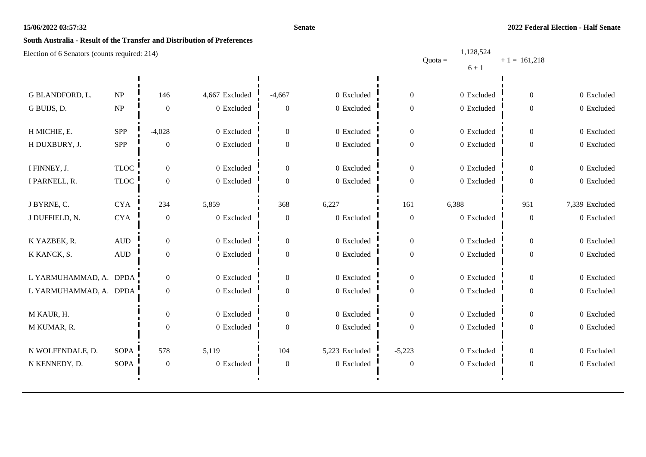#### **Senate**

1,128,524

# **South Australia - Result of the Transfer and Distribution of Preferences**

|                        |                                 |                  |                |                  |                |                  | Quota = $\longrightarrow$ + 1 = 161,218 |                  |                |
|------------------------|---------------------------------|------------------|----------------|------------------|----------------|------------------|-----------------------------------------|------------------|----------------|
|                        |                                 |                  |                |                  |                |                  | $6 + 1$                                 |                  |                |
|                        |                                 |                  |                |                  |                |                  |                                         |                  |                |
| G BLANDFORD, L.        | $\ensuremath{\text{NP}}\xspace$ | 146              | 4,667 Excluded | $-4,667$         | 0 Excluded     | $\overline{0}$   | 0 Excluded                              | $\mathbf{0}$     | 0 Excluded     |
| G BUIJS, D.            | NP                              | $\boldsymbol{0}$ | 0 Excluded     | $\boldsymbol{0}$ | 0 Excluded     | $\Omega$         | 0 Excluded                              | $\overline{0}$   | 0 Excluded     |
|                        |                                 |                  |                |                  |                |                  |                                         |                  |                |
| H MICHIE, E.           | <b>SPP</b>                      | $-4,028$         | 0 Excluded     | $\boldsymbol{0}$ | 0 Excluded     | $\overline{0}$   | 0 Excluded                              | $\overline{0}$   | 0 Excluded     |
| H DUXBURY, J.          | <b>SPP</b>                      | $\boldsymbol{0}$ | $0$ Excluded   | $\boldsymbol{0}$ | 0 Excluded     | $\mathbf{0}$     | 0 Excluded                              | 0                | 0 Excluded     |
|                        |                                 |                  |                |                  |                |                  |                                         |                  |                |
| I FINNEY, J.           | <b>TLOC</b>                     | $\overline{0}$   | 0 Excluded     | $\overline{0}$   | 0 Excluded     | $\Omega$         | 0 Excluded                              | 0                | 0 Excluded     |
| I PARNELL, R.          | <b>TLOC</b>                     | $\boldsymbol{0}$ | 0 Excluded     | $\boldsymbol{0}$ | 0 Excluded     | $\Omega$         | 0 Excluded                              | $\theta$         | 0 Excluded     |
|                        |                                 |                  |                |                  |                |                  |                                         |                  |                |
| J BYRNE, C.            | <b>CYA</b>                      | 234              | 5,859          | 368              | 6,227          | 161              | 6,388                                   | 951              | 7,339 Excluded |
| J DUFFIELD, N.         | ${\rm CYA}$                     | $\boldsymbol{0}$ | 0 Excluded     | $\boldsymbol{0}$ | 0 Excluded     | $\overline{0}$   | 0 Excluded                              | $\boldsymbol{0}$ | 0 Excluded     |
| K YAZBEK, R.           | $\hbox{AUD}$                    | $\boldsymbol{0}$ | 0 Excluded     | $\boldsymbol{0}$ | 0 Excluded     | $\overline{0}$   | 0 Excluded                              | 0                | 0 Excluded     |
|                        |                                 |                  |                |                  |                |                  |                                         |                  |                |
| K KANCK, S.            | $\hbox{AUD}$                    | $\boldsymbol{0}$ | $0\,$ Excluded | $\boldsymbol{0}$ | 0 Excluded     | $\Omega$         | 0 Excluded                              | $\mathbf{0}$     | 0 Excluded     |
| L YARMUHAMMAD, A. DPDA |                                 | $\overline{0}$   | 0 Excluded     | $\mathbf{0}$     | 0 Excluded     | $\Omega$         | 0 Excluded                              | 0                | 0 Excluded     |
| L YARMUHAMMAD, A. DPDA |                                 | $\boldsymbol{0}$ | 0 Excluded     | $\mathbf{0}$     | 0 Excluded     | $\Omega$         | 0 Excluded                              | $\overline{0}$   | 0 Excluded     |
|                        |                                 |                  |                |                  |                |                  |                                         |                  |                |
| M KAUR, H.             |                                 | $\boldsymbol{0}$ | 0 Excluded     | $\boldsymbol{0}$ | 0 Excluded     | $\Omega$         | 0 Excluded                              | $\overline{0}$   | 0 Excluded     |
| M KUMAR, R.            |                                 | $\boldsymbol{0}$ | 0 Excluded     | $\boldsymbol{0}$ | 0 Excluded     | $\Omega$         | $0$ Excluded                            | 0                | 0 Excluded     |
|                        |                                 |                  |                |                  |                |                  |                                         |                  |                |
| N WOLFENDALE, D.       | <b>SOPA</b>                     | 578              | 5,119          | 104              | 5,223 Excluded | $-5,223$         | 0 Excluded                              | $\overline{0}$   | 0 Excluded     |
| N KENNEDY, D.          | <b>SOPA</b>                     | $\boldsymbol{0}$ | 0 Excluded     | $\boldsymbol{0}$ | 0 Excluded     | $\boldsymbol{0}$ | 0 Excluded                              | $\boldsymbol{0}$ | 0 Excluded     |
|                        |                                 |                  |                |                  |                |                  |                                         |                  |                |
|                        |                                 |                  |                |                  |                |                  |                                         |                  |                |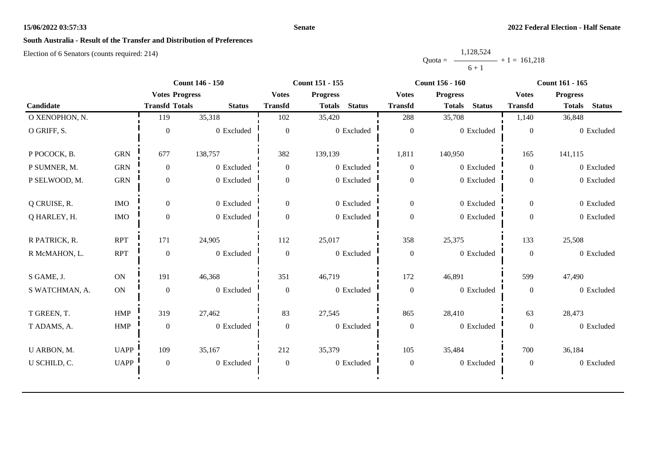#### **Senate**

# **South Australia - Result of the Transfer and Distribution of Preferences**

|           | 1,128,524 |                |
|-----------|-----------|----------------|
| $Quota =$ |           | $+1 = 161.218$ |
|           | $6 + 1$   |                |

|                |               | <b>Count 146 - 150</b> |               |                  | Count 151 - 155                |                  | <b>Count 156 - 160</b>         | Count 161 - 165  |                                |  |
|----------------|---------------|------------------------|---------------|------------------|--------------------------------|------------------|--------------------------------|------------------|--------------------------------|--|
|                |               | <b>Votes Progress</b>  |               | <b>Votes</b>     | <b>Progress</b>                | <b>Votes</b>     | <b>Progress</b>                | <b>Votes</b>     | <b>Progress</b>                |  |
| Candidate      |               | <b>Transfd Totals</b>  | <b>Status</b> | <b>Transfd</b>   | <b>Status</b><br><b>Totals</b> | <b>Transfd</b>   | <b>Status</b><br><b>Totals</b> | <b>Transfd</b>   | <b>Status</b><br><b>Totals</b> |  |
| O XENOPHON, N. |               | 119                    | 35,318        | 102              | 35,420                         | 288              | 35,708                         | 1,140            | 36,848                         |  |
| O GRIFF, S.    |               | $\theta$               | 0 Excluded    | $\Omega$         | 0 Excluded                     | $\boldsymbol{0}$ | 0 Excluded                     | $\theta$         | 0 Excluded                     |  |
| P POCOCK, B.   | <b>GRN</b>    | 677                    | 138,757       | 382              | 139,139                        | 1,811            | 140,950                        | 165              | 141,115                        |  |
| P SUMNER, M.   | <b>GRN</b>    | $\overline{0}$         | 0 Excluded    | $\theta$         | 0 Excluded                     | $\boldsymbol{0}$ | 0 Excluded                     | $\overline{0}$   | 0 Excluded                     |  |
| P SELWOOD, M.  | <b>GRN</b>    | $\overline{0}$         | 0 Excluded    | $\overline{0}$   | 0 Excluded                     | $\boldsymbol{0}$ | 0 Excluded                     | $\theta$         | 0 Excluded                     |  |
| Q CRUISE, R.   | <b>IMO</b>    | $\overline{0}$         | 0 Excluded    | $\overline{0}$   | 0 Excluded                     | $\overline{0}$   | 0 Excluded                     | $\overline{0}$   | 0 Excluded                     |  |
| Q HARLEY, H.   | $\rm{IMO}$    | $\mathbf{0}$           | 0 Excluded    | $\overline{0}$   | 0 Excluded                     | $\boldsymbol{0}$ | 0 Excluded                     | $\theta$         | 0 Excluded                     |  |
| R PATRICK, R.  | <b>RPT</b>    | 171                    | 24,905        | 112              | 25,017                         | 358              | 25,375                         | 133              | 25,508                         |  |
| R McMAHON, L.  | <b>RPT</b>    | $\mathbf{0}$           | 0 Excluded    | $\mathbf{0}$     | 0 Excluded                     | $\boldsymbol{0}$ | 0 Excluded                     | $\mathbf{0}$     | 0 Excluded                     |  |
| S GAME, J.     | ON            | 191                    | 46,368        | 351              | 46,719                         | 172              | 46,891                         | 599              | 47,490                         |  |
| S WATCHMAN, A. | $\mathbf{ON}$ | $\boldsymbol{0}$       | 0 Excluded    | $\theta$         | 0 Excluded                     | $\boldsymbol{0}$ | 0 Excluded                     | $\theta$         | 0 Excluded                     |  |
| T GREEN, T.    | HMP           | 319                    | 27,462        | 83               | 27,545                         | 865              | 28,410                         | 63               | 28,473                         |  |
| T ADAMS, A.    | ${\rm HMP}$   | $\mathbf{0}$           | 0 Excluded    | $\mathbf{0}$     | 0 Excluded                     | $\boldsymbol{0}$ | 0 Excluded                     | $\mathbf{0}$     | 0 Excluded                     |  |
| U ARBON, M.    | <b>UAPP</b>   | 109                    | 35,167        | 212              | 35,379                         | 105              | 35,484                         | 700              | 36,184                         |  |
| U SCHILD, C.   | <b>UAPP</b>   | $\boldsymbol{0}$       | 0 Excluded    | $\boldsymbol{0}$ | 0 Excluded                     | $\boldsymbol{0}$ | 0 Excluded                     | $\boldsymbol{0}$ | 0 Excluded                     |  |
|                |               |                        |               |                  |                                |                  |                                |                  |                                |  |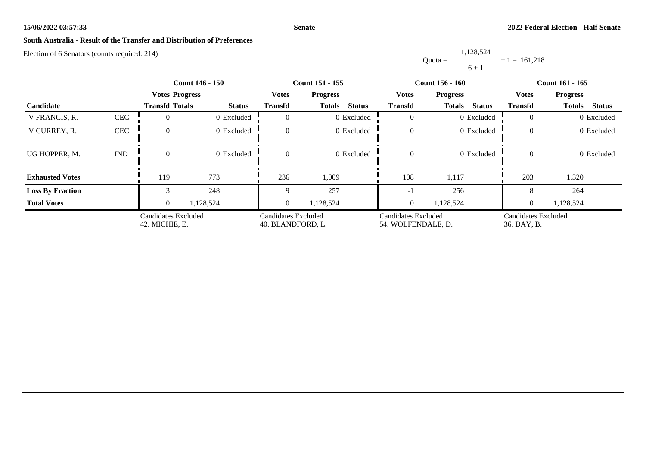#### **Senate**

# **South Australia - Result of the Transfer and Distribution of Preferences**

Election of 6 Senators (counts required: 214)

Quota = 1,128,524  $6 + 1$  $+ 1 = 161,218$ 

|                         |                             |                                       | <b>Count 146 - 150</b> | <b>Count 151 - 155</b>                   |                                |                                           | <b>Count 156 - 160</b>         | <b>Count 161 - 165</b>             |                                |  |
|-------------------------|-----------------------------|---------------------------------------|------------------------|------------------------------------------|--------------------------------|-------------------------------------------|--------------------------------|------------------------------------|--------------------------------|--|
|                         |                             | <b>Votes Progress</b>                 |                        | <b>Votes</b>                             | <b>Progress</b>                | <b>Votes</b>                              | <b>Progress</b>                | <b>Votes</b>                       | <b>Progress</b>                |  |
| Candidate               |                             | <b>Transfd Totals</b>                 | <b>Status</b>          | <b>Transfd</b>                           | <b>Status</b><br><b>Totals</b> | <b>Transfd</b>                            | <b>Status</b><br><b>Totals</b> | <b>Transfd</b>                     | <b>Status</b><br><b>Totals</b> |  |
| V FRANCIS, R.           | CEC                         |                                       | 0 Excluded             |                                          | 0 Excluded                     |                                           | 0 Excluded                     | $\Omega$                           | 0 Excluded                     |  |
| V CURREY, R.            | <b>CEC</b>                  | $\Omega$                              | 0 Excluded             | $\theta$                                 | 0 Excluded                     | $\theta$                                  | 0 Excluded                     | $\theta$                           | 0 Excluded                     |  |
| UG HOPPER, M.           | $\mathop{\rm IND}\nolimits$ | $\Omega$                              | 0 Excluded             | $\Omega$                                 | 0 Excluded                     | $\theta$                                  | 0 Excluded                     | $\theta$                           | 0 Excluded                     |  |
| <b>Exhausted Votes</b>  |                             | 119                                   | 773                    | 236                                      | 1,009                          | 108                                       | 1,117                          | 203                                | 1,320                          |  |
| <b>Loss By Fraction</b> |                             |                                       | 248                    |                                          | 257                            | - 1                                       | 256                            |                                    | 264                            |  |
| <b>Total Votes</b>      |                             | $\overline{0}$                        | 1,128,524              | $\overline{0}$                           | 1,128,524                      | $\boldsymbol{0}$                          | 1,128,524                      | $\overline{0}$                     | 1,128,524                      |  |
|                         |                             | Candidates Excluded<br>42. MICHIE, E. |                        | Candidates Excluded<br>40. BLANDFORD, L. |                                | Candidates Excluded<br>54. WOLFENDALE, D. |                                | Candidates Excluded<br>36. DAY, B. |                                |  |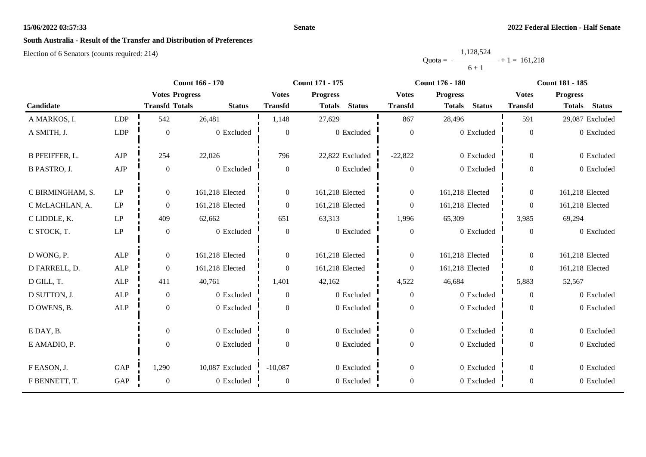#### **Senate**

# **South Australia - Result of the Transfer and Distribution of Preferences**

|           | 1,128,524 |                   |
|-----------|-----------|-------------------|
| $Quota =$ |           | $-$ + 1 = 161.218 |
|           | $6 + 1$   |                   |

|                     |             | Count 166 - 170       |                 | Count 171 - 175 |                                |                  | <b>Count 176 - 180</b>         | <b>Count 181 - 185</b> |                                |
|---------------------|-------------|-----------------------|-----------------|-----------------|--------------------------------|------------------|--------------------------------|------------------------|--------------------------------|
|                     |             | <b>Votes Progress</b> |                 | <b>Votes</b>    | <b>Progress</b>                | <b>Votes</b>     | <b>Progress</b>                | <b>Votes</b>           | <b>Progress</b>                |
| Candidate           |             | <b>Transfd Totals</b> | <b>Status</b>   | <b>Transfd</b>  | <b>Status</b><br><b>Totals</b> | <b>Transfd</b>   | <b>Status</b><br><b>Totals</b> | <b>Transfd</b>         | <b>Status</b><br><b>Totals</b> |
| A MARKOS, I.        | <b>LDP</b>  | 542                   | 26,481          | 1,148           | 27,629                         | 867              | 28,496                         | 591                    | 29,087 Excluded                |
| A SMITH, J.         | LDP         | $\overline{0}$        | 0 Excluded      | $\theta$        | $0\,$ Excluded                 | $\overline{0}$   | 0 Excluded                     | $\mathbf{0}$           | 0 Excluded                     |
| B PFEIFFER, L.      | AJP         | 254                   | 22,026          | 796             | 22,822 Excluded                | $-22,822$        | 0 Excluded                     | $\Omega$               | 0 Excluded                     |
| <b>B PASTRO, J.</b> | ${\rm AJP}$ | $\overline{0}$        | 0 Excluded      | $\theta$        | 0 Excluded                     | $\Omega$         | 0 Excluded                     | $\Omega$               | 0 Excluded                     |
| C BIRMINGHAM, S.    | LP          | $\overline{0}$        | 161,218 Elected | $\overline{0}$  | 161,218 Elected                | $\boldsymbol{0}$ | 161,218 Elected                | $\overline{0}$         | 161,218 Elected                |
| C McLACHLAN, A.     | LP          | $\overline{0}$        | 161,218 Elected | $\overline{0}$  | 161,218 Elected                | $\mathbf{0}$     | 161,218 Elected                | $\boldsymbol{0}$       | 161,218 Elected                |
| C LIDDLE, K.        | LP          | 409                   | 62,662          | 651             | 63,313                         | 1,996            | 65,309                         | 3,985                  | 69,294                         |
| C STOCK, T.         | LP          | $\theta$              | 0 Excluded      | $\overline{0}$  | 0 Excluded                     | $\mathbf{0}$     | 0 Excluded                     | $\theta$               | 0 Excluded                     |
| D WONG, P.          | ALP         | $\overline{0}$        | 161,218 Elected | $\overline{0}$  | 161,218 Elected                | $\mathbf{0}$     | 161,218 Elected                | $\theta$               | 161,218 Elected                |
| D FARRELL, D.       | <b>ALP</b>  | $\theta$              | 161,218 Elected | $\Omega$        | 161,218 Elected                | $\overline{0}$   | 161,218 Elected                | $\theta$               | 161,218 Elected                |
| D GILL, T.          | ALP         | 411                   | 40,761          | 1,401           | 42,162                         | 4,522            | 46,684                         | 5,883                  | 52,567                         |
| D SUTTON, J.        | <b>ALP</b>  | $\overline{0}$        | 0 Excluded      | $\overline{0}$  | 0 Excluded                     | $\overline{0}$   | 0 Excluded                     | $\overline{0}$         | 0 Excluded                     |
| D OWENS, B.         | ALP         | $\overline{0}$        | 0 Excluded      | $\Omega$        | 0 Excluded                     | $\boldsymbol{0}$ | 0 Excluded                     | $\theta$               | 0 Excluded                     |
| E DAY, B.           |             | $\Omega$              | 0 Excluded      | $\Omega$        | 0 Excluded                     | $\overline{0}$   | 0 Excluded                     | $\theta$               | 0 Excluded                     |
| E AMADIO, P.        |             | $\overline{0}$        | 0 Excluded      | $\Omega$        | 0 Excluded                     | $\boldsymbol{0}$ | 0 Excluded                     | $\theta$               | 0 Excluded                     |
| F EASON, J.         | <b>GAP</b>  | 1,290                 | 10,087 Excluded | $-10,087$       | 0 Excluded                     | $\mathbf{0}$     | 0 Excluded                     | $\Omega$               | 0 Excluded                     |
| F BENNETT, T.       | GAP         | $\boldsymbol{0}$      | 0 Excluded      | $\theta$        | 0 Excluded                     | $\boldsymbol{0}$ | 0 Excluded                     | $\boldsymbol{0}$       | 0 Excluded                     |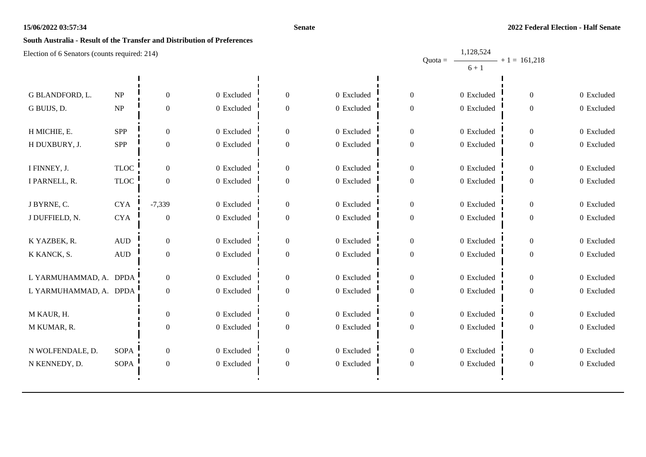#### **Senate**

1,128,524

# **South Australia - Result of the Transfer and Distribution of Preferences**

|                        |                                   |                  |                |                  |              |                  | Quota = $\longrightarrow$ + 1 = 161,218 |                |            |
|------------------------|-----------------------------------|------------------|----------------|------------------|--------------|------------------|-----------------------------------------|----------------|------------|
|                        |                                   |                  |                |                  |              |                  | $6 + 1$                                 |                |            |
|                        |                                   |                  |                |                  |              |                  |                                         |                |            |
| G BLANDFORD, L.        | $\ensuremath{\text{NP}}\xspace$   | $\boldsymbol{0}$ | 0 Excluded     | $\boldsymbol{0}$ | 0 Excluded   | $\Omega$         | 0 Excluded                              | 0              | 0 Excluded |
| G BUIJS, D.            | $\ensuremath{\mathbf{NP}}\xspace$ | $\boldsymbol{0}$ | 0 Excluded     | $\boldsymbol{0}$ | $0$ Excluded | $\Omega$         | 0 Excluded                              | 0              | 0 Excluded |
|                        |                                   |                  |                |                  |              |                  |                                         |                |            |
| H MICHIE, E.           | SPP                               | $\boldsymbol{0}$ | 0 Excluded     | $\boldsymbol{0}$ | 0 Excluded   | $\overline{0}$   | 0 Excluded                              | $\overline{0}$ | 0 Excluded |
| H DUXBURY, J.          | ${\rm SPP}$                       | $\boldsymbol{0}$ | 0 Excluded     | $\boldsymbol{0}$ | $0$ Excluded | $\boldsymbol{0}$ | 0 Excluded                              | 0              | 0 Excluded |
|                        |                                   |                  |                |                  |              |                  |                                         |                |            |
| I FINNEY, J.           | <b>TLOC</b>                       | $\mathbf{0}$     | 0 Excluded     | $\boldsymbol{0}$ | 0 Excluded   | $\Omega$         | 0 Excluded                              | $\overline{0}$ | 0 Excluded |
| I PARNELL, R.          | <b>TLOC</b>                       | $\boldsymbol{0}$ | $0\,$ Excluded | $\boldsymbol{0}$ | 0 Excluded   | $\theta$         | 0 Excluded                              | $\overline{0}$ | 0 Excluded |
|                        |                                   |                  |                |                  |              |                  |                                         |                |            |
| J BYRNE, C.            | ${\rm CYA}$                       | $-7,339$         | 0 Excluded     | $\boldsymbol{0}$ | 0 Excluded   | $\Omega$         | 0 Excluded                              | 0              | 0 Excluded |
| J DUFFIELD, N.         | ${\rm CYA}$                       | $\boldsymbol{0}$ | 0 Excluded     | $\boldsymbol{0}$ | 0 Excluded   | $\Omega$         | 0 Excluded                              | 0              | 0 Excluded |
|                        |                                   |                  |                |                  |              |                  |                                         |                |            |
| K YAZBEK, R.           | $\hbox{AUD}$                      | $\boldsymbol{0}$ | 0 Excluded     | $\boldsymbol{0}$ | 0 Excluded   | $\overline{0}$   | 0 Excluded                              | 0              | 0 Excluded |
| K KANCK, S.            | $\hbox{AUD}$                      | $\boldsymbol{0}$ | 0 Excluded     | $\boldsymbol{0}$ | 0 Excluded   | $\boldsymbol{0}$ | 0 Excluded                              | $\mathbf{0}$   | 0 Excluded |
|                        |                                   |                  |                |                  |              |                  |                                         |                |            |
| L YARMUHAMMAD, A. DPDA |                                   | $\boldsymbol{0}$ | 0 Excluded     | $\boldsymbol{0}$ | 0 Excluded   | $\overline{0}$   | 0 Excluded                              | 0              | 0 Excluded |
| L YARMUHAMMAD, A. DPDA |                                   | $\boldsymbol{0}$ | 0 Excluded     | $\boldsymbol{0}$ | 0 Excluded   | $\Omega$         | 0 Excluded                              | $\mathbf{0}$   | 0 Excluded |
|                        |                                   |                  |                |                  |              |                  |                                         |                |            |
| M KAUR, H.             |                                   | $\boldsymbol{0}$ | 0 Excluded     | $\boldsymbol{0}$ | 0 Excluded   | $\Omega$         | 0 Excluded                              | 0              | 0 Excluded |
| M KUMAR, R.            |                                   | $\boldsymbol{0}$ | $0\,$ Excluded | $\boldsymbol{0}$ | 0 Excluded   | $\theta$         | $0\,$ Excluded                          | 0              | 0 Excluded |
|                        |                                   |                  |                |                  |              |                  |                                         |                |            |
| N WOLFENDALE, D.       | <b>SOPA</b>                       | $\boldsymbol{0}$ | 0 Excluded     | $\boldsymbol{0}$ | 0 Excluded   | $\Omega$         | 0 Excluded                              | 0              | 0 Excluded |
| N KENNEDY, D.          | <b>SOPA</b>                       | $\boldsymbol{0}$ | 0 Excluded     | $\boldsymbol{0}$ | $0$ Excluded | $\boldsymbol{0}$ | 0 Excluded                              | 0              | 0 Excluded |
|                        |                                   |                  |                |                  |              |                  |                                         |                |            |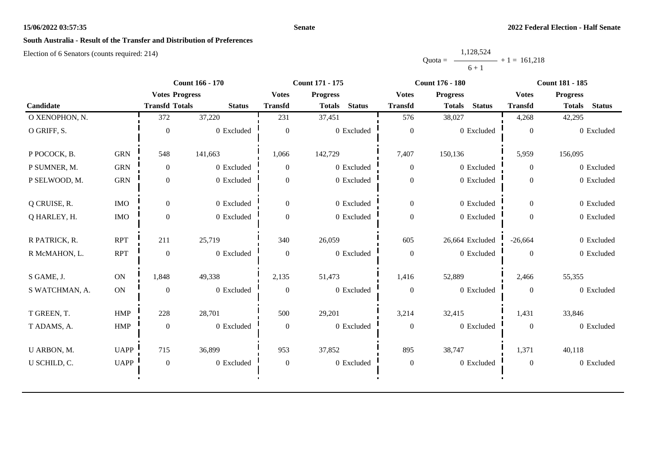#### **Senate**

# **South Australia - Result of the Transfer and Distribution of Preferences**

|           | 1,128,524 |                |
|-----------|-----------|----------------|
| $Quota =$ |           | $+1 = 161,218$ |
|           | $6 + 1$   |                |

|                |             |                       | <b>Count 166 - 170</b> |                  | Count 171 - 175                |                  | <b>Count 176 - 180</b>         | <b>Count 181 - 185</b> |                                |  |
|----------------|-------------|-----------------------|------------------------|------------------|--------------------------------|------------------|--------------------------------|------------------------|--------------------------------|--|
|                |             | <b>Votes Progress</b> |                        | <b>Votes</b>     | <b>Progress</b>                | <b>Votes</b>     | <b>Progress</b>                | <b>Votes</b>           | <b>Progress</b>                |  |
| Candidate      |             | <b>Transfd Totals</b> | <b>Status</b>          | <b>Transfd</b>   | <b>Status</b><br><b>Totals</b> | <b>Transfd</b>   | <b>Status</b><br><b>Totals</b> | <b>Transfd</b>         | <b>Status</b><br><b>Totals</b> |  |
| O XENOPHON, N. |             | 372                   | 37,220                 | 231              | 37,451                         | 576              | 38,027                         | 4,268                  | 42,295                         |  |
| O GRIFF, S.    |             | $\Omega$              | 0 Excluded             | $\theta$         | 0 Excluded                     | $\overline{0}$   | 0 Excluded                     | $\Omega$               | 0 Excluded                     |  |
| P POCOCK, B.   | <b>GRN</b>  | 548                   | 141,663                | 1,066            | 142,729                        | 7,407            | 150,136                        | 5,959                  | 156,095                        |  |
| P SUMNER, M.   | <b>GRN</b>  | $\overline{0}$        | 0 Excluded             | $\overline{0}$   | 0 Excluded                     | $\overline{0}$   | 0 Excluded                     | $\overline{0}$         | 0 Excluded                     |  |
| P SELWOOD, M.  | <b>GRN</b>  | $\overline{0}$        | 0 Excluded             | $\overline{0}$   | 0 Excluded                     | $\boldsymbol{0}$ | 0 Excluded                     | $\overline{0}$         | 0 Excluded                     |  |
| Q CRUISE, R.   | <b>IMO</b>  | $\overline{0}$        | 0 Excluded             | $\overline{0}$   | 0 Excluded                     | $\overline{0}$   | 0 Excluded                     | $\overline{0}$         | 0 Excluded                     |  |
| Q HARLEY, H.   | $\rm{IMO}$  | $\boldsymbol{0}$      | 0 Excluded             | $\boldsymbol{0}$ | 0 Excluded                     | $\boldsymbol{0}$ | 0 Excluded                     | $\overline{0}$         | 0 Excluded                     |  |
| R PATRICK, R.  | <b>RPT</b>  | 211                   | 25,719                 | 340              | 26,059                         | 605              | 26,664 Excluded                | $-26,664$              | 0 Excluded                     |  |
| R McMAHON, L.  | <b>RPT</b>  | $\mathbf{0}$          | 0 Excluded             | $\overline{0}$   | 0 Excluded                     | $\mathbf{0}$     | 0 Excluded                     | $\Omega$               | 0 Excluded                     |  |
| S GAME, J.     | <b>ON</b>   | 1,848                 | 49,338                 | 2,135            | 51,473                         | 1,416            | 52,889                         | 2,466                  | 55,355                         |  |
| S WATCHMAN, A. | ON          | $\mathbf{0}$          | 0 Excluded             | $\overline{0}$   | 0 Excluded                     | $\boldsymbol{0}$ | 0 Excluded                     | $\Omega$               | 0 Excluded                     |  |
| T GREEN, T.    | HMP         | 228                   | 28,701                 | 500              | 29,201                         | 3,214            | 32,415                         | 1,431                  | 33,846                         |  |
| T ADAMS, A.    | ${\rm HMP}$ | $\mathbf{0}$          | 0 Excluded             | $\overline{0}$   | 0 Excluded                     | $\boldsymbol{0}$ | 0 Excluded                     | $\Omega$               | 0 Excluded                     |  |
| U ARBON, M.    | <b>UAPP</b> | 715                   | 36,899                 | 953              | 37,852                         | 895              | 38,747                         | 1,371                  | 40,118                         |  |
| U SCHILD, C.   | <b>UAPP</b> | $\boldsymbol{0}$      | 0 Excluded             | $\boldsymbol{0}$ | $0$ Excluded                   | $\boldsymbol{0}$ | 0 Excluded                     | $\overline{0}$         | 0 Excluded                     |  |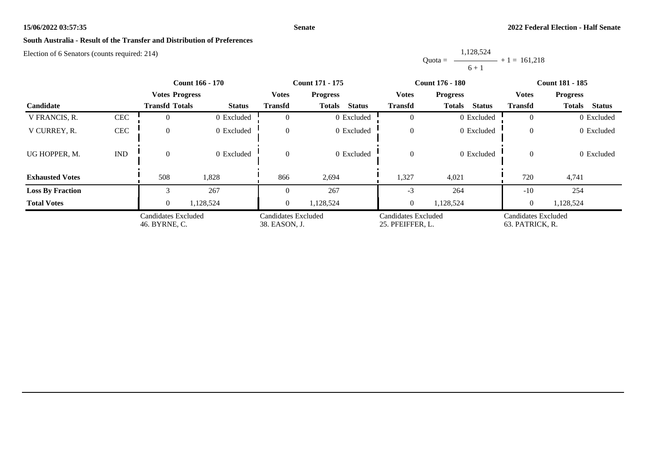#### **Senate**

# **South Australia - Result of the Transfer and Distribution of Preferences**

Election of 6 Senators (counts required: 214)

Quota = 1,128,524  $6 + 1$  $+ 1 = 161,218$ 

|                         |                             |                                      | <b>Count 166 - 170</b> | <b>Count 171 - 175</b>               |                                |                                         | <b>Count 176 - 180</b>         | <b>Count 181 - 185</b>                 |                                |
|-------------------------|-----------------------------|--------------------------------------|------------------------|--------------------------------------|--------------------------------|-----------------------------------------|--------------------------------|----------------------------------------|--------------------------------|
|                         |                             | <b>Votes Progress</b>                |                        | <b>Votes</b>                         | <b>Progress</b>                | <b>Votes</b>                            | <b>Progress</b>                | <b>Votes</b>                           | <b>Progress</b>                |
| <b>Candidate</b>        |                             | <b>Transfd Totals</b>                | <b>Status</b>          | <b>Transfd</b>                       | <b>Status</b><br><b>Totals</b> | <b>Transfd</b>                          | <b>Status</b><br><b>Totals</b> | <b>Transfd</b>                         | <b>Status</b><br><b>Totals</b> |
| V FRANCIS, R.           | <b>CEC</b>                  |                                      | 0 Excluded             | $\Omega$                             | 0 Excluded                     | $\theta$                                | 0 Excluded                     |                                        | 0 Excluded                     |
| V CURREY, R.            | $\mbox{CEC}$                | $\Omega$                             | 0 Excluded             | $\overline{0}$                       | 0 Excluded                     | $\theta$                                | 0 Excluded                     | $\overline{0}$                         | 0 Excluded                     |
| UG HOPPER, M.           | $\mathop{\rm IND}\nolimits$ |                                      | 0 Excluded             | $\theta$                             | 0 Excluded                     | $\Omega$                                | 0 Excluded                     | $\theta$                               | 0 Excluded                     |
| <b>Exhausted Votes</b>  |                             | 508                                  | 1,828                  | 866                                  | 2,694                          | 1,327                                   | 4,021                          | 720                                    | 4,741                          |
| <b>Loss By Fraction</b> |                             |                                      | 267                    | 0                                    | 267                            | $-3$                                    | 264                            | $-10$                                  | 254                            |
| <b>Total Votes</b>      |                             | $\theta$                             | 1,128,524              | $\overline{0}$                       | 1,128,524                      | $\overline{0}$                          | 1,128,524                      | $\overline{0}$                         | 1,128,524                      |
|                         |                             | Candidates Excluded<br>46. BYRNE, C. |                        | Candidates Excluded<br>38. EASON, J. |                                | Candidates Excluded<br>25. PFEIFFER, L. |                                | Candidates Excluded<br>63. PATRICK, R. |                                |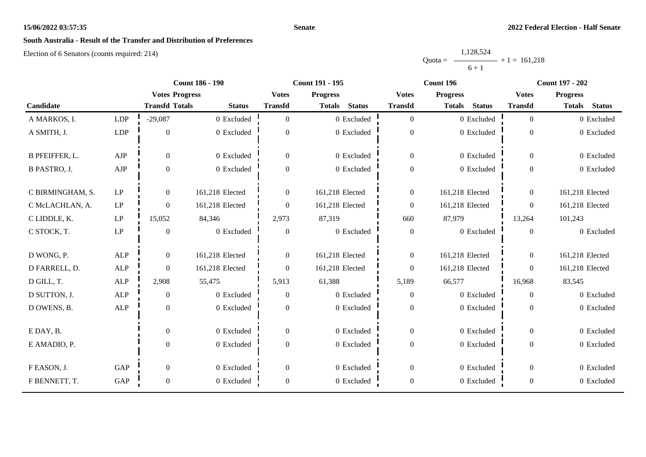#### **Senate**

# **South Australia - Result of the Transfer and Distribution of Preferences**

|           | 1,128,524      |  |
|-----------|----------------|--|
| $Quota =$ | $+1 = 161,218$ |  |
|           | $6 + 1$        |  |

|                       |                     |                       | <b>Count 186 - 190</b> | Count 191 - 195  |                                |                  | Count 196                      | <b>Count 197 - 202</b> |                                |
|-----------------------|---------------------|-----------------------|------------------------|------------------|--------------------------------|------------------|--------------------------------|------------------------|--------------------------------|
|                       |                     | <b>Votes Progress</b> |                        | <b>Votes</b>     | <b>Progress</b>                | <b>Votes</b>     | <b>Progress</b>                | <b>Votes</b>           | <b>Progress</b>                |
| Candidate             |                     | <b>Transfd Totals</b> | <b>Status</b>          | <b>Transfd</b>   | <b>Status</b><br><b>Totals</b> | <b>Transfd</b>   | <b>Status</b><br><b>Totals</b> | <b>Transfd</b>         | <b>Status</b><br><b>Totals</b> |
| A MARKOS, I.          | <b>LDP</b>          | $-29,087$             | 0 Excluded             | $\Omega$         | 0 Excluded                     | $\mathbf{0}$     | 0 Excluded                     | $\overline{0}$         | 0 Excluded                     |
| A SMITH, J.           | LDP                 | $\boldsymbol{0}$      | 0 Excluded             | $\overline{0}$   | 0 Excluded                     | $\mathbf{0}$     | 0 Excluded                     | $\boldsymbol{0}$       | 0 Excluded                     |
| <b>B PFEIFFER, L.</b> | ${\rm AJP}$         | $\boldsymbol{0}$      | 0 Excluded             | $\boldsymbol{0}$ | 0 Excluded                     | $\boldsymbol{0}$ | 0 Excluded                     | $\overline{0}$         | 0 Excluded                     |
| <b>B PASTRO, J.</b>   | ${\rm AJP}$         | $\boldsymbol{0}$      | 0 Excluded             | $\boldsymbol{0}$ | 0 Excluded                     | $\boldsymbol{0}$ | 0 Excluded                     | $\overline{0}$         | 0 Excluded                     |
| C BIRMINGHAM, S.      | LP                  | $\overline{0}$        | 161,218 Elected        | $\overline{0}$   | 161,218 Elected                | $\mathbf{0}$     | 161,218 Elected                | $\overline{0}$         | 161,218 Elected                |
| C McLACHLAN, A.       | $\operatorname{LP}$ | $\boldsymbol{0}$      | 161,218 Elected        | $\overline{0}$   | 161,218 Elected                | $\mathbf{0}$     | 161,218 Elected                | $\boldsymbol{0}$       | 161,218 Elected                |
| C LIDDLE, K.          | $\operatorname{LP}$ | 15,052                | 84,346                 | 2,973            | 87,319                         | 660              | 87,979                         | 13,264                 | 101,243                        |
| C STOCK, T.           | $\operatorname{LP}$ | $\mathbf{0}$          | 0 Excluded             | $\mathbf{0}$     | 0 Excluded                     | $\boldsymbol{0}$ | 0 Excluded                     | $\theta$               | 0 Excluded                     |
| D WONG, P.            | <b>ALP</b>          | $\boldsymbol{0}$      | 161,218 Elected        | $\overline{0}$   | 161,218 Elected                | $\mathbf{0}$     | 161,218 Elected                | $\overline{0}$         | 161,218 Elected                |
| D FARRELL, D.         | <b>ALP</b>          | $\mathbf{0}$          | 161,218 Elected        | $\overline{0}$   | 161,218 Elected                | $\boldsymbol{0}$ | 161,218 Elected                | $\overline{0}$         | 161,218 Elected                |
| D GILL, T.            | $\mbox{ALP}$        | 2,908                 | 55,475                 | 5,913            | 61,388                         | 5,189            | 66,577                         | 16,968                 | 83,545                         |
| D SUTTON, J.          | ALP                 | $\boldsymbol{0}$      | 0 Excluded             | $\boldsymbol{0}$ | 0 Excluded                     | $\boldsymbol{0}$ | 0 Excluded                     | $\mathbf{0}$           | 0 Excluded                     |
| D OWENS, B.           | <b>ALP</b>          | $\boldsymbol{0}$      | 0 Excluded             | $\overline{0}$   | 0 Excluded                     | $\boldsymbol{0}$ | 0 Excluded                     | $\theta$               | 0 Excluded                     |
| E DAY, B.             |                     | $\boldsymbol{0}$      | 0 Excluded             | $\boldsymbol{0}$ | 0 Excluded                     | $\boldsymbol{0}$ | 0 Excluded                     | $\overline{0}$         | 0 Excluded                     |
| E AMADIO, P.          |                     | $\boldsymbol{0}$      | 0 Excluded             | $\boldsymbol{0}$ | 0 Excluded                     | $\boldsymbol{0}$ | 0 Excluded                     | $\overline{0}$         | 0 Excluded                     |
| F EASON, J.           | GAP                 | $\mathbf{0}$          | 0 Excluded             | $\boldsymbol{0}$ | 0 Excluded                     | $\boldsymbol{0}$ | 0 Excluded                     | $\overline{0}$         | 0 Excluded                     |
| F BENNETT, T.         | GAP                 | $\boldsymbol{0}$      | 0 Excluded             | $\boldsymbol{0}$ | 0 Excluded                     | $\boldsymbol{0}$ | 0 Excluded                     | $\boldsymbol{0}$       | 0 Excluded                     |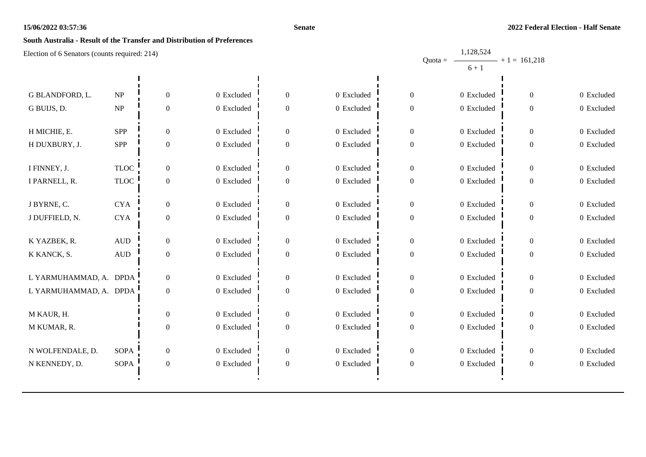#### **Senate**

1,128,524

# **South Australia - Result of the Transfer and Distribution of Preferences**

|                        |                            |                  |            |                  |            |                  | Quota = $\longrightarrow$ + 1 = 161,218 |                |            |
|------------------------|----------------------------|------------------|------------|------------------|------------|------------------|-----------------------------------------|----------------|------------|
|                        |                            |                  |            |                  |            |                  | $6 + 1$                                 |                |            |
|                        |                            |                  |            |                  |            |                  |                                         |                |            |
| G BLANDFORD, L.        | NP                         | $\overline{0}$   | 0 Excluded | $\mathbf{0}$     | 0 Excluded | $\Omega$         | 0 Excluded                              | 0              | 0 Excluded |
| G BUIJS, D.            | $\ensuremath{\mathbf{NP}}$ | $\boldsymbol{0}$ | 0 Excluded | $\boldsymbol{0}$ | 0 Excluded | $\Omega$         | 0 Excluded                              | 0              | 0 Excluded |
|                        |                            |                  |            |                  |            |                  |                                         |                |            |
| H MICHIE, E.           | <b>SPP</b>                 | $\boldsymbol{0}$ | 0 Excluded | $\boldsymbol{0}$ | 0 Excluded | $\overline{0}$   | 0 Excluded                              | $\overline{0}$ | 0 Excluded |
| H DUXBURY, J.          | SPP                        | $\boldsymbol{0}$ | 0 Excluded | $\boldsymbol{0}$ | 0 Excluded | $\mathbf{0}$     | $0$ Excluded                            | 0              | 0 Excluded |
|                        |                            |                  |            |                  |            |                  |                                         |                |            |
| I FINNEY, J.           | <b>TLOC</b>                | $\overline{0}$   | 0 Excluded | $\overline{0}$   | 0 Excluded | $\Omega$         | 0 Excluded                              | $\overline{0}$ | 0 Excluded |
| I PARNELL, R.          | <b>TLOC</b>                | $\boldsymbol{0}$ | 0 Excluded | $\boldsymbol{0}$ | 0 Excluded | $\overline{0}$   | 0 Excluded                              | $\overline{0}$ | 0 Excluded |
|                        |                            |                  |            |                  |            |                  |                                         |                |            |
| J BYRNE, C.            | <b>CYA</b>                 | $\overline{0}$   | 0 Excluded | $\mathbf{0}$     | 0 Excluded | $\Omega$         | 0 Excluded                              | 0              | 0 Excluded |
| J DUFFIELD, N.         | ${\rm CYA}$                | $\boldsymbol{0}$ | 0 Excluded | $\boldsymbol{0}$ | 0 Excluded | $\Omega$         | 0 Excluded                              | $\overline{0}$ | 0 Excluded |
|                        |                            |                  |            |                  |            |                  |                                         |                |            |
| K YAZBEK, R.           | $\mbox{\rm AUD}$           | $\boldsymbol{0}$ | 0 Excluded | $\boldsymbol{0}$ | 0 Excluded | $\theta$         | 0 Excluded                              | 0              | 0 Excluded |
| K KANCK, S.            | $\hbox{AUD}$               | $\boldsymbol{0}$ | 0 Excluded | $\boldsymbol{0}$ | 0 Excluded | $\theta$         | $0\,$ Excluded                          | 0              | 0 Excluded |
|                        |                            |                  |            |                  |            |                  |                                         |                |            |
| L YARMUHAMMAD, A. DPDA |                            | $\mathbf{0}$     | 0 Excluded | $\boldsymbol{0}$ | 0 Excluded | $\Omega$         | 0 Excluded                              | 0              | 0 Excluded |
| L YARMUHAMMAD, A. DPDA |                            | $\boldsymbol{0}$ | 0 Excluded | $\mathbf{0}$     | 0 Excluded | $\Omega$         | 0 Excluded                              | 0              | 0 Excluded |
|                        |                            |                  |            |                  |            |                  |                                         |                |            |
| M KAUR, H.             |                            | $\boldsymbol{0}$ | 0 Excluded | $\boldsymbol{0}$ | 0 Excluded | $\Omega$         | 0 Excluded                              | 0              | 0 Excluded |
| M KUMAR, R.            |                            | $\boldsymbol{0}$ | 0 Excluded | $\boldsymbol{0}$ | 0 Excluded | $\overline{0}$   | $0$ Excluded                            | 0              | 0 Excluded |
| N WOLFENDALE, D.       | SOPA                       | $\mathbf{0}$     | 0 Excluded | $\boldsymbol{0}$ | 0 Excluded | $\overline{0}$   | 0 Excluded                              | 0              | 0 Excluded |
|                        |                            |                  |            | $\boldsymbol{0}$ |            |                  |                                         |                | 0 Excluded |
| N KENNEDY, D.          | <b>SOPA</b>                | $\boldsymbol{0}$ | 0 Excluded |                  | 0 Excluded | $\boldsymbol{0}$ | 0 Excluded                              | 0              |            |
|                        |                            |                  |            |                  |            |                  |                                         |                |            |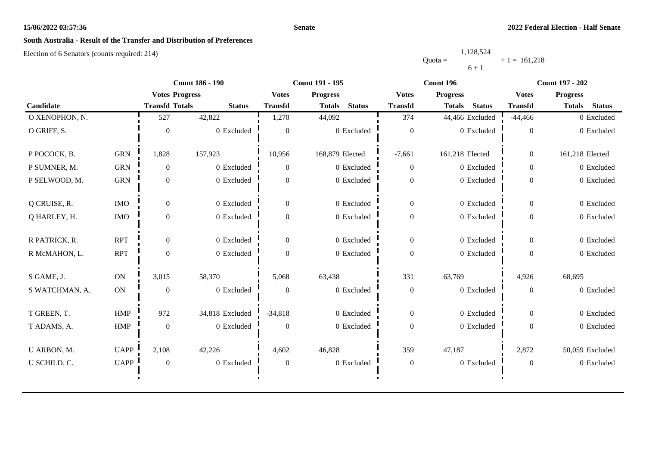#### **Senate**

# **South Australia - Result of the Transfer and Distribution of Preferences**

|           | 1,128,524      |  |
|-----------|----------------|--|
| $Quota =$ | $+1 = 161.218$ |  |
|           | $6 + 1$        |  |

|                |             | <b>Count 186 - 190</b> |                 |                                 | Count 191 - 195                |                  | Count 196                      | <b>Count 197 - 202</b>          |                                |  |
|----------------|-------------|------------------------|-----------------|---------------------------------|--------------------------------|------------------|--------------------------------|---------------------------------|--------------------------------|--|
|                |             | <b>Votes Progress</b>  |                 | <b>Votes</b><br><b>Progress</b> |                                | <b>Votes</b>     | <b>Progress</b>                | <b>Progress</b><br><b>Votes</b> |                                |  |
| Candidate      |             | <b>Transfd Totals</b>  | <b>Status</b>   | <b>Transfd</b>                  | <b>Status</b><br><b>Totals</b> | <b>Transfd</b>   | <b>Status</b><br><b>Totals</b> | <b>Transfd</b>                  | <b>Status</b><br><b>Totals</b> |  |
| O XENOPHON, N. |             | 527                    | 42,822          | 1,270                           | 44,092                         | 374              | 44,466 Excluded                | $-44,466$                       | 0 Excluded                     |  |
| O GRIFF, S.    |             | $\theta$               | 0 Excluded      | $\theta$                        | 0 Excluded                     | $\mathbf{0}$     | 0 Excluded                     | $\overline{0}$                  | 0 Excluded                     |  |
| P POCOCK, B.   | <b>GRN</b>  | 1,828                  | 157,923         | 10,956                          | 168,879 Elected                | $-7,661$         | 161,218 Elected                | $\overline{0}$                  | 161,218 Elected                |  |
| P SUMNER, M.   | <b>GRN</b>  | $\overline{0}$         | 0 Excluded      | $\Omega$                        | 0 Excluded                     | $\boldsymbol{0}$ | 0 Excluded                     | $\overline{0}$                  | 0 Excluded                     |  |
| P SELWOOD, M.  | <b>GRN</b>  | $\boldsymbol{0}$       | 0 Excluded      | $\Omega$                        | 0 Excluded                     | $\boldsymbol{0}$ | 0 Excluded                     | $\overline{0}$                  | 0 Excluded                     |  |
| Q CRUISE, R.   | <b>IMO</b>  | $\overline{0}$         | 0 Excluded      | $\Omega$                        | 0 Excluded                     | $\mathbf{0}$     | 0 Excluded                     | $\overline{0}$                  | 0 Excluded                     |  |
| Q HARLEY, H.   | $\rm{IMO}$  | $\boldsymbol{0}$       | 0 Excluded      | $\boldsymbol{0}$                | 0 Excluded                     | $\boldsymbol{0}$ | 0 Excluded                     | $\overline{0}$                  | 0 Excluded                     |  |
| R PATRICK, R.  | <b>RPT</b>  | $\overline{0}$         | 0 Excluded      | $\Omega$                        | 0 Excluded                     | $\overline{0}$   | 0 Excluded                     | $\overline{0}$                  | 0 Excluded                     |  |
| R McMAHON, L.  | <b>RPT</b>  | $\mathbf{0}$           | 0 Excluded      | $\Omega$                        | 0 Excluded                     | $\boldsymbol{0}$ | 0 Excluded                     | $\Omega$                        | 0 Excluded                     |  |
| S GAME, J.     | ON          | 3,015                  | 58,370          | 5,068                           | 63,438                         | 331              | 63,769                         | 4,926                           | 68,695                         |  |
| S WATCHMAN, A. | ON          | $\boldsymbol{0}$       | 0 Excluded      | $\overline{0}$                  | 0 Excluded                     | $\boldsymbol{0}$ | 0 Excluded                     | $\overline{0}$                  | 0 Excluded                     |  |
| T GREEN, T.    | HMP         | 972                    | 34,818 Excluded | $-34,818$                       | 0 Excluded                     | $\mathbf{0}$     | 0 Excluded                     | $\theta$                        | 0 Excluded                     |  |
| T ADAMS, A.    | <b>HMP</b>  | $\boldsymbol{0}$       | 0 Excluded      | $\theta$                        | 0 Excluded                     | $\boldsymbol{0}$ | 0 Excluded                     | $\theta$                        | 0 Excluded                     |  |
| U ARBON, M.    | <b>UAPP</b> | 2,108                  | 42,226          | 4,602                           | 46,828                         | 359              | 47,187                         | 2,872                           | 50,059 Excluded                |  |
| U SCHILD, C.   | <b>UAPP</b> | $\boldsymbol{0}$       | 0 Excluded      | $\boldsymbol{0}$                | 0 Excluded                     | $\boldsymbol{0}$ | 0 Excluded                     | $\boldsymbol{0}$                | 0 Excluded                     |  |
|                |             |                        |                 |                                 |                                |                  |                                |                                 |                                |  |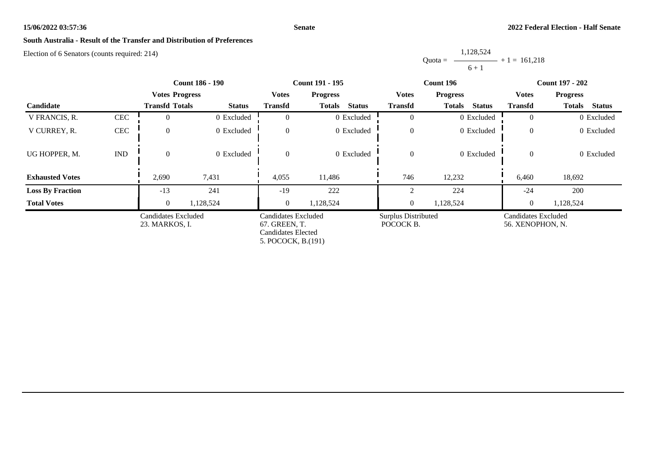#### **Senate**

# **South Australia - Result of the Transfer and Distribution of Preferences**

Election of 6 Senators (counts required: 214)

Quota = 1,128,524  $6 + 1$  $+ 1 = 161,218$ 

|                         |                             |                                       | <b>Count 186 - 190</b> |                                                            | <b>Count 191 - 195</b>         |                                         | Count 196                      | <b>Count 197 - 202</b>                  |                                |  |
|-------------------------|-----------------------------|---------------------------------------|------------------------|------------------------------------------------------------|--------------------------------|-----------------------------------------|--------------------------------|-----------------------------------------|--------------------------------|--|
|                         |                             | <b>Votes Progress</b>                 |                        | <b>Votes</b>                                               | <b>Progress</b>                | <b>Votes</b>                            | <b>Progress</b>                | <b>Votes</b>                            | <b>Progress</b>                |  |
| Candidate               |                             | <b>Transfd Totals</b>                 | <b>Status</b>          | <b>Transfd</b>                                             | <b>Status</b><br><b>Totals</b> | <b>Transfd</b>                          | <b>Totals</b><br><b>Status</b> | <b>Transfd</b>                          | <b>Status</b><br><b>Totals</b> |  |
| V FRANCIS, R.           | $\mbox{CEC}$                |                                       | 0 Excluded             |                                                            | 0 Excluded                     | $\Omega$                                | 0 Excluded                     | $\Omega$                                | 0 Excluded                     |  |
| V CURREY, R.            | $\mbox{CEC}$                | $\Omega$                              | 0 Excluded             | $\theta$                                                   | 0 Excluded                     | $\mathbf{0}$                            | 0 Excluded                     | $\overline{0}$                          | 0 Excluded                     |  |
| UG HOPPER, M.           | $\mathop{\rm IND}\nolimits$ | $\theta$                              | 0 Excluded             | $\Omega$                                                   | 0 Excluded                     | $\overline{0}$                          | 0 Excluded                     | $\overline{0}$                          | 0 Excluded                     |  |
| <b>Exhausted Votes</b>  |                             | 2,690                                 | 7,431                  | 4,055                                                      | 11,486                         | 746                                     | 12,232                         | 6,460                                   | 18,692                         |  |
| <b>Loss By Fraction</b> |                             | $-13$                                 | 241                    | $-19$                                                      | 222                            |                                         | 224                            | $-24$                                   | 200                            |  |
| <b>Total Votes</b>      |                             | $\Omega$                              | 1,128,524              | $\Omega$                                                   | 1,128,524                      | $\overline{0}$                          | 1,128,524                      | $\overline{0}$                          | 1,128,524                      |  |
|                         |                             | Candidates Excluded<br>23. MARKOS, I. |                        | Candidates Excluded<br>67. GREEN, T.<br>Candidates Elected |                                | <b>Surplus Distributed</b><br>POCOCK B. |                                | Candidates Excluded<br>56. XENOPHON, N. |                                |  |

5. POCOCK, B.(191)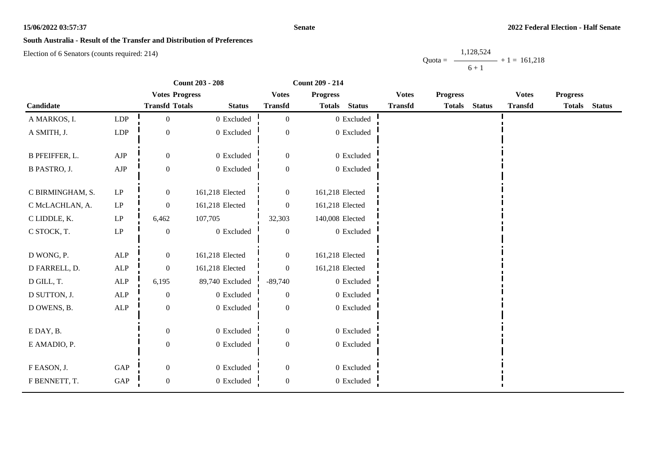#### **Senate**

# **South Australia - Result of the Transfer and Distribution of Preferences**

Election of 6 Senators (counts required: 214)

Quota = 1,128,524  $6 + 1$  $+ 1 = 161,218$ 

|                       |                            | <b>Count 203 - 208</b> |                 | Count 209 - 214  |                 |                |                |                 |               |                |                 |               |
|-----------------------|----------------------------|------------------------|-----------------|------------------|-----------------|----------------|----------------|-----------------|---------------|----------------|-----------------|---------------|
|                       |                            | <b>Votes Progress</b>  |                 | <b>Votes</b>     | <b>Progress</b> |                | <b>Votes</b>   | <b>Progress</b> |               | <b>Votes</b>   | <b>Progress</b> |               |
| Candidate             |                            | <b>Transfd Totals</b>  | <b>Status</b>   | <b>Transfd</b>   | <b>Totals</b>   | <b>Status</b>  | <b>Transfd</b> | <b>Totals</b>   | <b>Status</b> | <b>Transfd</b> | <b>Totals</b>   | <b>Status</b> |
| A MARKOS, I.          | LDP                        | $\boldsymbol{0}$       | 0 Excluded      | $\mathbf{0}$     |                 | $0\,$ Excluded |                |                 |               |                |                 |               |
| A SMITH, J.           | LDP                        | $\mathbf{0}$           | 0 Excluded      | $\overline{0}$   |                 | 0 Excluded     |                |                 |               |                |                 |               |
| <b>B PFEIFFER, L.</b> | ${\rm AJP}$                | $\mathbf{0}$           | 0 Excluded      | $\boldsymbol{0}$ |                 | 0 Excluded     |                |                 |               |                |                 |               |
| <b>B PASTRO, J.</b>   | ${\rm AJP}$                | $\boldsymbol{0}$       | 0 Excluded      | $\boldsymbol{0}$ |                 | 0 Excluded     |                |                 |               |                |                 |               |
| C BIRMINGHAM, S.      | LP                         | $\overline{0}$         | 161,218 Elected | $\overline{0}$   | 161,218 Elected |                |                |                 |               |                |                 |               |
| C McLACHLAN, A.       | LP                         | $\mathbf{0}$           | 161,218 Elected | $\overline{0}$   | 161,218 Elected |                |                |                 |               |                |                 |               |
| C LIDDLE, K.          | $\ensuremath{\mathrm{LP}}$ | 6,462                  | 107,705         | 32,303           | 140,008 Elected |                |                |                 |               |                |                 |               |
| C STOCK, T.           | $\mathbf{LP}$              | $\boldsymbol{0}$       | $0\,$ Excluded  | $\boldsymbol{0}$ |                 | 0 Excluded     |                |                 |               |                |                 |               |
| D WONG, P.            | $\mbox{ALP}$               | $\boldsymbol{0}$       | 161,218 Elected | $\boldsymbol{0}$ | 161,218 Elected |                |                |                 |               |                |                 |               |
| D FARRELL, D.         | $\mbox{ALP}$               | $\mathbf{0}$           | 161,218 Elected | $\overline{0}$   | 161,218 Elected |                |                |                 |               |                |                 |               |
| D GILL, T.            | $\mbox{ALP}$               | 6,195                  | 89,740 Excluded | $-89,740$        |                 | 0 Excluded     |                |                 |               |                |                 |               |
| D SUTTON, J.          | $\mbox{ALP}$               | $\boldsymbol{0}$       | $0$ Excluded    | $\mathbf{0}$     |                 | 0 Excluded     |                |                 |               |                |                 |               |
| D OWENS, B.           | $\mbox{ALP}$               | $\boldsymbol{0}$       | 0 Excluded      | $\overline{0}$   |                 | 0 Excluded     |                |                 |               |                |                 |               |
| E DAY, B.             |                            | $\theta$               | 0 Excluded      | $\overline{0}$   |                 | 0 Excluded     |                |                 |               |                |                 |               |
| E AMADIO, P.          |                            | $\mathbf{0}$           | 0 Excluded      | $\boldsymbol{0}$ |                 | 0 Excluded     |                |                 |               |                |                 |               |
| F EASON, J.           | GAP                        | $\boldsymbol{0}$       | 0 Excluded      | $\boldsymbol{0}$ |                 | 0 Excluded     |                |                 |               |                |                 |               |
| F BENNETT, T.         | GAP                        | $\boldsymbol{0}$       | $0\,$ Excluded  | $\boldsymbol{0}$ |                 | $0\,$ Excluded |                |                 |               |                |                 |               |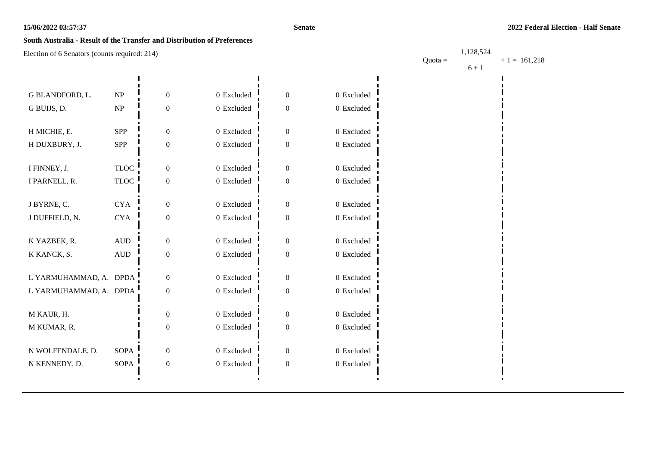1,128,524

# **South Australia - Result of the Transfer and Distribution of Preferences**

| $\mu$ exercise to be the country required. $\mu$ $\mu$ |                                 |                  |              |                  |                | Quota = $-$ |         | $-$ + 1 = 161,218 |
|--------------------------------------------------------|---------------------------------|------------------|--------------|------------------|----------------|-------------|---------|-------------------|
|                                                        |                                 |                  |              |                  |                |             | $6 + 1$ |                   |
|                                                        |                                 |                  |              |                  |                |             |         |                   |
| G BLANDFORD, L.                                        | $\ensuremath{\text{NP}}\xspace$ | 0                | 0 Excluded   | $\theta$         | 0 Excluded     |             |         |                   |
| G BUIJS, D.                                            | $\ensuremath{\text{NP}}\xspace$ | $\overline{0}$   | 0 Excluded   | $\boldsymbol{0}$ | $0$ Excluded   |             |         |                   |
|                                                        |                                 |                  |              |                  |                |             |         |                   |
| H MICHIE, E.                                           | <b>SPP</b>                      | $\theta$         | 0 Excluded   | $\theta$         | 0 Excluded     |             |         |                   |
| H DUXBURY, J.                                          | SPP                             | 0                | 0 Excluded   | $\boldsymbol{0}$ | 0 Excluded     |             |         |                   |
|                                                        |                                 |                  |              |                  |                |             |         |                   |
| I FINNEY, J.                                           | <b>TLOC</b>                     | $\boldsymbol{0}$ | 0 Excluded   | $\mathbf{0}$     | 0 Excluded     |             |         |                   |
| I PARNELL, R.                                          | <b>TLOC</b>                     | $\boldsymbol{0}$ | 0 Excluded   | $\mathbf{0}$     | $0\,$ Excluded |             |         |                   |
| J BYRNE, C.                                            | <b>CYA</b>                      | $\boldsymbol{0}$ | 0 Excluded   | $\mathbf{0}$     | $0$ Excluded   |             |         |                   |
|                                                        |                                 |                  |              |                  |                |             |         |                   |
| J DUFFIELD, N.                                         | <b>CYA</b>                      | $\boldsymbol{0}$ | 0 Excluded   | $\boldsymbol{0}$ | 0 Excluded     |             |         |                   |
| K YAZBEK, R.                                           | $\hbox{AUD}$                    | $\overline{0}$   | 0 Excluded   | $\mathbf{0}$     | 0 Excluded     |             |         |                   |
| K KANCK, S.                                            | $\hbox{AUD}$                    | $\boldsymbol{0}$ | 0 Excluded   | $\boldsymbol{0}$ | 0 Excluded     |             |         |                   |
|                                                        |                                 |                  |              |                  |                |             |         |                   |
| L YARMUHAMMAD, A. DPDA                                 |                                 | 0                | 0 Excluded   | $\boldsymbol{0}$ | $0$ Excluded   |             |         |                   |
| L YARMUHAMMAD, A. DPDA                                 |                                 | 0                | $0$ Excluded | $\boldsymbol{0}$ | $0$ Excluded   |             |         |                   |
|                                                        |                                 |                  |              |                  |                |             |         |                   |
| M KAUR, H.                                             |                                 | $\mathbf{0}$     | 0 Excluded   | $\overline{0}$   | $0\,$ Excluded |             |         |                   |
| M KUMAR, R.                                            |                                 | $\mathbf{0}$     | 0 Excluded   | $\boldsymbol{0}$ | $0$ Excluded   |             |         |                   |
| N WOLFENDALE, D.                                       | <b>SOPA</b>                     | $\overline{0}$   | 0 Excluded   | $\boldsymbol{0}$ | $0$ Excluded   |             |         |                   |
|                                                        |                                 |                  |              |                  |                |             |         |                   |
| N KENNEDY, D.                                          | SOPA                            | $\boldsymbol{0}$ | 0 Excluded   | $\boldsymbol{0}$ | 0 Excluded     |             |         |                   |
|                                                        |                                 |                  |              |                  |                |             |         |                   |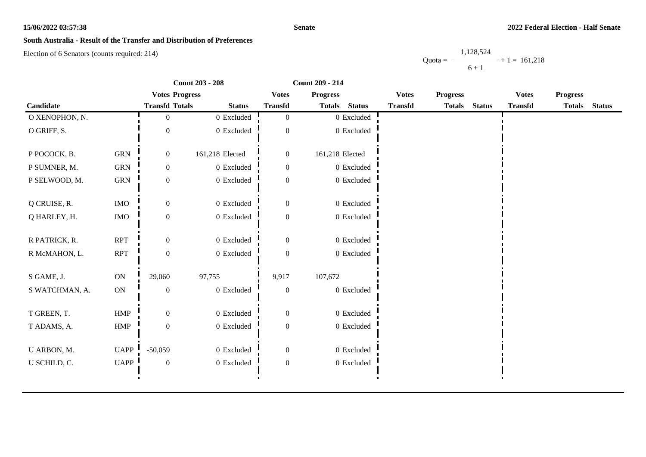#### **Senate**

# **South Australia - Result of the Transfer and Distribution of Preferences**

Election of 6 Senators (counts required: 214)

Quota = 1,128,524  $6 + 1$  $+ 1 = 161,218$ 

|                |               | <b>Count 203 - 208</b> |                 | <b>Count 209 - 214</b> |                 |                |                |                 |               |                |                 |               |
|----------------|---------------|------------------------|-----------------|------------------------|-----------------|----------------|----------------|-----------------|---------------|----------------|-----------------|---------------|
|                |               | <b>Votes Progress</b>  |                 | <b>Votes</b>           | <b>Progress</b> |                | <b>Votes</b>   | <b>Progress</b> |               | <b>Votes</b>   | <b>Progress</b> |               |
| Candidate      |               | <b>Transfd Totals</b>  | <b>Status</b>   | <b>Transfd</b>         | <b>Totals</b>   | <b>Status</b>  | <b>Transfd</b> | <b>Totals</b>   | <b>Status</b> | <b>Transfd</b> | <b>Totals</b>   | <b>Status</b> |
| O XENOPHON, N. |               | $\overline{0}$         | 0 Excluded      | $\overline{0}$         |                 | $0\,$ Excluded |                |                 |               |                |                 |               |
| O GRIFF, S.    |               | $\boldsymbol{0}$       | $0$ Excluded    | $\theta$               |                 | $0$ Excluded   |                |                 |               |                |                 |               |
| P POCOCK, B.   | <b>GRN</b>    | $\mathbf{0}$           | 161,218 Elected | $\boldsymbol{0}$       | 161,218 Elected |                |                |                 |               |                |                 |               |
| P SUMNER, M.   | <b>GRN</b>    | $\boldsymbol{0}$       | $0$ Excluded    | $\boldsymbol{0}$       |                 | $0\,$ Excluded |                |                 |               |                |                 |               |
| P SELWOOD, M.  | ${\rm GRN}$   | $\boldsymbol{0}$       | $0$ Excluded    | $\theta$               |                 | $0\,$ Excluded |                |                 |               |                |                 |               |
| Q CRUISE, R.   | <b>IMO</b>    | $\boldsymbol{0}$       | 0 Excluded      | $\boldsymbol{0}$       |                 | 0 Excluded     |                |                 |               |                |                 |               |
| Q HARLEY, H.   | $\rm{IMO}$    | $\boldsymbol{0}$       | 0 Excluded      | $\theta$               |                 | $0$ Excluded   |                |                 |               |                |                 |               |
| R PATRICK, R.  | <b>RPT</b>    | $\overline{0}$         | 0 Excluded      | $\boldsymbol{0}$       |                 | $0$ Excluded   |                |                 |               |                |                 |               |
| R McMAHON, L.  | <b>RPT</b>    | $\boldsymbol{0}$       | 0 Excluded      | $\Omega$               |                 | $0$ Excluded   |                |                 |               |                |                 |               |
| S GAME, J.     | $\mathbf{ON}$ | 29,060                 | 97,755          | 9,917                  | 107,672         |                |                |                 |               |                |                 |               |
| S WATCHMAN, A. | ON            | $\boldsymbol{0}$       | 0 Excluded      | $\mathbf{0}$           |                 | 0 Excluded     |                |                 |               |                |                 |               |
| T GREEN, T.    | ${\rm HMP}$   | $\overline{0}$         | 0 Excluded      | $\boldsymbol{0}$       |                 | $0$ Excluded   |                |                 |               |                |                 |               |
| T ADAMS, A.    | HMP           | $\boldsymbol{0}$       | 0 Excluded      | $\boldsymbol{0}$       |                 | 0 Excluded     |                |                 |               |                |                 |               |
| U ARBON, M.    | UAPP          | $-50,059$              | 0 Excluded      | $\mathbf{0}$           |                 | 0 Excluded     |                |                 |               |                |                 |               |
| U SCHILD, C.   | UAPP          | $\boldsymbol{0}$       | 0 Excluded      | $\boldsymbol{0}$       |                 | $0$ Excluded   |                |                 |               |                |                 |               |
|                |               |                        |                 |                        |                 |                |                |                 |               |                |                 |               |